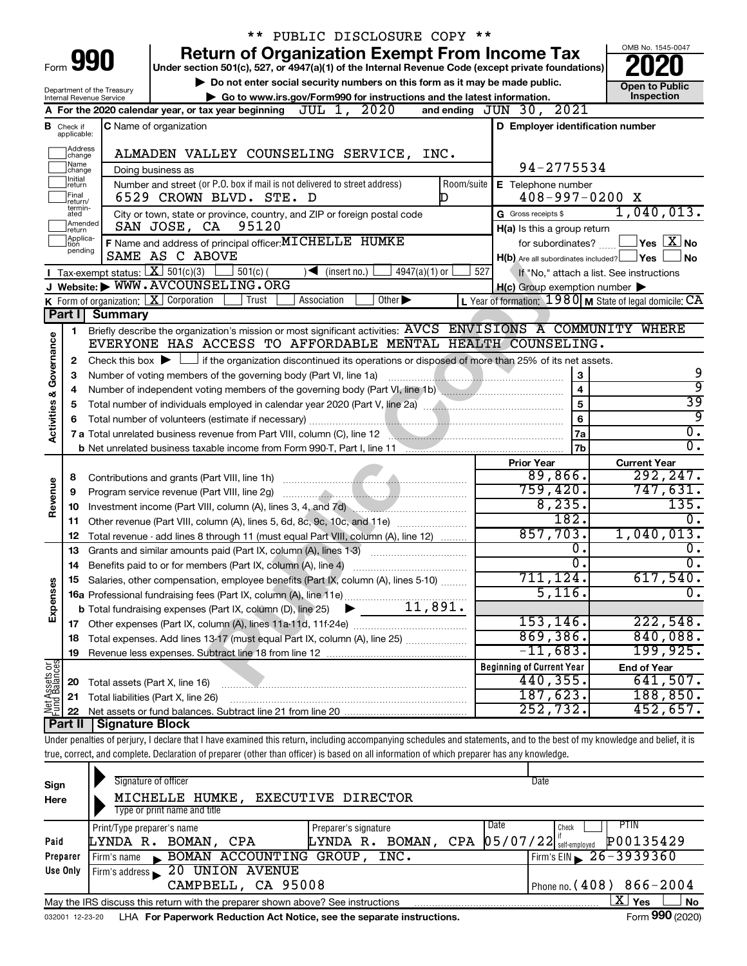|                                |                                       |                            |                                                                          | ** PUBLIC DISCLOSURE COPY **                                                                                                                                               |                        |                                                     |                         |                                                                                       |
|--------------------------------|---------------------------------------|----------------------------|--------------------------------------------------------------------------|----------------------------------------------------------------------------------------------------------------------------------------------------------------------------|------------------------|-----------------------------------------------------|-------------------------|---------------------------------------------------------------------------------------|
|                                |                                       |                            |                                                                          | <b>Return of Organization Exempt From Income Tax</b>                                                                                                                       |                        |                                                     |                         | OMB No. 1545-0047                                                                     |
|                                | Form 990                              |                            |                                                                          | Under section 501(c), 527, or 4947(a)(1) of the Internal Revenue Code (except private foundations)                                                                         |                        |                                                     |                         |                                                                                       |
|                                |                                       | Department of the Treasury |                                                                          | Do not enter social security numbers on this form as it may be made public.                                                                                                |                        |                                                     |                         | <b>Open to Public</b>                                                                 |
|                                |                                       | Internal Revenue Service   |                                                                          | Go to www.irs.gov/Form990 for instructions and the latest information.                                                                                                     |                        |                                                     |                         | Inspection                                                                            |
|                                |                                       |                            | A For the 2020 calendar year, or tax year beginning                      | JUL 1, 2020                                                                                                                                                                |                        | and ending JUN 30, 2021                             |                         |                                                                                       |
|                                | <b>B</b> Check if applicable:         |                            | <b>C</b> Name of organization                                            |                                                                                                                                                                            |                        |                                                     |                         | D Employer identification number                                                      |
|                                | Address<br>change                     |                            |                                                                          | ALMADEN VALLEY COUNSELING SERVICE, INC.                                                                                                                                    |                        |                                                     |                         |                                                                                       |
|                                | Name<br>change                        |                            | Doing business as                                                        |                                                                                                                                                                            |                        |                                                     | 94-2775534              |                                                                                       |
|                                | Initial<br> return                    |                            |                                                                          | Number and street (or P.O. box if mail is not delivered to street address)                                                                                                 | Room/suite             | E Telephone number                                  |                         |                                                                                       |
|                                | Final<br>return/                      |                            | 6529 CROWN BLVD. STE. D                                                  |                                                                                                                                                                            | D                      |                                                     | $408 - 997 - 0200$ X    |                                                                                       |
|                                | termin-<br>ated<br>Amended<br>Ireturn |                            | 95120<br>SAN JOSE, CA                                                    | City or town, state or province, country, and ZIP or foreign postal code                                                                                                   |                        | G Gross receipts \$<br>H(a) Is this a group return  |                         | 1,040,013.                                                                            |
|                                | Applica-<br>Ition                     |                            |                                                                          | F Name and address of principal officer: MICHELLE HUMKE                                                                                                                    |                        |                                                     | for subordinates?       | $\sqrt{}$ Yes $\sqrt{ \times }$ No                                                    |
|                                | pending                               |                            | SAME AS C ABOVE                                                          |                                                                                                                                                                            |                        |                                                     |                         | No.<br>$H(b)$ Are all subordinates included? $\Box$ Yes                               |
|                                |                                       |                            | Tax-exempt status: $X \over 301(c)(3)$<br>$\frac{1}{2}$ 501(c) (         | $\sqrt{\frac{1}{1}}$ (insert no.)                                                                                                                                          | $4947(a)(1)$ or<br>527 |                                                     |                         | If "No," attach a list. See instructions                                              |
|                                |                                       |                            | J Website: WWW.AVCOUNSELING.ORG                                          |                                                                                                                                                                            |                        | $H(c)$ Group exemption number $\blacktriangleright$ |                         |                                                                                       |
|                                |                                       |                            | <b>K</b> Form of organization: $\boxed{\mathbf{X}}$ Corporation<br>Trust | Other $\blacktriangleright$<br>Association                                                                                                                                 |                        |                                                     |                         | L Year of formation: $1980 \text{ M}$ State of legal domicile: $\overline{\text{CA}}$ |
|                                | Part I                                | <b>Summary</b>             |                                                                          |                                                                                                                                                                            |                        |                                                     |                         |                                                                                       |
|                                | 1                                     |                            |                                                                          | Briefly describe the organization's mission or most significant activities: AVCS ENVISIONS A COMMUNITY WHERE                                                               |                        |                                                     |                         |                                                                                       |
|                                |                                       |                            |                                                                          | EVERYONE HAS ACCESS TO AFFORDABLE MENTAL HEALTH COUNSELING.                                                                                                                |                        |                                                     |                         |                                                                                       |
| Governance                     | 2                                     |                            |                                                                          | Check this box $\blacktriangleright$ $\Box$ if the organization discontinued its operations or disposed of more than 25% of its net assets.                                |                        |                                                     |                         |                                                                                       |
|                                | з                                     |                            |                                                                          | Number of voting members of the governing body (Part VI, line 1a)                                                                                                          |                        |                                                     | 3                       | 9                                                                                     |
|                                | 4                                     |                            |                                                                          |                                                                                                                                                                            |                        |                                                     | $\overline{\mathbf{4}}$ | ब्र                                                                                   |
| <b>Activities &amp;</b>        | 5                                     |                            |                                                                          |                                                                                                                                                                            |                        |                                                     | 5                       | 39                                                                                    |
|                                | 6                                     |                            |                                                                          |                                                                                                                                                                            |                        |                                                     | 6                       | ब्र                                                                                   |
|                                |                                       |                            |                                                                          | 7 a Total unrelated business revenue from Part VIII, column (C), line 12                                                                                                   |                        |                                                     | <b>7a</b>               | $\overline{0}$ .                                                                      |
|                                |                                       |                            |                                                                          |                                                                                                                                                                            |                        |                                                     | 7b                      | $\overline{0}$ .                                                                      |
|                                |                                       |                            |                                                                          |                                                                                                                                                                            |                        | <b>Prior Year</b>                                   | 89,866.                 | <b>Current Year</b><br>292, 247.                                                      |
|                                | 8                                     |                            | Program service revenue (Part VIII, line 2g)                             |                                                                                                                                                                            |                        |                                                     | 759,420.                | 747,631.                                                                              |
| Revenue                        | 9<br>10                               |                            |                                                                          |                                                                                                                                                                            |                        |                                                     | 8,235.                  | 135.                                                                                  |
|                                |                                       |                            |                                                                          | 11 Other revenue (Part VIII, column (A), lines 5, 6d, 8c, 9c, 10c, and 11e)                                                                                                |                        |                                                     | 182.                    | $\overline{0}$ .                                                                      |
|                                | 12                                    |                            |                                                                          | Total revenue - add lines 8 through 11 (must equal Part VIII, column (A), line 12)                                                                                         |                        |                                                     | 857,703.                | 1,040,013.                                                                            |
|                                | 13                                    |                            |                                                                          | Grants and similar amounts paid (Part IX, column (A), lines 1-3)                                                                                                           |                        |                                                     | $\overline{0}$ .        | Ο.                                                                                    |
|                                |                                       |                            | 14 Benefits paid to or for members (Part IX, column (A), line 4)         |                                                                                                                                                                            |                        |                                                     | $\overline{0}$ .        | $\overline{0}$ .                                                                      |
|                                |                                       |                            |                                                                          | Salaries, other compensation, employee benefits (Part IX, column (A), lines 5-10)                                                                                          |                        |                                                     | 711, 124.               | 617,540.                                                                              |
| Expenses                       |                                       |                            |                                                                          | 16a Professional fundraising fees (Part IX, column (A), line 11e)                                                                                                          |                        |                                                     | 5,116.                  | σ.                                                                                    |
|                                |                                       |                            | <b>b</b> Total fundraising expenses (Part IX, column (D), line 25)       |                                                                                                                                                                            | 11,891.                |                                                     |                         |                                                                                       |
|                                |                                       |                            |                                                                          |                                                                                                                                                                            |                        |                                                     | 153, 146.               | 222,548.                                                                              |
|                                | 18                                    |                            |                                                                          | Total expenses. Add lines 13-17 (must equal Part IX, column (A), line 25)                                                                                                  |                        |                                                     | 869,386.                | 840,088.                                                                              |
|                                | 19                                    |                            |                                                                          |                                                                                                                                                                            |                        |                                                     | $-11,683.$              | 199,925.                                                                              |
| Net Assets or<br>Fund Balances |                                       |                            |                                                                          |                                                                                                                                                                            |                        | <b>Beginning of Current Year</b>                    |                         | <b>End of Year</b>                                                                    |
|                                | 20                                    |                            | Total assets (Part X, line 16)                                           |                                                                                                                                                                            |                        | 440, 355.                                           |                         | 641,507.                                                                              |
|                                | 21                                    |                            | Total liabilities (Part X, line 26)                                      |                                                                                                                                                                            |                        |                                                     | 187,623.                | 188, 850.                                                                             |
|                                | 22                                    |                            |                                                                          |                                                                                                                                                                            |                        |                                                     | 252,732.                | 452,657.                                                                              |
|                                | Part II                               | <b>Signature Block</b>     |                                                                          |                                                                                                                                                                            |                        |                                                     |                         |                                                                                       |
|                                |                                       |                            |                                                                          | Under penalties of perjury, I declare that I have examined this return, including accompanying schedules and statements, and to the best of my knowledge and belief, it is |                        |                                                     |                         |                                                                                       |
|                                |                                       |                            |                                                                          | true, correct, and complete. Declaration of preparer (other than officer) is based on all information of which preparer has any knowledge.                                 |                        |                                                     |                         |                                                                                       |
|                                |                                       |                            | Signature of officer                                                     |                                                                                                                                                                            |                        | Date                                                |                         |                                                                                       |
| Sign<br>Here                   |                                       |                            | MICHELLE HUMKE,                                                          | <b>EXECUTIVE DIRECTOR</b>                                                                                                                                                  |                        |                                                     |                         |                                                                                       |
|                                |                                       |                            | Type or print name and title                                             |                                                                                                                                                                            |                        |                                                     |                         |                                                                                       |
|                                |                                       | Print/Type preparer's name |                                                                          | Preparer's signature                                                                                                                                                       |                        | Date                                                | Check                   | <b>PTIN</b>                                                                           |
|                                |                                       |                            |                                                                          |                                                                                                                                                                            |                        |                                                     |                         |                                                                                       |

| Paid     | LYNDA R. BOMAN, CPA                                                             |  | LYNDA R. BOMAN, CPA $ 05/07/22 $ self-employed $ 00135429$ |     |             |
|----------|---------------------------------------------------------------------------------|--|------------------------------------------------------------|-----|-------------|
| Preparer | Firm's name BOMAN ACCOUNTING GROUP, INC.                                        |  | $I$ Firm's EIN $\geq 26 - 3939360$                         |     |             |
| Use Only | Firm's address 20 UNION AVENUE                                                  |  |                                                            |     |             |
|          | CAMPBELL, CA 95008                                                              |  | Phone no. $(408) 866 - 2004$                               |     |             |
|          | May the IRS discuss this return with the preparer shown above? See instructions |  |                                                            | Yes | No          |
|          |                                                                                 |  |                                                            |     | $\sim$ 000. |

032001 12-23-20 LHA **For Paperwork Reduction Act Notice, see the separate instructions.** Form 990 (2020)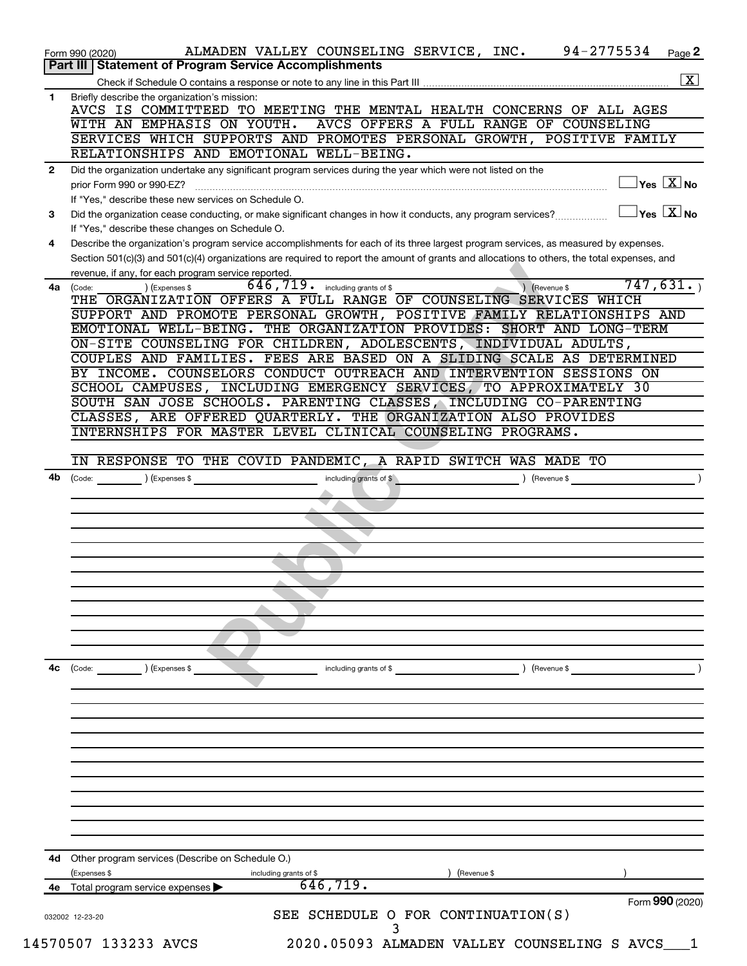|              | 94-2775534<br>ALMADEN VALLEY COUNSELING SERVICE, INC.<br>Page 2<br>Form 990 (2020)                                                                  |
|--------------|-----------------------------------------------------------------------------------------------------------------------------------------------------|
|              | <b>Part III   Statement of Program Service Accomplishments</b>                                                                                      |
|              | $\boxed{\text{X}}$                                                                                                                                  |
| 1            | Briefly describe the organization's mission:<br>AVCS IS COMMITTEED TO MEETING THE MENTAL HEALTH CONCERNS OF ALL AGES                                |
|              | AVCS OFFERS A FULL RANGE OF COUNSELING<br>WITH AN EMPHASIS ON YOUTH.                                                                                |
|              | SERVICES WHICH SUPPORTS AND PROMOTES PERSONAL GROWTH, POSITIVE FAMILY<br>RELATIONSHIPS AND EMOTIONAL WELL-BEING.                                    |
| $\mathbf{2}$ | Did the organization undertake any significant program services during the year which were not listed on the                                        |
|              | $\overline{\ }$ Yes $\overline{\rm X}$ No<br>prior Form 990 or 990-EZ?                                                                              |
|              | If "Yes," describe these new services on Schedule O.                                                                                                |
| 3            | $\exists$ Yes $\boxed{\text{X}}$ No<br>Did the organization cease conducting, or make significant changes in how it conducts, any program services? |
|              | If "Yes," describe these changes on Schedule O.                                                                                                     |
| 4            | Describe the organization's program service accomplishments for each of its three largest program services, as measured by expenses.                |
|              | Section 501(c)(3) and 501(c)(4) organizations are required to report the amount of grants and allocations to others, the total expenses, and        |
|              | revenue, if any, for each program service reported.<br>747,631.<br>646,719.                                                                         |
| 4a           | ) (Revenue \$<br>including grants of \$<br>) (Expenses \$<br>(Code:<br>THE ORGANIZATION OFFERS A FULL RANGE OF COUNSELING SERVICES WHICH            |
|              | SUPPORT AND PROMOTE PERSONAL GROWTH, POSITIVE FAMILY RELATIONSHIPS AND                                                                              |
|              | EMOTIONAL WELL-BEING. THE ORGANIZATION PROVIDES: SHORT AND LONG-TERM                                                                                |
|              | ON-SITE COUNSELING FOR CHILDREN, ADOLESCENTS, INDIVIDUAL ADULTS,                                                                                    |
|              | COUPLES AND FAMILIES. FEES ARE BASED ON A SLIDING SCALE AS DETERMINED                                                                               |
|              | BY INCOME. COUNSELORS CONDUCT OUTREACH AND INTERVENTION SESSIONS ON                                                                                 |
|              | SCHOOL CAMPUSES, INCLUDING EMERGENCY SERVICES, TO APPROXIMATELY 30                                                                                  |
|              | SOUTH SAN JOSE SCHOOLS. PARENTING CLASSES, INCLUDING CO-PARENTING<br>CLASSES, ARE OFFERED QUARTERLY. THE ORGANIZATION ALSO PROVIDES                 |
|              | INTERNSHIPS FOR MASTER LEVEL CLINICAL COUNSELING PROGRAMS.                                                                                          |
|              |                                                                                                                                                     |
|              | IN RESPONSE TO THE COVID PANDEMIC, A RAPID SWITCH WAS MADE TO                                                                                       |
| 4b           | $\left(\text{Code:} \right)$ $\left(\text{Expenses $}\right)$<br>including grants of \$<br>) (Revenue \$                                            |
|              |                                                                                                                                                     |
|              |                                                                                                                                                     |
|              |                                                                                                                                                     |
|              |                                                                                                                                                     |
|              |                                                                                                                                                     |
|              |                                                                                                                                                     |
|              |                                                                                                                                                     |
|              |                                                                                                                                                     |
|              |                                                                                                                                                     |
|              |                                                                                                                                                     |
|              |                                                                                                                                                     |
| 4с           | $\left(\text{Code:} \right)$ $\left(\text{Expenses $}\right)$<br>) (Revenue \$<br>including grants of \$                                            |
|              |                                                                                                                                                     |
|              |                                                                                                                                                     |
|              |                                                                                                                                                     |
|              |                                                                                                                                                     |
|              |                                                                                                                                                     |
|              |                                                                                                                                                     |
|              |                                                                                                                                                     |
|              |                                                                                                                                                     |
|              |                                                                                                                                                     |
|              |                                                                                                                                                     |
|              | <b>4d</b> Other program services (Describe on Schedule O.)                                                                                          |
|              | (Expenses \$<br>Revenue \$<br>including grants of \$                                                                                                |
| 4е           | 646, 719.<br>Total program service expenses                                                                                                         |
|              | Form 990 (2020)                                                                                                                                     |
|              | SEE SCHEDULE O FOR CONTINUATION(S)<br>032002 12-23-20                                                                                               |
|              |                                                                                                                                                     |
|              | 14570507 133233 AVCS<br>2020.05093 ALMADEN VALLEY COUNSELING S AVCS                                                                                 |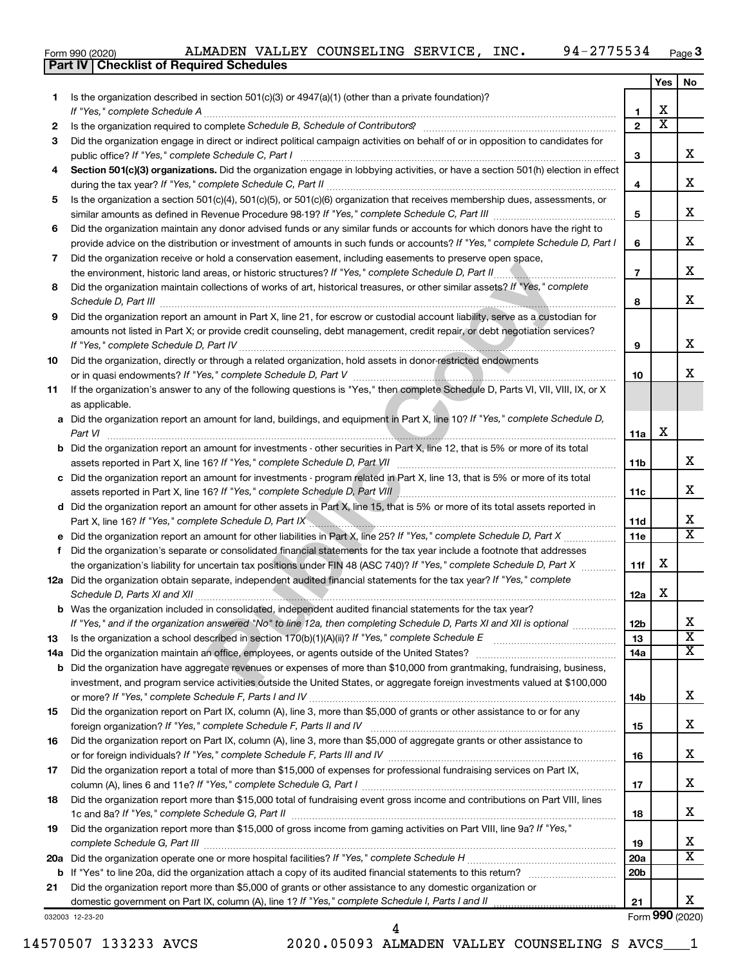|  | Form 990 (2020) |
|--|-----------------|

|     | ALMADEN VALLEY COUNSELING SERVICE, INC.<br>94-2775534<br>Form 990 (2020)                                                                                                                                                                           |                 |                         | Page 3          |
|-----|----------------------------------------------------------------------------------------------------------------------------------------------------------------------------------------------------------------------------------------------------|-----------------|-------------------------|-----------------|
|     | <b>Part IV   Checklist of Required Schedules</b>                                                                                                                                                                                                   |                 |                         |                 |
|     |                                                                                                                                                                                                                                                    |                 | Yes                     | No              |
| 1.  | Is the organization described in section $501(c)(3)$ or $4947(a)(1)$ (other than a private foundation)?<br>If "Yes," complete Schedule A                                                                                                           | 1               | х                       |                 |
| 2   | Is the organization required to complete Schedule B, Schedule of Contributors? [111] [12] the organization required to complete Schedule B, Schedule of Contributors?                                                                              | $\overline{2}$  | $\overline{\textbf{x}}$ |                 |
| 3   | Did the organization engage in direct or indirect political campaign activities on behalf of or in opposition to candidates for                                                                                                                    |                 |                         |                 |
|     |                                                                                                                                                                                                                                                    | З               |                         | x               |
| 4   | Section 501(c)(3) organizations. Did the organization engage in lobbying activities, or have a section 501(h) election in effect                                                                                                                   |                 |                         |                 |
|     |                                                                                                                                                                                                                                                    | 4               |                         | x               |
| 5   | Is the organization a section 501(c)(4), 501(c)(5), or 501(c)(6) organization that receives membership dues, assessments, or                                                                                                                       |                 |                         |                 |
|     |                                                                                                                                                                                                                                                    | 5               |                         | x               |
| 6   | Did the organization maintain any donor advised funds or any similar funds or accounts for which donors have the right to                                                                                                                          |                 |                         |                 |
|     | provide advice on the distribution or investment of amounts in such funds or accounts? If "Yes," complete Schedule D, Part I                                                                                                                       | 6               |                         | x               |
| 7   | Did the organization receive or hold a conservation easement, including easements to preserve open space,                                                                                                                                          |                 |                         |                 |
|     | .                                                                                                                                                                                                                                                  | $\overline{7}$  |                         | x               |
| 8   | Did the organization maintain collections of works of art, historical treasures, or other similar assets? If "Yes," complete                                                                                                                       | 8               |                         | x               |
| 9   | Did the organization report an amount in Part X, line 21, for escrow or custodial account liability, serve as a custodian for                                                                                                                      |                 |                         |                 |
|     | amounts not listed in Part X; or provide credit counseling, debt management, credit repair, or debt negotiation services?                                                                                                                          |                 |                         |                 |
|     |                                                                                                                                                                                                                                                    | 9               |                         | x               |
| 10  | Did the organization, directly or through a related organization, hold assets in donor-restricted endowments                                                                                                                                       | 10              |                         | x               |
| 11  | If the organization's answer to any of the following questions is "Yes," then complete Schedule D, Parts VI, VII, VIII, IX, or X                                                                                                                   |                 |                         |                 |
|     | as applicable.                                                                                                                                                                                                                                     |                 |                         |                 |
|     | a Did the organization report an amount for land, buildings, and equipment in Part X, line 10? If "Yes," complete Schedule D,                                                                                                                      |                 |                         |                 |
|     | Part VI                                                                                                                                                                                                                                            | 11a             | х                       |                 |
|     | <b>b</b> Did the organization report an amount for investments - other securities in Part X, line 12, that is 5% or more of its total                                                                                                              |                 |                         |                 |
|     | assets reported in Part X, line 16? If "Yes," complete Schedule D, Part VII                                                                                                                                                                        | 11b             |                         | х               |
|     | c Did the organization report an amount for investments - program related in Part X, line 13, that is 5% or more of its total                                                                                                                      |                 |                         |                 |
|     | assets reported in Part X, line 16? If "Yes," complete Schedule D, Part VIII [[[[[[[[[[[[[[[[[[[[[[[[[[[[[[[[                                                                                                                                      | 11c             |                         | х               |
|     | d Did the organization report an amount for other assets in Part X, line 15, that is 5% or more of its total assets reported in<br>Part X, line 16? If "Yes," complete Schedule D, Part IX <b>Communication and Contract Automobile Schedule A</b> | 11d             |                         | х               |
|     |                                                                                                                                                                                                                                                    | 11e             |                         | $\mathbf{x}$    |
| f   | Did the organization's separate or consolidated financial statements for the tax year include a footnote that addresses                                                                                                                            |                 |                         |                 |
|     | the organization's liability for uncertain tax positions under FIN 48 (ASC 740)? If "Yes," complete Schedule D, Part X                                                                                                                             | 11f             | x                       |                 |
|     | 12a Did the organization obtain separate, independent audited financial statements for the tax year? If "Yes," complete                                                                                                                            |                 |                         |                 |
|     |                                                                                                                                                                                                                                                    | 12a             | X                       |                 |
|     | <b>b</b> Was the organization included in consolidated, independent audited financial statements for the tax year?                                                                                                                                 |                 |                         |                 |
|     | If "Yes," and if the organization answered "No" to line 12a, then completing Schedule D, Parts XI and XII is optional                                                                                                                              | 12 <sub>b</sub> |                         | x               |
| 13  |                                                                                                                                                                                                                                                    | 13              |                         | x               |
| 14a |                                                                                                                                                                                                                                                    | 14a             |                         | x               |
|     | <b>b</b> Did the organization have aggregate revenues or expenses of more than \$10,000 from grantmaking, fundraising, business,                                                                                                                   |                 |                         |                 |
|     | investment, and program service activities outside the United States, or aggregate foreign investments valued at \$100,000                                                                                                                         | 14b             |                         | х               |
| 15  | Did the organization report on Part IX, column (A), line 3, more than \$5,000 of grants or other assistance to or for any                                                                                                                          |                 |                         |                 |
|     |                                                                                                                                                                                                                                                    | 15              |                         | х               |
| 16  | Did the organization report on Part IX, column (A), line 3, more than \$5,000 of aggregate grants or other assistance to                                                                                                                           |                 |                         |                 |
|     |                                                                                                                                                                                                                                                    | 16              |                         | х               |
| 17  | Did the organization report a total of more than \$15,000 of expenses for professional fundraising services on Part IX,                                                                                                                            |                 |                         |                 |
|     |                                                                                                                                                                                                                                                    | 17              |                         | х               |
| 18  | Did the organization report more than \$15,000 total of fundraising event gross income and contributions on Part VIII, lines                                                                                                                       | 18              |                         | х               |
| 19  | Did the organization report more than \$15,000 of gross income from gaming activities on Part VIII, line 9a? If "Yes,"                                                                                                                             |                 |                         |                 |
|     |                                                                                                                                                                                                                                                    | 19              |                         | х               |
| 20a |                                                                                                                                                                                                                                                    | 20a             |                         | x               |
|     |                                                                                                                                                                                                                                                    | 20 <sub>b</sub> |                         |                 |
| 21  | Did the organization report more than \$5,000 of grants or other assistance to any domestic organization or                                                                                                                                        |                 |                         |                 |
|     |                                                                                                                                                                                                                                                    | 21              |                         | x.              |
|     | 032003 12-23-20                                                                                                                                                                                                                                    |                 |                         | Form 990 (2020) |

14570507 133233 AVCS 2020.05093 ALMADEN VALLEY COUNSELING S AVCS\_\_\_1

4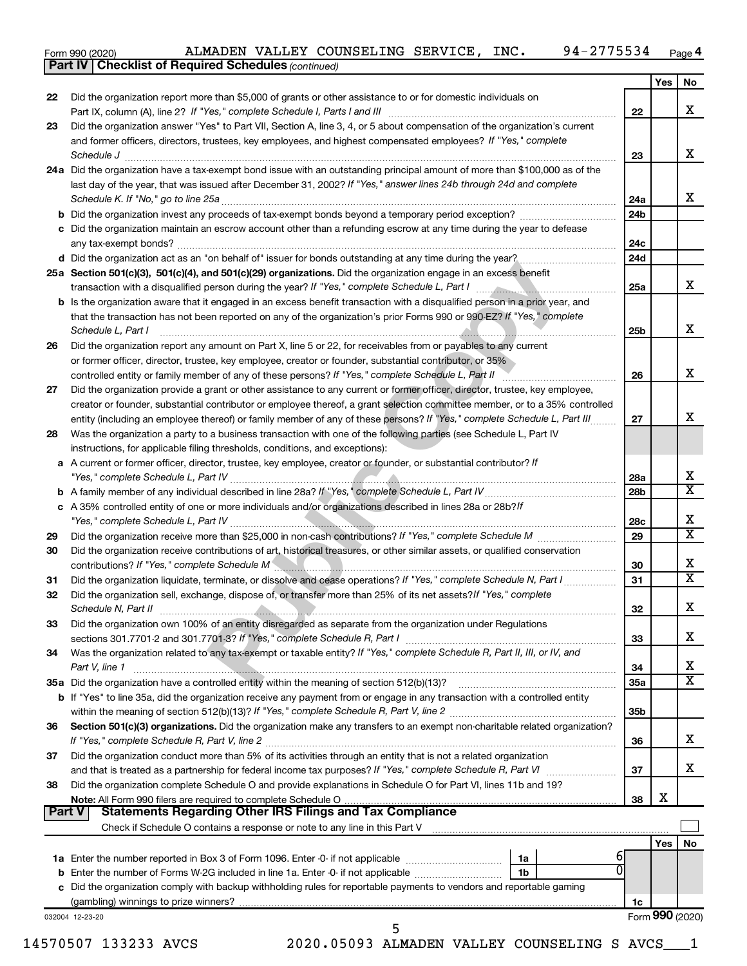| Form 990 (2020) |  |  |  | ALMADEN VALLEY COUNSELING SERVICE, |  | INC. | 94-2775534 | Page |
|-----------------|--|--|--|------------------------------------|--|------|------------|------|
|-----------------|--|--|--|------------------------------------|--|------|------------|------|

|               | ALMADEN VALLEY COUNSELING SERVICE, INC.<br>94-2775534<br>Form 990 (2020)                                                                                                                                                           |                 |            | Page 4          |
|---------------|------------------------------------------------------------------------------------------------------------------------------------------------------------------------------------------------------------------------------------|-----------------|------------|-----------------|
|               | <b>Part IV   Checklist of Required Schedules (continued)</b>                                                                                                                                                                       |                 |            |                 |
|               |                                                                                                                                                                                                                                    |                 | Yes        | No              |
| 22            | Did the organization report more than \$5,000 of grants or other assistance to or for domestic individuals on                                                                                                                      |                 |            |                 |
|               | Part IX, column (A), line 2? If "Yes," complete Schedule I, Parts I and III                                                                                                                                                        | 22              |            | x               |
| 23            | Did the organization answer "Yes" to Part VII, Section A, line 3, 4, or 5 about compensation of the organization's current                                                                                                         |                 |            |                 |
|               | and former officers, directors, trustees, key employees, and highest compensated employees? If "Yes," complete                                                                                                                     |                 |            | x               |
|               | Schedule J <b>Execute J Execute Contract Contract Contract Contract Contract Contract Contract Contract Contract Contract Contract Contract Contract Contract Contract Contract Contract Contract Contract Contract Contract C</b> | 23              |            |                 |
|               | 24a Did the organization have a tax-exempt bond issue with an outstanding principal amount of more than \$100,000 as of the                                                                                                        |                 |            |                 |
|               | last day of the year, that was issued after December 31, 2002? If "Yes," answer lines 24b through 24d and complete                                                                                                                 |                 |            | x               |
|               |                                                                                                                                                                                                                                    | 24a             |            |                 |
|               |                                                                                                                                                                                                                                    | 24 <sub>b</sub> |            |                 |
|               | c Did the organization maintain an escrow account other than a refunding escrow at any time during the year to defease                                                                                                             |                 |            |                 |
|               | any tax-exempt bonds?                                                                                                                                                                                                              | 24c             |            |                 |
|               | d Did the organization act as an "on behalf of" issuer for bonds outstanding at any time during the year?                                                                                                                          | 24d             |            |                 |
|               | 25a Section 501(c)(3), 501(c)(4), and 501(c)(29) organizations. Did the organization engage in an excess benefit                                                                                                                   |                 |            | x               |
|               | transaction with a disqualified person during the year? If "Yes," complete Schedule L, Part I manufactured in the subsequent                                                                                                       | 25a             |            |                 |
|               | <b>b</b> Is the organization aware that it engaged in an excess benefit transaction with a disqualified person in a prior year, and                                                                                                |                 |            |                 |
|               | that the transaction has not been reported on any of the organization's prior Forms 990 or 990-EZ? If "Yes," complete                                                                                                              |                 |            | x               |
|               | Schedule L, Part I                                                                                                                                                                                                                 | 25b             |            |                 |
| 26            | Did the organization report any amount on Part X, line 5 or 22, for receivables from or payables to any current                                                                                                                    |                 |            |                 |
|               | or former officer, director, trustee, key employee, creator or founder, substantial contributor, or 35%                                                                                                                            |                 |            | x               |
|               | controlled entity or family member of any of these persons? If "Yes," complete Schedule L, Part II                                                                                                                                 | 26              |            |                 |
| 27            | Did the organization provide a grant or other assistance to any current or former officer, director, trustee, key employee,                                                                                                        |                 |            |                 |
|               | creator or founder, substantial contributor or employee thereof, a grant selection committee member, or to a 35% controlled                                                                                                        |                 |            | x               |
|               | entity (including an employee thereof) or family member of any of these persons? If "Yes," complete Schedule L, Part III                                                                                                           | 27              |            |                 |
| 28            | Was the organization a party to a business transaction with one of the following parties (see Schedule L, Part IV                                                                                                                  |                 |            |                 |
|               | instructions, for applicable filing thresholds, conditions, and exceptions):                                                                                                                                                       |                 |            |                 |
| а             | A current or former officer, director, trustee, key employee, creator or founder, or substantial contributor? If                                                                                                                   |                 |            | х               |
|               |                                                                                                                                                                                                                                    | 28a             |            | X               |
|               |                                                                                                                                                                                                                                    | 28 <sub>b</sub> |            |                 |
|               | c A 35% controlled entity of one or more individuals and/or organizations described in lines 28a or 28b?/f                                                                                                                         |                 |            | х               |
|               |                                                                                                                                                                                                                                    | 28c             |            | X               |
| 29            |                                                                                                                                                                                                                                    | 29              |            |                 |
| 30            | Did the organization receive contributions of art, historical treasures, or other similar assets, or qualified conservation                                                                                                        |                 |            | х               |
|               | contributions? If "Yes," complete Schedule M <b>Contract Contributions</b> (Manual Contributions of the Ves," complete Schedule M                                                                                                  | 30              |            | X               |
| 31            | Did the organization liquidate, terminate, or dissolve and cease operations? If "Yes," complete Schedule N, Part I                                                                                                                 | 31              |            |                 |
| 32            | Did the organization sell, exchange, dispose of, or transfer more than 25% of its net assets? If "Yes," complete                                                                                                                   |                 |            | х               |
|               | Schedule N, Part II                                                                                                                                                                                                                | 32              |            |                 |
| 33            | Did the organization own 100% of an entity disregarded as separate from the organization under Regulations                                                                                                                         |                 |            | x.              |
|               |                                                                                                                                                                                                                                    | 33              |            |                 |
| 34            | Was the organization related to any tax-exempt or taxable entity? If "Yes," complete Schedule R, Part II, III, or IV, and                                                                                                          |                 |            | х               |
|               | Part V, line 1                                                                                                                                                                                                                     | 34              |            | x               |
|               | 35a Did the organization have a controlled entity within the meaning of section 512(b)(13)?                                                                                                                                        | 35a             |            |                 |
|               | b If "Yes" to line 35a, did the organization receive any payment from or engage in any transaction with a controlled entity                                                                                                        |                 |            |                 |
|               |                                                                                                                                                                                                                                    | 35 <sub>b</sub> |            |                 |
| 36            | Section 501(c)(3) organizations. Did the organization make any transfers to an exempt non-charitable related organization?                                                                                                         |                 |            | x.              |
|               | Did the organization conduct more than 5% of its activities through an entity that is not a related organization                                                                                                                   | 36              |            |                 |
| 37            |                                                                                                                                                                                                                                    | 37              |            | x.              |
|               | Did the organization complete Schedule O and provide explanations in Schedule O for Part VI, lines 11b and 19?                                                                                                                     |                 |            |                 |
| 38            |                                                                                                                                                                                                                                    | 38              | х          |                 |
| <b>Part V</b> | <b>Statements Regarding Other IRS Filings and Tax Compliance</b>                                                                                                                                                                   |                 |            |                 |
|               | Check if Schedule O contains a response or note to any line in this Part V [11] [12] Check if Schedule O contains a response or note to any line in this Part V                                                                    |                 |            |                 |
|               |                                                                                                                                                                                                                                    |                 | <b>Yes</b> | No              |
|               | 1a Enter the number reported in Box 3 of Form 1096. Enter -0- if not applicable <i>manumerane community</i><br>1a                                                                                                                  | ы               |            |                 |
|               | 1b                                                                                                                                                                                                                                 |                 |            |                 |
|               | c Did the organization comply with backup withholding rules for reportable payments to vendors and reportable gaming                                                                                                               |                 |            |                 |
|               |                                                                                                                                                                                                                                    | 1c              |            |                 |
|               | 032004 12-23-20                                                                                                                                                                                                                    |                 |            | Form 990 (2020) |
|               | 5                                                                                                                                                                                                                                  |                 |            |                 |
|               | 570507 133933 AVGC<br>2020 05093 ALMADEN VALLEY COUNCELING C AVCC                                                                                                                                                                  |                 |            |                 |

14570507 133233 AVCS 2020.05093 ALMADEN VALLEY COUNSELING S AVCS\_\_\_1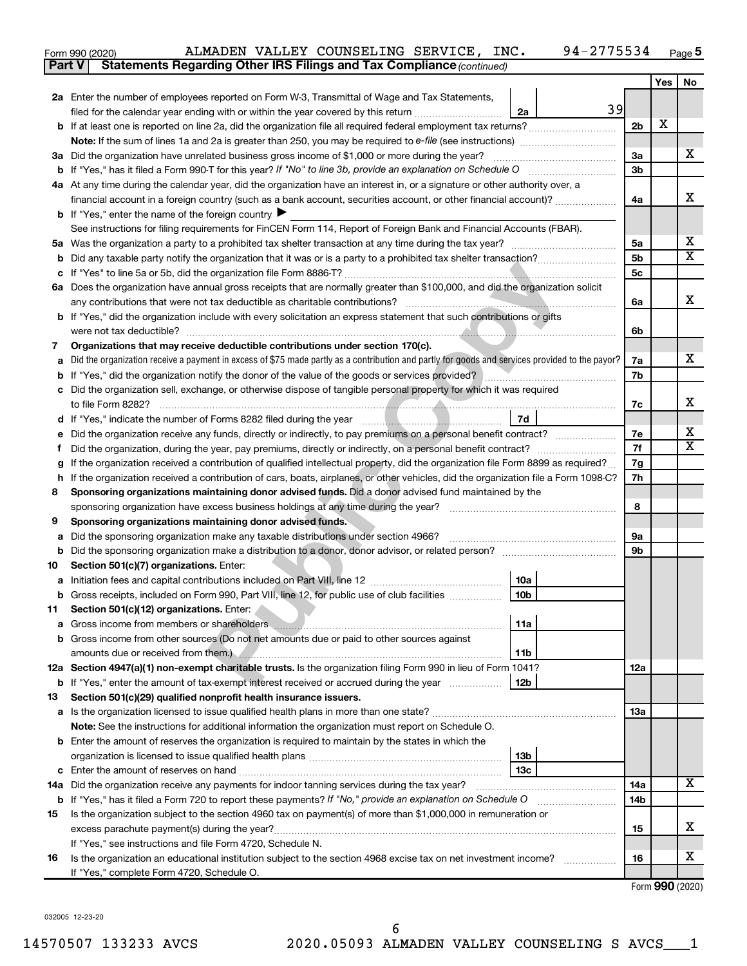| Form 990 (2020) |  | ALMADEN VALLEY COUNSELING SERVICE, INC.                                             |  | 94-2775534 $_{Page}$ |  |
|-----------------|--|-------------------------------------------------------------------------------------|--|----------------------|--|
|                 |  | <b>Part V</b> Statements Regarding Other IRS Filings and Tax Compliance (continued) |  |                      |  |

|     |                                                                                                                                                               |                | Yes | No                           |
|-----|---------------------------------------------------------------------------------------------------------------------------------------------------------------|----------------|-----|------------------------------|
|     | 2a Enter the number of employees reported on Form W-3, Transmittal of Wage and Tax Statements,                                                                |                |     |                              |
|     | 39<br>filed for the calendar year ending with or within the year covered by this return<br>2a                                                                 |                |     |                              |
|     |                                                                                                                                                               | 2 <sub>b</sub> | х   |                              |
|     |                                                                                                                                                               |                |     |                              |
|     | 3a Did the organization have unrelated business gross income of \$1,000 or more during the year?                                                              | За             |     | x                            |
|     |                                                                                                                                                               | 3 <sub>b</sub> |     |                              |
|     | 4a At any time during the calendar year, did the organization have an interest in, or a signature or other authority over, a                                  |                |     |                              |
|     | financial account in a foreign country (such as a bank account, securities account, or other financial account)?                                              | 4a             |     | х                            |
|     | <b>b</b> If "Yes," enter the name of the foreign country $\blacktriangleright$                                                                                |                |     |                              |
|     | See instructions for filing requirements for FinCEN Form 114, Report of Foreign Bank and Financial Accounts (FBAR).                                           |                |     |                              |
|     |                                                                                                                                                               | 5a             |     | X<br>$\overline{\mathtt{x}}$ |
| b   | Did any taxable party notify the organization that it was or is a party to a prohibited tax shelter transaction?                                              | 5 <sub>b</sub> |     |                              |
|     |                                                                                                                                                               | 5c             |     |                              |
|     | 6a Does the organization have annual gross receipts that are normally greater than \$100,000, and did the organization solicit                                |                |     | x                            |
|     |                                                                                                                                                               | 6a             |     |                              |
|     | <b>b</b> If "Yes," did the organization include with every solicitation an express statement that such contributions or gifts                                 |                |     |                              |
|     | were not tax deductible?                                                                                                                                      | 6b             |     |                              |
| 7   | Organizations that may receive deductible contributions under section 170(c).                                                                                 |                |     | x                            |
| a   | Did the organization receive a payment in excess of \$75 made partly as a contribution and partly for goods and services provided to the payor?               | 7a<br>7b       |     |                              |
| b   | c Did the organization sell, exchange, or otherwise dispose of tangible personal property for which it was required                                           |                |     |                              |
|     | to file Form 8282?                                                                                                                                            | 7c             |     | x                            |
|     | 7d                                                                                                                                                            |                |     |                              |
| е   | Did the organization receive any funds, directly or indirectly, to pay premiums on a personal benefit contract?                                               | 7е             |     | x                            |
| Ť.  |                                                                                                                                                               | 7f             |     | $\overline{\texttt{x}}$      |
| g   | If the organization received a contribution of qualified intellectual property, did the organization file Form 8899 as required?                              | 7g             |     |                              |
| h   | If the organization received a contribution of cars, boats, airplanes, or other vehicles, did the organization file a Form 1098-C?                            | 7h             |     |                              |
| 8   | Sponsoring organizations maintaining donor advised funds. Did a donor advised fund maintained by the                                                          |                |     |                              |
|     | sponsoring organization have excess business holdings at any time during the year?                                                                            | 8              |     |                              |
| 9   | Sponsoring organizations maintaining donor advised funds.                                                                                                     |                |     |                              |
| а   | Did the sponsoring organization make any taxable distributions under section 4966?                                                                            | 9а             |     |                              |
| b   |                                                                                                                                                               | 9b             |     |                              |
| 10  | Section 501(c)(7) organizations. Enter:                                                                                                                       |                |     |                              |
| а   | 10a                                                                                                                                                           |                |     |                              |
|     | 10 <sub>b</sub><br>Gross receipts, included on Form 990, Part VIII, line 12, for public use of club facilities                                                |                |     |                              |
| 11  | Section 501(c)(12) organizations. Enter:                                                                                                                      |                |     |                              |
|     | 11a                                                                                                                                                           |                |     |                              |
|     | <b>b</b> Gross income from other sources (Do not net amounts due or paid to other sources against                                                             |                |     |                              |
|     | amounts due or received from them.)<br>11b                                                                                                                    |                |     |                              |
|     | 12a Section 4947(a)(1) non-exempt charitable trusts. Is the organization filing Form 990 in lieu of Form 1041?                                                | 12a            |     |                              |
| b   | If "Yes," enter the amount of tax-exempt interest received or accrued during the year<br>12b                                                                  |                |     |                              |
| 13  | Section 501(c)(29) qualified nonprofit health insurance issuers.                                                                                              |                |     |                              |
|     |                                                                                                                                                               | 13a            |     |                              |
|     | Note: See the instructions for additional information the organization must report on Schedule O.                                                             |                |     |                              |
|     | <b>b</b> Enter the amount of reserves the organization is required to maintain by the states in which the                                                     |                |     |                              |
|     | 13 <sub>b</sub>                                                                                                                                               |                |     |                              |
| с   | 13c                                                                                                                                                           |                |     | X                            |
| 14a |                                                                                                                                                               | 14a            |     |                              |
| b   | If "Yes," has it filed a Form 720 to report these payments? If "No," provide an explanation on Schedule O                                                     | 14b            |     |                              |
| 15  | Is the organization subject to the section 4960 tax on payment(s) of more than \$1,000,000 in remuneration or<br>excess parachute payment(s) during the year? | 15             |     | х                            |
|     | If "Yes," see instructions and file Form 4720, Schedule N.                                                                                                    |                |     |                              |
| 16  | Is the organization an educational institution subject to the section 4968 excise tax on net investment income?                                               | 16             |     | x                            |
|     | If "Yes," complete Form 4720, Schedule O.                                                                                                                     |                |     |                              |

Form (2020) **990**

032005 12-23-20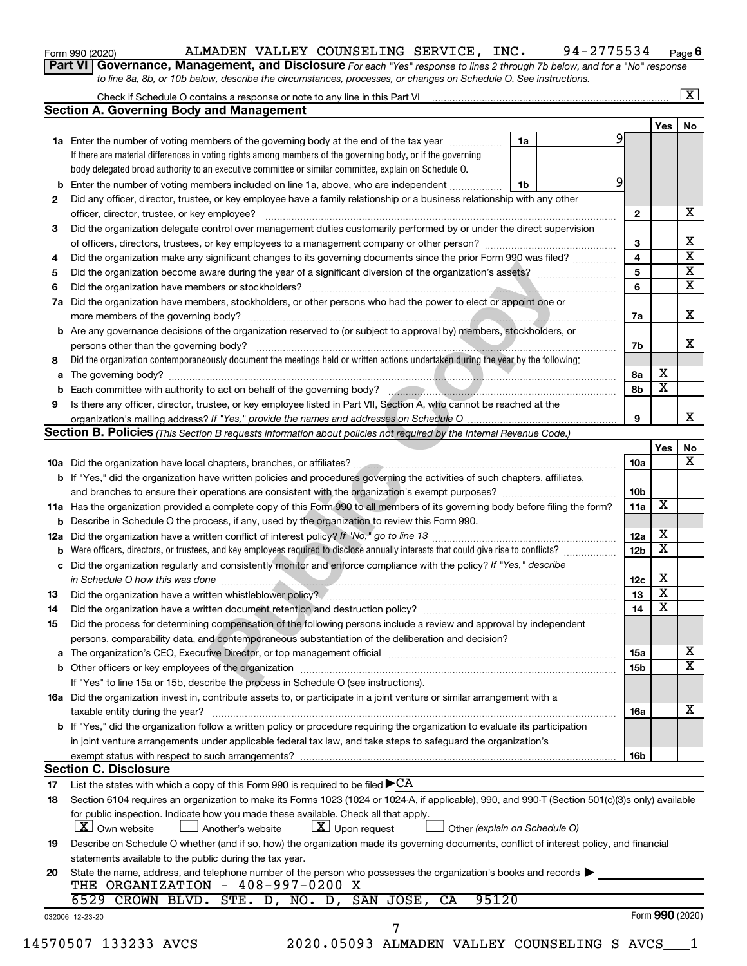| Form 990 (2020) |  |
|-----------------|--|
|-----------------|--|

#### Form 990 (2020) Page ALMADEN VALLEY COUNSELING SERVICE, INC. 94-2775534

**Part VI** Governance, Management, and Disclosure For each "Yes" response to lines 2 through 7b below, and for a "No" response *to line 8a, 8b, or 10b below, describe the circumstances, processes, or changes on Schedule O. See instructions.* **6**

|                | <b>Section A. Governing Body and Management</b>                                                                                                                                           |                               |                 |                         | $\mathbf{X}$ |
|----------------|-------------------------------------------------------------------------------------------------------------------------------------------------------------------------------------------|-------------------------------|-----------------|-------------------------|--------------|
|                |                                                                                                                                                                                           |                               |                 | Yes                     | No           |
|                | 1a Enter the number of voting members of the governing body at the end of the tax year                                                                                                    | 1a                            | 9               |                         |              |
|                | If there are material differences in voting rights among members of the governing body, or if the governing                                                                               |                               |                 |                         |              |
|                | body delegated broad authority to an executive committee or similar committee, explain on Schedule O.                                                                                     |                               |                 |                         |              |
|                | <b>b</b> Enter the number of voting members included on line 1a, above, who are independent                                                                                               | 1b                            | 9               |                         |              |
|                | Did any officer, director, trustee, or key employee have a family relationship or a business relationship with any other                                                                  |                               |                 |                         |              |
| 2              |                                                                                                                                                                                           |                               | $\mathbf{2}$    |                         |              |
|                |                                                                                                                                                                                           |                               |                 |                         |              |
| 3              | Did the organization delegate control over management duties customarily performed by or under the direct supervision                                                                     |                               |                 |                         |              |
|                |                                                                                                                                                                                           |                               | 3               |                         |              |
| 4              | Did the organization make any significant changes to its governing documents since the prior Form 990 was filed?                                                                          |                               | 4               |                         |              |
| 5              |                                                                                                                                                                                           |                               | 5               |                         |              |
| 6              |                                                                                                                                                                                           |                               | 6               |                         |              |
| 7a             | Did the organization have members, stockholders, or other persons who had the power to elect or appoint one or                                                                            |                               |                 |                         |              |
|                |                                                                                                                                                                                           |                               | 7a              |                         |              |
|                | <b>b</b> Are any governance decisions of the organization reserved to (or subject to approval by) members, stockholders, or                                                               |                               |                 |                         |              |
|                |                                                                                                                                                                                           |                               | 7b              |                         |              |
| 8              | Did the organization contemporaneously document the meetings held or written actions undertaken during the year by the following:                                                         |                               |                 |                         |              |
| a              |                                                                                                                                                                                           |                               | 8а              | х                       |              |
|                | b Each committee with authority to act on behalf of the governing body?<br>manager management communication communication communication and the second tensor of the second of the govern |                               | 8b              | $\overline{\mathbf{x}}$ |              |
| 9              | Is there any officer, director, trustee, or key employee listed in Part VII, Section A, who cannot be reached at the                                                                      |                               |                 |                         |              |
|                |                                                                                                                                                                                           |                               | 9               |                         |              |
|                | <b>Section B. Policies</b> (This Section B requests information about policies not required by the Internal Revenue Code.)                                                                |                               |                 |                         |              |
|                |                                                                                                                                                                                           |                               |                 | Yes                     |              |
|                |                                                                                                                                                                                           |                               | 10a             |                         |              |
|                | <b>b</b> If "Yes," did the organization have written policies and procedures governing the activities of such chapters, affiliates,                                                       |                               |                 |                         |              |
|                |                                                                                                                                                                                           |                               | 10 <sub>b</sub> |                         |              |
|                | 11a Has the organization provided a complete copy of this Form 990 to all members of its governing body before filing the form?                                                           |                               | 11a             | X                       |              |
|                | <b>b</b> Describe in Schedule O the process, if any, used by the organization to review this Form 990.                                                                                    |                               |                 |                         |              |
|                |                                                                                                                                                                                           |                               | 12a             | х                       |              |
|                | <b>b</b> Were officers, directors, or trustees, and key employees required to disclose annually interests that could give rise to conflicts?                                              |                               | 12 <sub>b</sub> | $\overline{\textbf{x}}$ |              |
|                | c Did the organization regularly and consistently monitor and enforce compliance with the policy? If "Yes," describe                                                                      |                               |                 |                         |              |
|                |                                                                                                                                                                                           |                               | 12c             | х                       |              |
| 13             |                                                                                                                                                                                           |                               | 13              | $\overline{\textbf{x}}$ |              |
| 14             |                                                                                                                                                                                           |                               | 14              | $\overline{\mathbf{X}}$ |              |
| 15             | Did the process for determining compensation of the following persons include a review and approval by independent                                                                        |                               |                 |                         |              |
|                | persons, comparability data, and contemporaneous substantiation of the deliberation and decision?                                                                                         |                               |                 |                         |              |
|                | The organization's CEO, Executive Director, or top management official [111] [11] manument manument contracts                                                                             |                               | 15a             |                         |              |
|                |                                                                                                                                                                                           |                               | 15b             |                         |              |
|                | If "Yes" to line 15a or 15b, describe the process in Schedule O (see instructions).                                                                                                       |                               |                 |                         |              |
|                | 16a Did the organization invest in, contribute assets to, or participate in a joint venture or similar arrangement with a                                                                 |                               |                 |                         |              |
|                | taxable entity during the year?                                                                                                                                                           |                               | <b>16a</b>      |                         |              |
|                | b If "Yes," did the organization follow a written policy or procedure requiring the organization to evaluate its participation                                                            |                               |                 |                         |              |
|                | in joint venture arrangements under applicable federal tax law, and take steps to safeguard the organization's                                                                            |                               |                 |                         |              |
|                | exempt status with respect to such arrangements?                                                                                                                                          |                               | 16b             |                         |              |
|                | <b>Section C. Disclosure</b>                                                                                                                                                              |                               |                 |                         |              |
|                |                                                                                                                                                                                           |                               |                 |                         |              |
|                |                                                                                                                                                                                           |                               |                 |                         |              |
|                | List the states with which a copy of this Form 990 is required to be filed $\blacktriangleright$ CA                                                                                       |                               |                 |                         |              |
|                | Section 6104 requires an organization to make its Forms 1023 (1024 or 1024-A, if applicable), 990, and 990-T (Section 501(c)(3)s only) available                                          |                               |                 |                         |              |
|                | for public inspection. Indicate how you made these available. Check all that apply.                                                                                                       |                               |                 |                         |              |
|                | $\lfloor x \rfloor$ Upon request<br><b>X</b> Own website<br>Another's website                                                                                                             | Other (explain on Schedule O) |                 |                         |              |
|                | Describe on Schedule O whether (and if so, how) the organization made its governing documents, conflict of interest policy, and financial                                                 |                               |                 |                         |              |
| 17<br>18<br>19 | statements available to the public during the tax year.                                                                                                                                   |                               |                 |                         |              |
| 20             | State the name, address, and telephone number of the person who possesses the organization's books and records                                                                            |                               |                 |                         |              |
|                | THE ORGANIZATION - 408-997-0200 X                                                                                                                                                         |                               |                 |                         |              |
|                | 95120<br>6529 CROWN BLVD. STE. D, NO. D, SAN JOSE,<br>CA                                                                                                                                  |                               |                 |                         |              |
|                | 032006 12-23-20<br>7                                                                                                                                                                      |                               |                 | Form 990 (2020)         |              |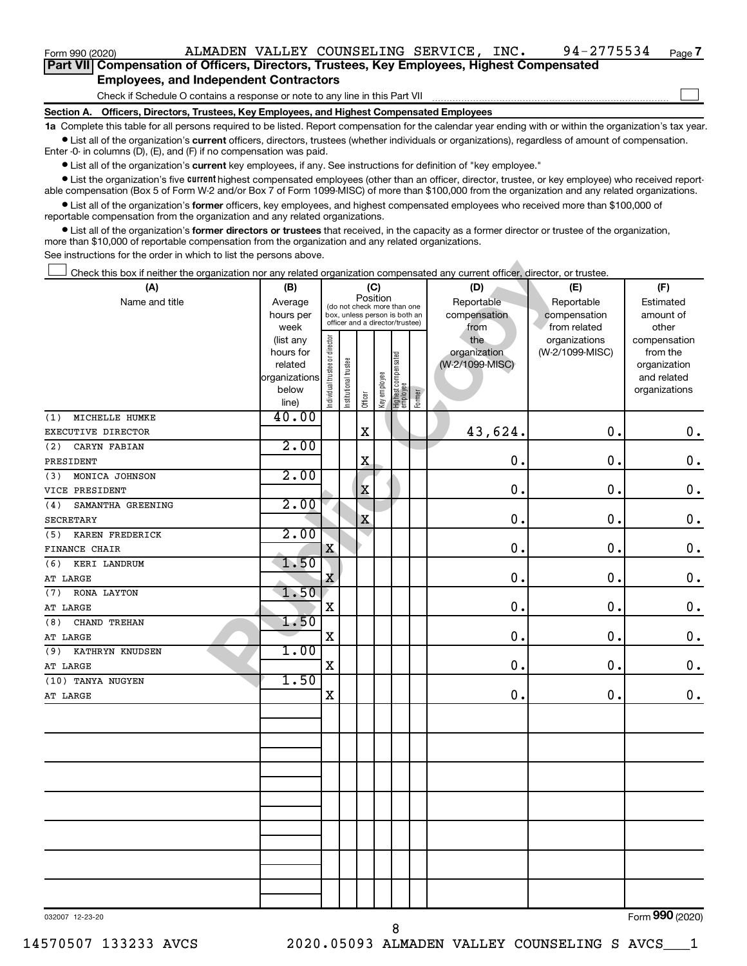| Part VII Compensation of Officers, Directors, Trustees, Key Employees, Highest Compensated |  |  |  |
|--------------------------------------------------------------------------------------------|--|--|--|
| <b>Employees, and Independent Contractors</b>                                              |  |  |  |

| Form 990 (2020)                                                                                                                                                                                                                                                                                           |                      |                                |                       |                                         |              |                                   |        | ALMADEN VALLEY COUNSELING SERVICE, INC. | 94-2775534      | Page 7                   |
|-----------------------------------------------------------------------------------------------------------------------------------------------------------------------------------------------------------------------------------------------------------------------------------------------------------|----------------------|--------------------------------|-----------------------|-----------------------------------------|--------------|-----------------------------------|--------|-----------------------------------------|-----------------|--------------------------|
| Part VII Compensation of Officers, Directors, Trustees, Key Employees, Highest Compensated                                                                                                                                                                                                                |                      |                                |                       |                                         |              |                                   |        |                                         |                 |                          |
| <b>Employees, and Independent Contractors</b>                                                                                                                                                                                                                                                             |                      |                                |                       |                                         |              |                                   |        |                                         |                 |                          |
| Check if Schedule O contains a response or note to any line in this Part VII                                                                                                                                                                                                                              |                      |                                |                       |                                         |              |                                   |        |                                         |                 |                          |
| Section A. Officers, Directors, Trustees, Key Employees, and Highest Compensated Employees                                                                                                                                                                                                                |                      |                                |                       |                                         |              |                                   |        |                                         |                 |                          |
| 1a Complete this table for all persons required to be listed. Report compensation for the calendar year ending with or within the organization's tax year                                                                                                                                                 |                      |                                |                       |                                         |              |                                   |        |                                         |                 |                          |
| • List all of the organization's current officers, directors, trustees (whether individuals or organizations), regardless of amount of compensation.<br>Enter $-0$ in columns (D), (E), and (F) if no compensation was paid.                                                                              |                      |                                |                       |                                         |              |                                   |        |                                         |                 |                          |
| • List all of the organization's current key employees, if any. See instructions for definition of "key employee."                                                                                                                                                                                        |                      |                                |                       |                                         |              |                                   |        |                                         |                 |                          |
| • List the organization's five current highest compensated employees (other than an officer, director, trustee, or key employee) who received report-<br>able compensation (Box 5 of Form W-2 and/or Box 7 of Form 1099-MISC) of more than \$100,000 from the organization and any related organizations. |                      |                                |                       |                                         |              |                                   |        |                                         |                 |                          |
| • List all of the organization's former officers, key employees, and highest compensated employees who received more than \$100,000 of                                                                                                                                                                    |                      |                                |                       |                                         |              |                                   |        |                                         |                 |                          |
| reportable compensation from the organization and any related organizations.<br>• List all of the organization's former directors or trustees that received, in the capacity as a former director or trustee of the organization,                                                                         |                      |                                |                       |                                         |              |                                   |        |                                         |                 |                          |
| more than \$10,000 of reportable compensation from the organization and any related organizations.                                                                                                                                                                                                        |                      |                                |                       |                                         |              |                                   |        |                                         |                 |                          |
| See instructions for the order in which to list the persons above.                                                                                                                                                                                                                                        |                      |                                |                       |                                         |              |                                   |        |                                         |                 |                          |
| Check this box if neither the organization nor any related organization compensated any current officer, director, or trustee.                                                                                                                                                                            |                      |                                |                       |                                         |              |                                   |        |                                         |                 |                          |
| (A)                                                                                                                                                                                                                                                                                                       | (B)                  |                                |                       | (C)                                     |              |                                   |        | (D)                                     | (E)             | (F)                      |
| Name and title                                                                                                                                                                                                                                                                                            | Average              |                                |                       | Position<br>(do not check more than one |              |                                   |        | Reportable                              | Reportable      | Estimated                |
|                                                                                                                                                                                                                                                                                                           | hours per            |                                |                       | box, unless person is both an           |              |                                   |        | compensation                            | compensation    | amount of                |
|                                                                                                                                                                                                                                                                                                           | week                 |                                |                       | officer and a director/trustee)         |              |                                   |        | from                                    | from related    | other                    |
|                                                                                                                                                                                                                                                                                                           | (list any            |                                |                       |                                         |              |                                   |        | the                                     | organizations   | compensation             |
|                                                                                                                                                                                                                                                                                                           | hours for<br>related |                                |                       |                                         |              |                                   |        | organization<br>(W-2/1099-MISC)         | (W-2/1099-MISC) | from the<br>organization |
|                                                                                                                                                                                                                                                                                                           | organizations        |                                |                       |                                         |              |                                   |        |                                         |                 | and related              |
|                                                                                                                                                                                                                                                                                                           | below                | Individual trustee or director | Institutional trustee |                                         | Key employee |                                   |        |                                         |                 | organizations            |
|                                                                                                                                                                                                                                                                                                           | line)                |                                |                       | Officer                                 |              | Highest compensated<br>  employee | Former |                                         |                 |                          |
| MICHELLE HUMKE<br>(1)                                                                                                                                                                                                                                                                                     | 40.00                |                                |                       |                                         |              |                                   |        |                                         |                 |                          |
| EXECUTIVE DIRECTOR                                                                                                                                                                                                                                                                                        |                      |                                |                       | X                                       |              |                                   |        | 43,624.                                 | $\mathbf 0$ .   | 0.                       |
| CARYN FABIAN<br>(2)                                                                                                                                                                                                                                                                                       | 2.00                 |                                |                       |                                         |              |                                   |        |                                         |                 |                          |
| PRESIDENT                                                                                                                                                                                                                                                                                                 |                      |                                |                       | X                                       |              |                                   |        | $\mathbf 0$ .                           | $\mathbf 0$ .   | 0.                       |
| MONICA JOHNSON<br>(3)                                                                                                                                                                                                                                                                                     | 2.00                 |                                |                       |                                         |              |                                   |        |                                         |                 |                          |
| VICE PRESIDENT                                                                                                                                                                                                                                                                                            |                      |                                |                       | X                                       |              |                                   |        | $\mathbf 0$ .                           | $\mathbf 0$ .   | 0.                       |
| SAMANTHA GREENING<br>(4)                                                                                                                                                                                                                                                                                  | 2.00                 |                                |                       |                                         |              |                                   |        |                                         |                 |                          |
| <b>SECRETARY</b>                                                                                                                                                                                                                                                                                          |                      |                                |                       | X                                       |              |                                   |        | $\mathbf 0$ .                           | 0.              | 0.                       |
| KAREN FREDERICK<br>(5)                                                                                                                                                                                                                                                                                    | 2.00                 |                                |                       |                                         |              |                                   |        |                                         |                 |                          |
| <b>FINANCE CHAIR</b>                                                                                                                                                                                                                                                                                      |                      | X                              |                       |                                         |              |                                   |        | $\mathbf 0$ .                           | $\mathbf 0$ .   | 0.                       |
| (6)<br>KERI LANDRUM                                                                                                                                                                                                                                                                                       | 1.50                 |                                |                       |                                         |              |                                   |        |                                         |                 |                          |
| AT LARGE                                                                                                                                                                                                                                                                                                  |                      | X                              |                       |                                         |              |                                   |        | $\mathbf 0$ .                           | $\mathbf 0$ .   | 0.                       |
| (7) RONA LAYTON                                                                                                                                                                                                                                                                                           | 1.50                 |                                |                       |                                         |              |                                   |        |                                         |                 |                          |
| AT LARGE                                                                                                                                                                                                                                                                                                  |                      | X                              |                       |                                         |              |                                   |        | 0.                                      | 0.              | $0 \cdot$                |
| (8) CHAND TREHAN                                                                                                                                                                                                                                                                                          | 1.50                 |                                |                       |                                         |              |                                   |        |                                         |                 |                          |
| AT LARGE                                                                                                                                                                                                                                                                                                  |                      | X                              |                       |                                         |              |                                   |        | 0.                                      | 0.              | $\mathbf 0$ .            |
| (9) KATHRYN KNUDSEN                                                                                                                                                                                                                                                                                       | 1.00                 | X                              |                       |                                         |              |                                   |        | 0.                                      |                 |                          |
| AT LARGE<br>(10) TANYA NUGYEN                                                                                                                                                                                                                                                                             | 1.50                 |                                |                       |                                         |              |                                   |        |                                         | о.              | 0.                       |
| AT LARGE                                                                                                                                                                                                                                                                                                  |                      | X                              |                       |                                         |              |                                   |        | 0.                                      | 0.              | $\mathbf 0$ .            |
|                                                                                                                                                                                                                                                                                                           |                      |                                |                       |                                         |              |                                   |        |                                         |                 |                          |
|                                                                                                                                                                                                                                                                                                           |                      |                                |                       |                                         |              |                                   |        |                                         |                 |                          |
|                                                                                                                                                                                                                                                                                                           |                      |                                |                       |                                         |              |                                   |        |                                         |                 |                          |
|                                                                                                                                                                                                                                                                                                           |                      |                                |                       |                                         |              |                                   |        |                                         |                 |                          |
|                                                                                                                                                                                                                                                                                                           |                      |                                |                       |                                         |              |                                   |        |                                         |                 |                          |
|                                                                                                                                                                                                                                                                                                           |                      |                                |                       |                                         |              |                                   |        |                                         |                 |                          |
|                                                                                                                                                                                                                                                                                                           |                      |                                |                       |                                         |              |                                   |        |                                         |                 |                          |
|                                                                                                                                                                                                                                                                                                           |                      |                                |                       |                                         |              |                                   |        |                                         |                 |                          |
|                                                                                                                                                                                                                                                                                                           |                      |                                |                       |                                         |              |                                   |        |                                         |                 |                          |
|                                                                                                                                                                                                                                                                                                           |                      |                                |                       |                                         |              |                                   |        |                                         |                 |                          |
|                                                                                                                                                                                                                                                                                                           |                      |                                |                       |                                         |              |                                   |        |                                         |                 |                          |
|                                                                                                                                                                                                                                                                                                           |                      |                                |                       |                                         |              |                                   |        |                                         |                 |                          |
|                                                                                                                                                                                                                                                                                                           |                      |                                |                       |                                         |              |                                   |        |                                         |                 |                          |
|                                                                                                                                                                                                                                                                                                           |                      |                                |                       |                                         |              |                                   |        |                                         |                 |                          |
| 032007 12-23-20                                                                                                                                                                                                                                                                                           |                      |                                |                       |                                         |              |                                   |        |                                         |                 | Form 990 (2020)          |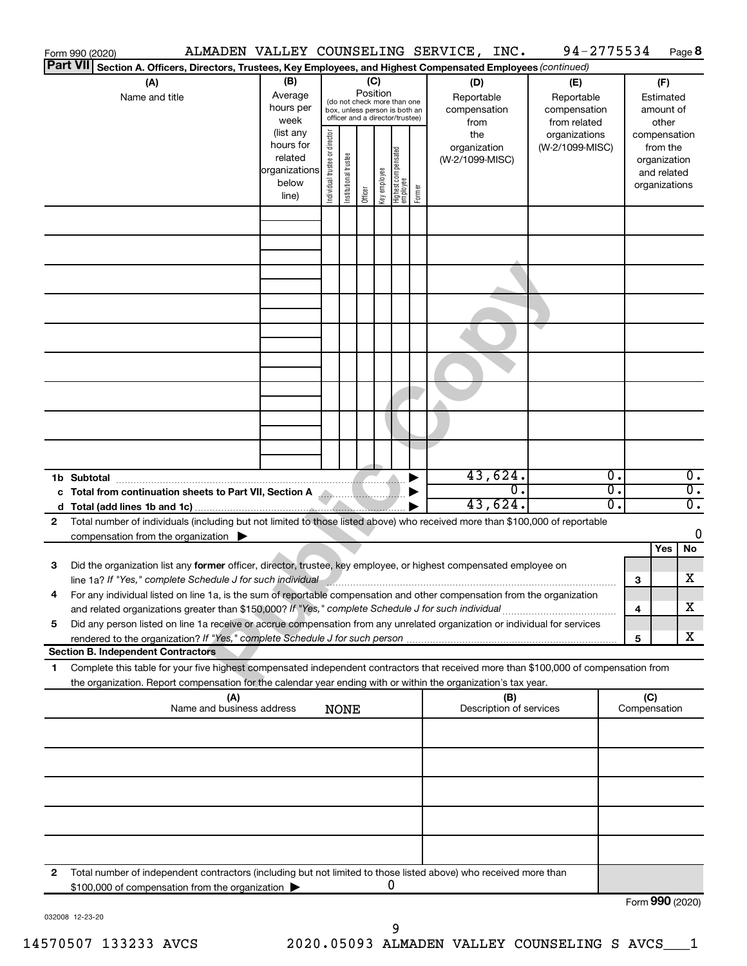|              | Form 990 (2020)                                                                                                                                                                                                                      |                                                                                                             |                                |                       |                                            |                                                                                                                                    |        | ALMADEN VALLEY COUNSELING SERVICE, INC.                                             | 94-2775534                                                                            |    |                                                                                                                    | Page 8                      |
|--------------|--------------------------------------------------------------------------------------------------------------------------------------------------------------------------------------------------------------------------------------|-------------------------------------------------------------------------------------------------------------|--------------------------------|-----------------------|--------------------------------------------|------------------------------------------------------------------------------------------------------------------------------------|--------|-------------------------------------------------------------------------------------|---------------------------------------------------------------------------------------|----|--------------------------------------------------------------------------------------------------------------------|-----------------------------|
|              | <b>Part VII</b><br>Section A. Officers, Directors, Trustees, Key Employees, and Highest Compensated Employees (continued)                                                                                                            |                                                                                                             |                                |                       |                                            |                                                                                                                                    |        |                                                                                     |                                                                                       |    |                                                                                                                    |                             |
|              | (A)<br>Name and title                                                                                                                                                                                                                | (B)<br>Average<br>hours per<br>week<br>(list any<br>hours for<br>related<br>organizations<br>below<br>line) | Individual trustee or director | Institutional trustee | (C)<br>Position<br>Key employee<br>Officer | (do not check more than one<br>box, unless person is both an<br>officer and a director/trustee)<br>Highest compensated<br>employee | Former | (D)<br>Reportable<br>compensation<br>from<br>the<br>organization<br>(W-2/1099-MISC) | (E)<br>Reportable<br>compensation<br>from related<br>organizations<br>(W-2/1099-MISC) |    | (F)<br>Estimated<br>amount of<br>other<br>compensation<br>from the<br>organization<br>and related<br>organizations |                             |
|              |                                                                                                                                                                                                                                      |                                                                                                             |                                |                       |                                            |                                                                                                                                    |        |                                                                                     |                                                                                       |    |                                                                                                                    |                             |
|              |                                                                                                                                                                                                                                      |                                                                                                             |                                |                       |                                            |                                                                                                                                    |        |                                                                                     |                                                                                       |    |                                                                                                                    |                             |
|              |                                                                                                                                                                                                                                      |                                                                                                             |                                |                       |                                            |                                                                                                                                    |        |                                                                                     |                                                                                       |    |                                                                                                                    |                             |
|              |                                                                                                                                                                                                                                      |                                                                                                             |                                |                       |                                            |                                                                                                                                    |        |                                                                                     |                                                                                       |    |                                                                                                                    |                             |
|              |                                                                                                                                                                                                                                      |                                                                                                             |                                |                       |                                            |                                                                                                                                    |        |                                                                                     |                                                                                       |    |                                                                                                                    |                             |
|              |                                                                                                                                                                                                                                      |                                                                                                             |                                |                       |                                            |                                                                                                                                    |        |                                                                                     |                                                                                       |    |                                                                                                                    |                             |
|              |                                                                                                                                                                                                                                      |                                                                                                             |                                |                       |                                            |                                                                                                                                    |        |                                                                                     |                                                                                       |    |                                                                                                                    |                             |
|              |                                                                                                                                                                                                                                      |                                                                                                             |                                |                       |                                            |                                                                                                                                    |        |                                                                                     |                                                                                       |    |                                                                                                                    |                             |
|              | 1b Subtotal                                                                                                                                                                                                                          |                                                                                                             |                                |                       |                                            |                                                                                                                                    |        | 43,624.                                                                             |                                                                                       | Ο. |                                                                                                                    | $\overline{0}$ .            |
|              | c Total from continuation sheets to Part VII, Section A Martin Martin Martin                                                                                                                                                         |                                                                                                             |                                |                       |                                            |                                                                                                                                    |        | $\mathbf 0$ .                                                                       |                                                                                       | Ο. |                                                                                                                    | $\overline{0}$ .            |
|              |                                                                                                                                                                                                                                      |                                                                                                             |                                |                       |                                            |                                                                                                                                    |        | 43,624.                                                                             |                                                                                       | Ο. |                                                                                                                    | $\overline{\mathfrak{0}}$ . |
| 2            | Total number of individuals (including but not limited to those listed above) who received more than \$100,000 of reportable                                                                                                         |                                                                                                             |                                |                       |                                            |                                                                                                                                    |        |                                                                                     |                                                                                       |    |                                                                                                                    | 0                           |
|              | compensation from the organization $\blacktriangleright$                                                                                                                                                                             |                                                                                                             |                                |                       |                                            |                                                                                                                                    |        |                                                                                     |                                                                                       |    | Yes                                                                                                                | No                          |
| 3            | Did the organization list any former officer, director, trustee, key employee, or highest compensated employee on<br>line 1a? If "Yes," complete Schedule J for such individual manufacture communications and the communications of |                                                                                                             |                                |                       |                                            |                                                                                                                                    |        |                                                                                     |                                                                                       | 3  |                                                                                                                    | х                           |
|              | For any individual listed on line 1a, is the sum of reportable compensation and other compensation from the organization<br>and related organizations greater than \$150,000? If "Yes," complete Schedule J for such individual      |                                                                                                             |                                |                       |                                            |                                                                                                                                    |        |                                                                                     |                                                                                       | 4  |                                                                                                                    | х                           |
| 5            | Did any person listed on line 1a receive or accrue compensation from any unrelated organization or individual for services                                                                                                           |                                                                                                             |                                |                       |                                            |                                                                                                                                    |        |                                                                                     |                                                                                       |    |                                                                                                                    |                             |
|              | rendered to the organization? If "Yes," complete Schedule J for such person.<br><b>Section B. Independent Contractors</b>                                                                                                            |                                                                                                             |                                |                       |                                            |                                                                                                                                    |        |                                                                                     |                                                                                       | 5  |                                                                                                                    | х                           |
| 1            | Complete this table for your five highest compensated independent contractors that received more than \$100,000 of compensation from                                                                                                 |                                                                                                             |                                |                       |                                            |                                                                                                                                    |        |                                                                                     |                                                                                       |    |                                                                                                                    |                             |
|              | the organization. Report compensation for the calendar year ending with or within the organization's tax year.<br>(A)                                                                                                                |                                                                                                             |                                |                       |                                            |                                                                                                                                    |        | (B)                                                                                 |                                                                                       |    | (C)                                                                                                                |                             |
|              | Name and business address                                                                                                                                                                                                            |                                                                                                             |                                | <b>NONE</b>           |                                            |                                                                                                                                    |        | Description of services                                                             |                                                                                       |    | Compensation                                                                                                       |                             |
|              |                                                                                                                                                                                                                                      |                                                                                                             |                                |                       |                                            |                                                                                                                                    |        |                                                                                     |                                                                                       |    |                                                                                                                    |                             |
|              |                                                                                                                                                                                                                                      |                                                                                                             |                                |                       |                                            |                                                                                                                                    |        |                                                                                     |                                                                                       |    |                                                                                                                    |                             |
|              |                                                                                                                                                                                                                                      |                                                                                                             |                                |                       |                                            |                                                                                                                                    |        |                                                                                     |                                                                                       |    |                                                                                                                    |                             |
|              |                                                                                                                                                                                                                                      |                                                                                                             |                                |                       |                                            |                                                                                                                                    |        |                                                                                     |                                                                                       |    |                                                                                                                    |                             |
| $\mathbf{2}$ | Total number of independent contractors (including but not limited to those listed above) who received more than<br>\$100,000 of compensation from the organization                                                                  |                                                                                                             |                                |                       |                                            | 0                                                                                                                                  |        |                                                                                     |                                                                                       |    |                                                                                                                    |                             |
|              |                                                                                                                                                                                                                                      |                                                                                                             |                                |                       |                                            |                                                                                                                                    |        |                                                                                     |                                                                                       |    | Form 990 (2020)                                                                                                    |                             |

032008 12-23-20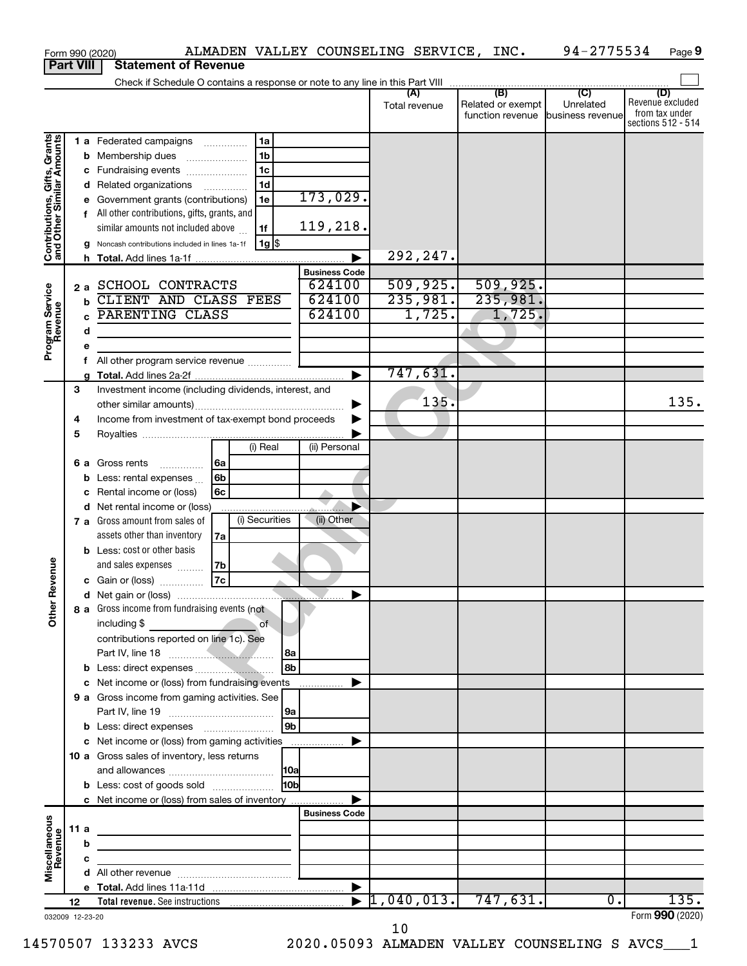|                                                                                         |             |                                           | ALMADEN VALLEY COUNSELING SERVICE, INC.<br>Form 990 (2020)                                                                                                                                                                                                                                                                                                                                                                         |                                                                            |                                            |                                                               | 94-2775534                  | Page 9                                                          |
|-----------------------------------------------------------------------------------------|-------------|-------------------------------------------|------------------------------------------------------------------------------------------------------------------------------------------------------------------------------------------------------------------------------------------------------------------------------------------------------------------------------------------------------------------------------------------------------------------------------------|----------------------------------------------------------------------------|--------------------------------------------|---------------------------------------------------------------|-----------------------------|-----------------------------------------------------------------|
| <b>Part VIII</b>                                                                        |             |                                           | <b>Statement of Revenue</b>                                                                                                                                                                                                                                                                                                                                                                                                        |                                                                            |                                            |                                                               |                             |                                                                 |
|                                                                                         |             |                                           | Check if Schedule O contains a response or note to any line in this Part VIII [[[[[[[[[[[[[[[[[[[[[[[[[[[[[[[                                                                                                                                                                                                                                                                                                                      |                                                                            |                                            |                                                               |                             |                                                                 |
|                                                                                         |             |                                           |                                                                                                                                                                                                                                                                                                                                                                                                                                    |                                                                            | (A)<br>Total revenue                       | (B)<br>Related or exempt<br>function revenue business revenue | $\overline{C}$<br>Unrelated | (D)<br>Revenue excluded<br>from tax under<br>sections 512 - 514 |
| Contributions, Gifts, Grants<br>and Other Similar Amounts<br>Program Service<br>Revenue | 2a          | с<br>е<br>f<br>h<br>$\mathbf b$<br>C<br>d | 1a<br>1 a Federated campaigns<br>1 <sub>b</sub><br><b>b</b> Membership dues<br>1 <sub>c</sub><br>Fundraising events<br>1 <sub>d</sub><br>d Related organizations<br>1e<br>Government grants (contributions)<br>All other contributions, gifts, grants, and<br>similar amounts not included above<br>1f<br>$1g$ \$<br>Noncash contributions included in lines 1a-1f<br>SCHOOL CONTRACTS<br>CLIENT AND CLASS FEES<br>PARENTING CLASS | 173,029.<br>119,218.<br><b>Business Code</b><br>624100<br>624100<br>624100 | 292,247.<br>509,925.<br>235,981.<br>1,725. | 509,925.<br>235,981.<br>1,725.                                |                             |                                                                 |
|                                                                                         |             | e                                         |                                                                                                                                                                                                                                                                                                                                                                                                                                    |                                                                            |                                            |                                                               |                             |                                                                 |
|                                                                                         |             | f                                         | All other program service revenue                                                                                                                                                                                                                                                                                                                                                                                                  |                                                                            | 747,631.                                   |                                                               |                             |                                                                 |
|                                                                                         | 3<br>4<br>5 |                                           | Investment income (including dividends, interest, and<br>Income from investment of tax-exempt bond proceeds                                                                                                                                                                                                                                                                                                                        | ▶                                                                          | 135.                                       |                                                               |                             | 135.                                                            |
|                                                                                         |             | b<br>с                                    | (i) Real<br>  6a<br>6 a Gross rents<br>.<br>6 <sub>b</sub><br>Less: rental expenses<br>6c<br>Rental income or (loss)<br>d Net rental income or (loss)<br>(i) Securities<br>7 a Gross amount from sales of<br>assets other than inventory<br>7a                                                                                                                                                                                     | (ii) Personal<br>(ii) Other                                                |                                            |                                                               |                             |                                                                 |
| evenue                                                                                  |             |                                           | <b>b</b> Less: cost or other basis<br>and sales expenses<br>7b<br>7c<br>c Gain or (loss)                                                                                                                                                                                                                                                                                                                                           |                                                                            |                                            |                                                               |                             |                                                                 |
| Other F                                                                                 |             |                                           | 8 a Gross income from fundraising events (not<br>$\overline{\phantom{a}}$ of<br>including $$$<br>contributions reported on line 1c). See<br> 8a<br>l 8b                                                                                                                                                                                                                                                                            |                                                                            |                                            |                                                               |                             |                                                                 |
|                                                                                         |             |                                           |                                                                                                                                                                                                                                                                                                                                                                                                                                    |                                                                            |                                            |                                                               |                             |                                                                 |
|                                                                                         |             |                                           | 9 a Gross income from gaming activities. See                                                                                                                                                                                                                                                                                                                                                                                       |                                                                            |                                            |                                                               |                             |                                                                 |
|                                                                                         |             |                                           | 9a<br>l 9b                                                                                                                                                                                                                                                                                                                                                                                                                         |                                                                            |                                            |                                                               |                             |                                                                 |
|                                                                                         |             |                                           | 10 a Gross sales of inventory, less returns<br>H <sub>0b</sub><br><b>b</b> Less: cost of goods sold                                                                                                                                                                                                                                                                                                                                |                                                                            |                                            |                                                               |                             |                                                                 |
|                                                                                         |             |                                           | c Net income or (loss) from sales of inventory                                                                                                                                                                                                                                                                                                                                                                                     | ▶                                                                          |                                            |                                                               |                             |                                                                 |
|                                                                                         |             |                                           |                                                                                                                                                                                                                                                                                                                                                                                                                                    | <b>Business Code</b>                                                       |                                            |                                                               |                             |                                                                 |
| Miscellaneous<br>Revenue                                                                | 11 a        | b                                         | <u> 1989 - Johann John Stein, markin fan it ferstjer fan it ferstjer fan it ferstjer fan it ferstjer fan it fers</u>                                                                                                                                                                                                                                                                                                               |                                                                            |                                            |                                                               |                             |                                                                 |
|                                                                                         |             | c                                         | <u> 1989 - Johann Barbara, martin a</u>                                                                                                                                                                                                                                                                                                                                                                                            |                                                                            |                                            |                                                               |                             |                                                                 |
|                                                                                         |             |                                           |                                                                                                                                                                                                                                                                                                                                                                                                                                    |                                                                            |                                            |                                                               |                             |                                                                 |
|                                                                                         |             |                                           |                                                                                                                                                                                                                                                                                                                                                                                                                                    |                                                                            |                                            |                                                               |                             |                                                                 |
| 032009 12-23-20                                                                         | 12          |                                           |                                                                                                                                                                                                                                                                                                                                                                                                                                    |                                                                            |                                            | 747,631.                                                      | $\overline{0}$ .            | 135.<br>Form 990 (2020)                                         |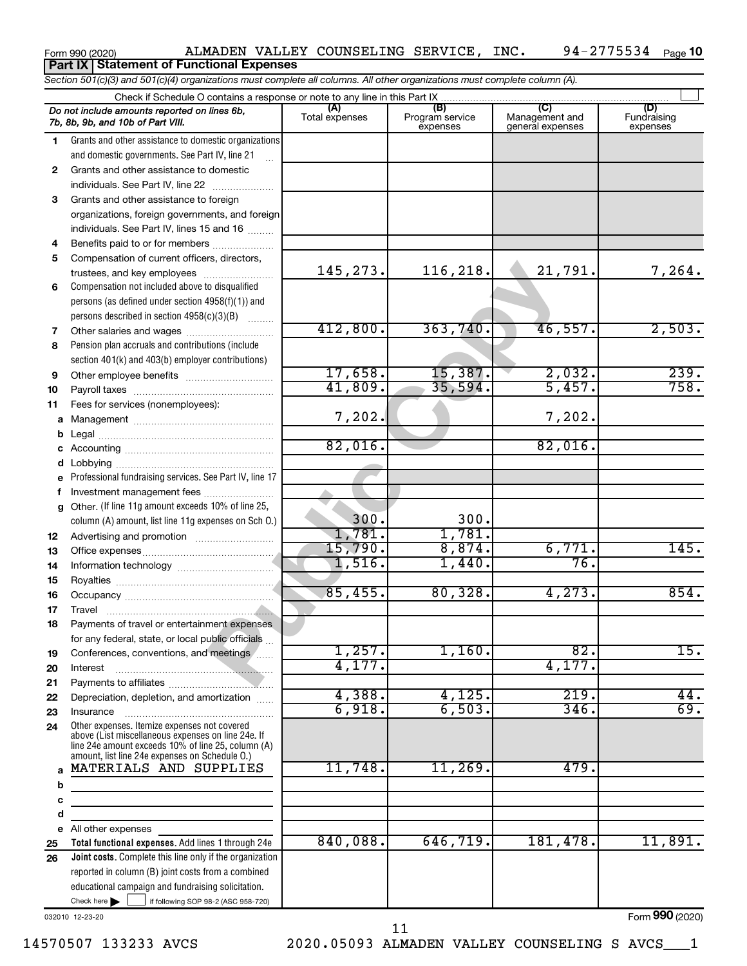#### *Section 501(c)(3) and 501(c)(4) organizations must complete all columns. All other organizations must complete column (A).* Check if Schedule O contains a response or note to any line in this Part IX  $\Box$ **(A) (B) (C) (D)** Fundraising *Do not include amounts reported on lines 6b,* Total expenses Program service expenses Management and general expenses *7b, 8b, 9b, and 10b of Part VIII.* expenses Grants and other assistance to domestic organizations 1 2 3 4 5 6 7 8 9 and domestic governments. See Part IV, line 21 .<br>...  $\mathbf{2}$ Grants and other assistance to domestic  $individuals. See Part IV, line 22$  ............ **3** Grants and other assistance to foreign organizations, foreign governments, and foreign individuals. See Part IV, lines 15 and 16  $\ldots$ Benefits paid to or for members ....................  $\overline{4}$ 5 Compensation of current officers, directors, **145, 273.** 116, 218. 21, 791<br>
145, 273. 116, 218. 21, 791<br>
16, 218. 21, 791<br>
16, 218. 21, 791<br>
17, 658. 15, 387. 2, 032<br>
17, 658. 15, 387. 2, 032<br>
41, 809. 35, 594. 5, 457<br>
17, 202. 82, 016. 82, 016<br>
16% of line 25,<br>
16% 145,273. 116,218. 21,791. 7,264. trustees, and key employees ........................ ĥ. Compensation not included above to disqualified persons (as defined under section 4958(f)(1)) and persons described in section  $4958(c)(3)(B)$   $\ldots$ 412,800. 363,740. 46,557. 2,503. Other salaries and wages ~~~~~~~~~~  $\overline{7}$ 8 Pension plan accruals and contributions (include section 401(k) and 403(b) employer contributions)  $17,658.$  15,387. 2,032. 239.  $\mathbf{q}$ Other employee benefits ~~~~~~~~~~ 41,809. 35,594. 5,457. 758. Payroll taxes ~~~~~~~~~~~~~~~~ **10 11** Fees for services (nonemployees): 7,202. 7,202. **abcdefg** Management ~~~~~~~~~~~~~~~~ b Legal ~~~~~~~~~~~~~~~~~~~~ 82,016.  $\mathbf{c}$ Accounting ~~~~~~~~~~~~~~~~~ d Lobbying ~~~~~~~~~~~~~~~~~~ Professional fundraising services. See Part IV, line 17 e f Investment management fees ........................  $\mathbf{q}$ Other. (If line 11g amount exceeds 10% of line 25, 300. 300. column (A) amount, list line 11g expenses on Sch O.) 1,781. 1,781. **12** Advertising and promotion ........................... 15,790. 8,874. 6,771. 145. **13** Office expenses ~~~~~~~~~~~~~~~ 1,516. 1,440. 76. **14** Information technology ~~~~~~~~~~~ **15** Royalties ~~~~~~~~~~~~~~~~~~ 85,455. 80,328. 4,273. 854. **16** Occupancy ~~~~~~~~~~~~~~~~~ **17** Travel ~~~~~~~~~~~~~~~~~~~ **18** Payments of travel or entertainment expenses for any federal, state, or local public officials ...  $1,257.$  1,160. 82. 15. **19** Conferences, conventions, and meetings 4,177. 4,177. **20** Interest ~~~~~~~~~~~~~~~~~~ **21** Payments to affiliates ~~~~~~~~~~~~ 4,388. 4,125. 219. 44. **22** Depreciation, depletion, and amortization ...... 6,918. 6,503. 346. 69. **23** Insurance ~~~~~~~~~~~~~~~~~ Other expenses. Itemize expenses not covered **24** above (List miscellaneous expenses on line 24e. If line 24e amount exceeds 10% of line 25, column (A) amount, list line 24e expenses on Schedule O.) MATERIALS AND SUPPLIES  $\begin{bmatrix} 11,748 \end{bmatrix}$  11,269.  $\begin{bmatrix} 479 \end{bmatrix}$  $\mathbf{a}$ **abcde**  $\mathbf b$ <sub>c</sub> d All other expenses  $\mathbf{e}$ 840,088. 646,719. 181,478. 11,891. **25 Total functional expenses.**  Add lines 1 through 24e **26 Joint costs.** Complete this line only if the organization reported in column (B) joint costs from a combined educational campaign and fundraising solicitation. Check here  $\begin{array}{c} \begin{array}{|c} \hline \end{array} \end{array}$  if following SOP 98-2 (ASC 958-720) Check here |

Form 990 (2020) ALMADEN VALLEY COUNSELING SERVICE, INC. 94-2775534 Page

**Part IX Statement of Functional Expenses**

032010 12-23-20

Form (2020) **990**

94-2775534 <sub>Page</sub> 10

14570507 133233 AVCS 2020.05093 ALMADEN VALLEY COUNSELING S AVCS\_\_\_1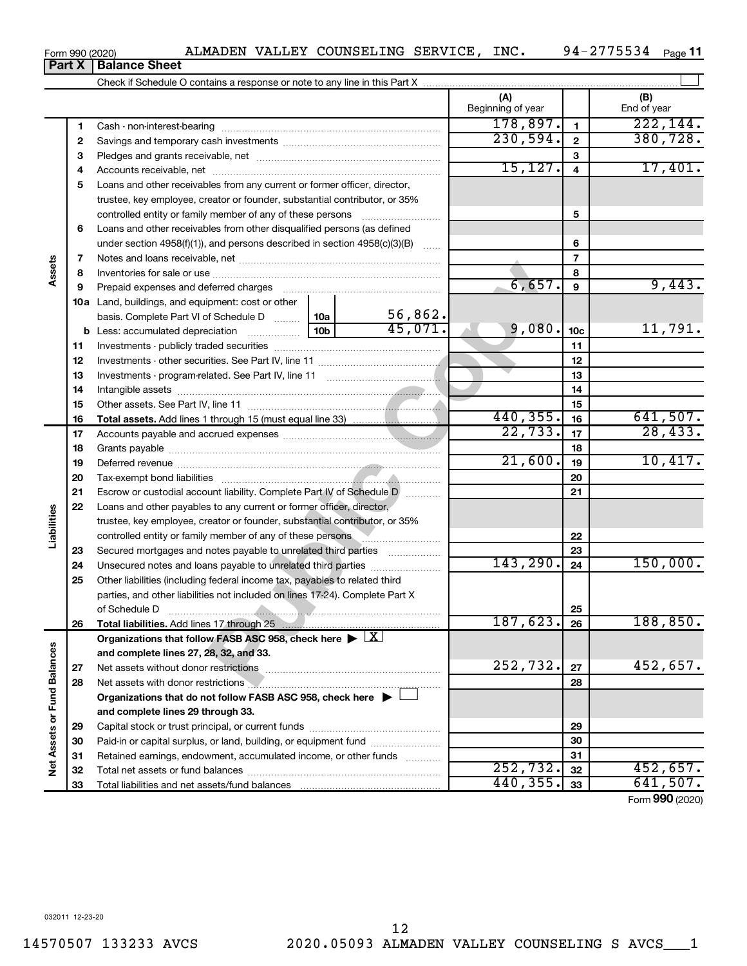**Part X Balance Sheet**<br>**Part X Balance Sheet** 

|                             |          |                                                                                                                                                                                                                               |  |         | (A)<br>Beginning of year |                         | (B)<br>End of year |
|-----------------------------|----------|-------------------------------------------------------------------------------------------------------------------------------------------------------------------------------------------------------------------------------|--|---------|--------------------------|-------------------------|--------------------|
|                             | 1        |                                                                                                                                                                                                                               |  |         | 178,897.                 | $\mathbf{1}$            | 222, 144.          |
|                             | 2        |                                                                                                                                                                                                                               |  |         | 230,594.                 | $\overline{\mathbf{2}}$ | 380, 728.          |
|                             | 3        |                                                                                                                                                                                                                               |  |         |                          | 3                       |                    |
|                             | 4        |                                                                                                                                                                                                                               |  |         | 15, 127.                 | $\overline{4}$          | 17,401.            |
|                             | 5        | Loans and other receivables from any current or former officer, director,                                                                                                                                                     |  |         |                          |                         |                    |
|                             |          | trustee, key employee, creator or founder, substantial contributor, or 35%                                                                                                                                                    |  |         |                          |                         |                    |
|                             |          | controlled entity or family member of any of these persons                                                                                                                                                                    |  |         |                          | 5                       |                    |
|                             | 6        | Loans and other receivables from other disqualified persons (as defined                                                                                                                                                       |  |         |                          |                         |                    |
|                             |          | under section 4958(f)(1)), and persons described in section $4958(c)(3)(B)$                                                                                                                                                   |  |         |                          | 6                       |                    |
|                             | 7        |                                                                                                                                                                                                                               |  |         |                          | $\overline{7}$          |                    |
| Assets                      | 8        |                                                                                                                                                                                                                               |  |         |                          | 8                       |                    |
|                             | 9        | Prepaid expenses and deferred charges [11] [11] Prepaid expenses and deferred charges [11] [11] Martin Marian Marian Marian Marian Marian Marian Marian Marian Marian Marian Marian Marian Marian Marian Marian Marian Marian |  |         | 6,657.                   | 9                       | 9,443.             |
|                             |          | 10a Land, buildings, and equipment: cost or other                                                                                                                                                                             |  |         |                          |                         |                    |
|                             |          | basis. Complete Part VI of Schedule D  10a                                                                                                                                                                                    |  | 56,862. |                          |                         |                    |
|                             |          |                                                                                                                                                                                                                               |  | 45,071. | 9,080.                   | 10 <sub>c</sub>         | 11,791.            |
|                             | 11       |                                                                                                                                                                                                                               |  |         |                          | 11                      |                    |
|                             | 12       |                                                                                                                                                                                                                               |  |         |                          | 12                      |                    |
|                             | 13       |                                                                                                                                                                                                                               |  |         |                          | 13                      |                    |
|                             | 14       |                                                                                                                                                                                                                               |  |         |                          | 14                      |                    |
|                             | 15       |                                                                                                                                                                                                                               |  |         |                          | 15                      |                    |
|                             | 16       |                                                                                                                                                                                                                               |  |         | 440,355.                 | 16                      | 641,507.           |
|                             | 17       |                                                                                                                                                                                                                               |  |         | 22, 733.                 | 17                      | 28,433.            |
|                             | 18       |                                                                                                                                                                                                                               |  | 21,600. | 18                       | 10,417.                 |                    |
|                             | 19       |                                                                                                                                                                                                                               |  |         | 19                       |                         |                    |
|                             | 20       |                                                                                                                                                                                                                               |  |         |                          | 20                      |                    |
|                             | 21       | Escrow or custodial account liability. Complete Part IV of Schedule D                                                                                                                                                         |  |         |                          | 21                      |                    |
| Liabilities                 | 22       | Loans and other payables to any current or former officer, director,                                                                                                                                                          |  |         |                          |                         |                    |
|                             |          | trustee, key employee, creator or founder, substantial contributor, or 35%                                                                                                                                                    |  |         |                          |                         |                    |
|                             |          | controlled entity or family member of any of these persons                                                                                                                                                                    |  |         |                          | 22<br>23                |                    |
|                             | 23<br>24 | Secured mortgages and notes payable to unrelated third parties                                                                                                                                                                |  |         | 143, 290.                | 24                      | 150,000.           |
|                             | 25       | Other liabilities (including federal income tax, payables to related third                                                                                                                                                    |  |         |                          |                         |                    |
|                             |          | parties, and other liabilities not included on lines 17-24). Complete Part X                                                                                                                                                  |  |         |                          |                         |                    |
|                             |          |                                                                                                                                                                                                                               |  |         |                          | 25                      |                    |
|                             | 26       | Total liabilities. Add lines 17 through 25                                                                                                                                                                                    |  |         | 187,623.                 | 26                      | 188,850.           |
|                             |          | Organizations that follow FASB ASC 958, check here $\blacktriangleright \lfloor X \rfloor$                                                                                                                                    |  |         |                          |                         |                    |
|                             |          | and complete lines 27, 28, 32, and 33.                                                                                                                                                                                        |  |         |                          |                         |                    |
|                             | 27       |                                                                                                                                                                                                                               |  |         | 252,732.                 | 27                      | 452,657.           |
|                             | 28       | Net assets with donor restrictions <b>Manual Community</b> and assets with donor restrictions                                                                                                                                 |  |         |                          | 28                      |                    |
|                             |          | Organizations that do not follow FASB ASC 958, check here $\blacktriangleright$                                                                                                                                               |  |         |                          |                         |                    |
|                             |          | and complete lines 29 through 33.                                                                                                                                                                                             |  |         |                          |                         |                    |
|                             | 29       |                                                                                                                                                                                                                               |  |         |                          | 29                      |                    |
|                             | 30       | Paid-in or capital surplus, or land, building, or equipment fund                                                                                                                                                              |  |         |                          | 30                      |                    |
|                             | 31       | Retained earnings, endowment, accumulated income, or other funds                                                                                                                                                              |  |         |                          | 31                      |                    |
| Net Assets or Fund Balances | 32       |                                                                                                                                                                                                                               |  |         | 252,732.                 | 32                      | 452,657.           |
|                             | 33       |                                                                                                                                                                                                                               |  |         | 440, 355.                | 33                      | 641,507.           |

Form (2020) **990**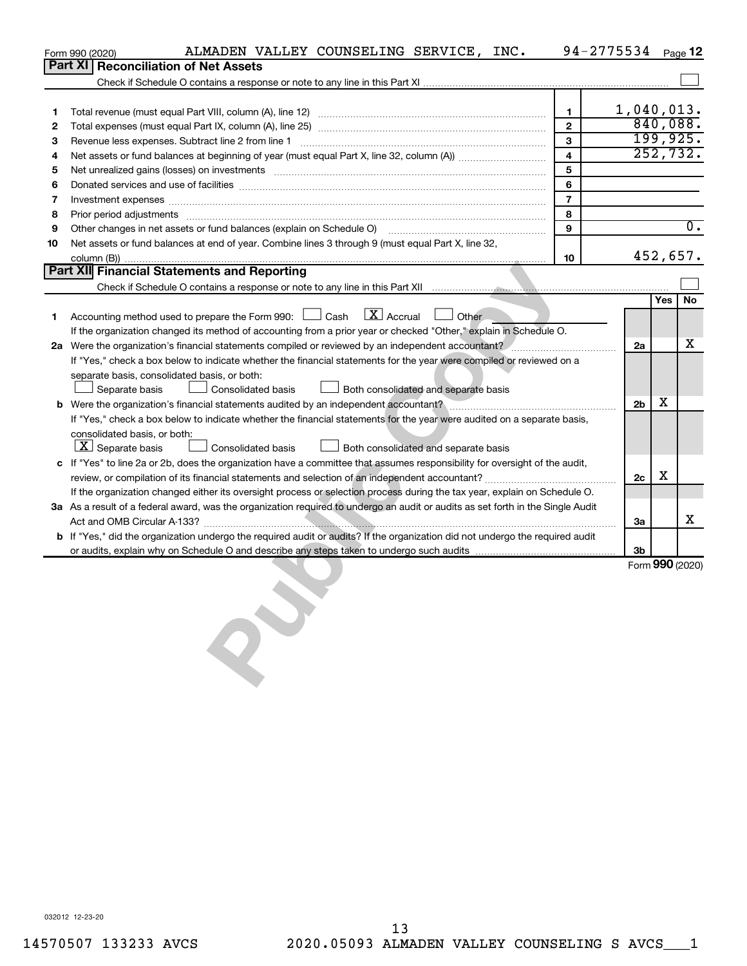|    | ALMADEN VALLEY COUNSELING SERVICE, INC.<br>Form 990 (2020)                                                                                                                                                                     |                | 94-2775534 Page 12 |            |                 |
|----|--------------------------------------------------------------------------------------------------------------------------------------------------------------------------------------------------------------------------------|----------------|--------------------|------------|-----------------|
|    | <b>Part XI</b><br><b>Reconciliation of Net Assets</b>                                                                                                                                                                          |                |                    |            |                 |
|    |                                                                                                                                                                                                                                |                |                    |            |                 |
|    |                                                                                                                                                                                                                                |                |                    |            |                 |
| 1  |                                                                                                                                                                                                                                | 1              | $1,040,013$ .      |            |                 |
| 2  |                                                                                                                                                                                                                                | $\overline{2}$ |                    |            | 840,088.        |
| 3  | Revenue less expenses. Subtract line 2 from line 1                                                                                                                                                                             | 3              |                    |            | 199,925.        |
| 4  |                                                                                                                                                                                                                                | $\overline{4}$ |                    |            | 252,732.        |
| 5  | Net unrealized gains (losses) on investments [11] matter in the contract of the contract of the contract of the contract of the contract of the contract of the contract of the contract of the contract of the contract of th | 5              |                    |            |                 |
| 6  |                                                                                                                                                                                                                                | 6              |                    |            |                 |
| 7  | Investment expenses www.communication.com/www.communication.com/www.communication.com/www.com                                                                                                                                  | $\overline{7}$ |                    |            |                 |
| 8  | Prior period adjustments [111] matter contract and adjustments and account and account and adjustments and account and account and account and account and account and account and account and account and account account and | 8              |                    |            |                 |
| 9  | Other changes in net assets or fund balances (explain on Schedule O) manual contraction control of the changes in net assets or fund balances (explain on Schedule O)                                                          | 9              |                    |            | 0.              |
| 10 | Net assets or fund balances at end of year. Combine lines 3 through 9 (must equal Part X, line 32,                                                                                                                             |                |                    |            |                 |
|    |                                                                                                                                                                                                                                | 10             |                    |            | 452,657.        |
|    | Part XII Financial Statements and Reporting                                                                                                                                                                                    |                |                    |            |                 |
|    | Check if Schedule O contains a response or note to any line in this Part XII must construct the containment contains a response or note to any line in this Part XII must contain a container and the Container of the Contain |                |                    |            |                 |
|    |                                                                                                                                                                                                                                |                |                    | <b>Yes</b> | No              |
| 1  | $\boxed{\mathbf{X}}$ Accrual<br>Accounting method used to prepare the Form 990: [130] Cash<br>Other                                                                                                                            |                |                    |            |                 |
|    | If the organization changed its method of accounting from a prior year or checked "Other," explain in Schedule O.                                                                                                              |                |                    |            |                 |
|    | 2a Were the organization's financial statements compiled or reviewed by an independent accountant?                                                                                                                             |                | 2a                 |            | x               |
|    | If "Yes," check a box below to indicate whether the financial statements for the year were compiled or reviewed on a                                                                                                           |                |                    |            |                 |
|    | separate basis, consolidated basis, or both:                                                                                                                                                                                   |                |                    |            |                 |
|    | Consolidated basis<br>Separate basis<br>Both consolidated and separate basis                                                                                                                                                   |                |                    | x          |                 |
|    |                                                                                                                                                                                                                                |                | 2 <sub>b</sub>     |            |                 |
|    | If "Yes," check a box below to indicate whether the financial statements for the year were audited on a separate basis,<br>consolidated basis, or both:                                                                        |                |                    |            |                 |
|    | $\lfloor x \rfloor$ Separate basis<br>$\Box$ Both consolidated and separate basis<br><b>Consolidated basis</b>                                                                                                                 |                |                    |            |                 |
|    | c If "Yes" to line 2a or 2b, does the organization have a committee that assumes responsibility for oversight of the audit,                                                                                                    |                |                    |            |                 |
|    |                                                                                                                                                                                                                                |                | 2c                 | х          |                 |
|    | If the organization changed either its oversight process or selection process during the tax year, explain on Schedule O.                                                                                                      |                |                    |            |                 |
|    | 3a As a result of a federal award, was the organization required to undergo an audit or audits as set forth in the Single Audit                                                                                                |                |                    |            |                 |
|    |                                                                                                                                                                                                                                |                | За                 |            | х               |
|    | b If "Yes," did the organization undergo the required audit or audits? If the organization did not undergo the required audit                                                                                                  |                |                    |            |                 |
|    |                                                                                                                                                                                                                                |                | 3b                 |            |                 |
|    |                                                                                                                                                                                                                                |                |                    |            | Form 990 (2020) |
|    |                                                                                                                                                                                                                                |                |                    |            |                 |
|    |                                                                                                                                                                                                                                |                |                    |            |                 |
|    |                                                                                                                                                                                                                                |                |                    |            |                 |
|    |                                                                                                                                                                                                                                |                |                    |            |                 |
|    |                                                                                                                                                                                                                                |                |                    |            |                 |
|    |                                                                                                                                                                                                                                |                |                    |            |                 |
|    |                                                                                                                                                                                                                                |                |                    |            |                 |
|    |                                                                                                                                                                                                                                |                |                    |            |                 |
|    |                                                                                                                                                                                                                                |                |                    |            |                 |
|    |                                                                                                                                                                                                                                |                |                    |            |                 |
|    |                                                                                                                                                                                                                                |                |                    |            |                 |
|    |                                                                                                                                                                                                                                |                |                    |            |                 |
|    |                                                                                                                                                                                                                                |                |                    |            |                 |
|    |                                                                                                                                                                                                                                |                |                    |            |                 |
|    |                                                                                                                                                                                                                                |                |                    |            |                 |
|    |                                                                                                                                                                                                                                |                |                    |            |                 |
|    |                                                                                                                                                                                                                                |                |                    |            |                 |
|    |                                                                                                                                                                                                                                |                |                    |            |                 |
|    |                                                                                                                                                                                                                                |                |                    |            |                 |
|    |                                                                                                                                                                                                                                |                |                    |            |                 |
|    |                                                                                                                                                                                                                                |                |                    |            |                 |
|    |                                                                                                                                                                                                                                |                |                    |            |                 |
|    |                                                                                                                                                                                                                                |                |                    |            |                 |
|    | 032012 12-23-20                                                                                                                                                                                                                |                |                    |            |                 |

032012 12-23-20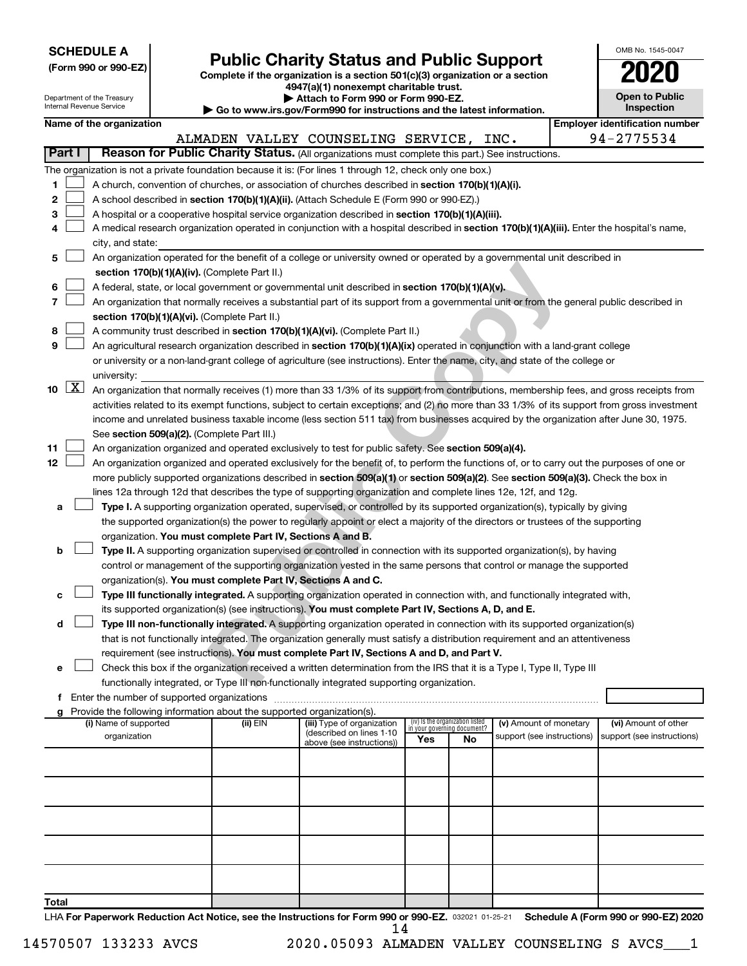|  |  | <b>SCHEDULE A</b> |  |
|--|--|-------------------|--|
|  |  |                   |  |

Department of the Treasury Internal Revenue Service

Form 990 or 990-EZ) **Public Charity Status and Public Support**<br>
Complete if the organization is a section 501(c)(3) organization or a section<br> **2020** 

**4947(a)(1) nonexempt charitable trust. | Attach to Form 990 or Form 990-EZ.** 

|  |  |  | irs.gov/Form990 for instructions and the latest information. |  |
|--|--|--|--------------------------------------------------------------|--|

| <b>Open to Public</b><br>Inspection |
|-------------------------------------|
| identification numbe                |

OMB No. 1545-0047

|        |                      | Internal Revenue Service                                                                                                                     |                                                                                                                                          |                                                                        | Go to www.irs.gov/Form990 for instructions and the latest information.                                                                                                                      |     |                                                                |                            |  |  | Inspection                            |  |
|--------|----------------------|----------------------------------------------------------------------------------------------------------------------------------------------|------------------------------------------------------------------------------------------------------------------------------------------|------------------------------------------------------------------------|---------------------------------------------------------------------------------------------------------------------------------------------------------------------------------------------|-----|----------------------------------------------------------------|----------------------------|--|--|---------------------------------------|--|
|        |                      | Name of the organization                                                                                                                     |                                                                                                                                          |                                                                        |                                                                                                                                                                                             |     |                                                                |                            |  |  | <b>Employer identification number</b> |  |
|        |                      |                                                                                                                                              |                                                                                                                                          |                                                                        | ALMADEN VALLEY COUNSELING SERVICE, INC.                                                                                                                                                     |     |                                                                |                            |  |  | 94-2775534                            |  |
| Part I |                      |                                                                                                                                              |                                                                                                                                          |                                                                        | Reason for Public Charity Status. (All organizations must complete this part.) See instructions.                                                                                            |     |                                                                |                            |  |  |                                       |  |
|        |                      |                                                                                                                                              |                                                                                                                                          |                                                                        | The organization is not a private foundation because it is: (For lines 1 through 12, check only one box.)                                                                                   |     |                                                                |                            |  |  |                                       |  |
| 1      |                      |                                                                                                                                              |                                                                                                                                          |                                                                        | A church, convention of churches, or association of churches described in section 170(b)(1)(A)(i).                                                                                          |     |                                                                |                            |  |  |                                       |  |
| 2      |                      |                                                                                                                                              |                                                                                                                                          |                                                                        | A school described in section 170(b)(1)(A)(ii). (Attach Schedule E (Form 990 or 990-EZ).)                                                                                                   |     |                                                                |                            |  |  |                                       |  |
| 3      |                      |                                                                                                                                              |                                                                                                                                          |                                                                        | A hospital or a cooperative hospital service organization described in section 170(b)(1)(A)(iii).                                                                                           |     |                                                                |                            |  |  |                                       |  |
| 4      |                      |                                                                                                                                              |                                                                                                                                          |                                                                        | A medical research organization operated in conjunction with a hospital described in section 170(b)(1)(A)(iii). Enter the hospital's name,                                                  |     |                                                                |                            |  |  |                                       |  |
|        |                      | city, and state:                                                                                                                             |                                                                                                                                          |                                                                        |                                                                                                                                                                                             |     |                                                                |                            |  |  |                                       |  |
| 5      |                      |                                                                                                                                              |                                                                                                                                          |                                                                        | An organization operated for the benefit of a college or university owned or operated by a governmental unit described in                                                                   |     |                                                                |                            |  |  |                                       |  |
|        |                      |                                                                                                                                              |                                                                                                                                          | section 170(b)(1)(A)(iv). (Complete Part II.)                          |                                                                                                                                                                                             |     |                                                                |                            |  |  |                                       |  |
| 6      |                      |                                                                                                                                              |                                                                                                                                          |                                                                        | A federal, state, or local government or governmental unit described in section 170(b)(1)(A)(y).                                                                                            |     |                                                                |                            |  |  |                                       |  |
| 7      |                      |                                                                                                                                              |                                                                                                                                          |                                                                        | An organization that normally receives a substantial part of its support from a governmental unit or from the general public described in                                                   |     |                                                                |                            |  |  |                                       |  |
|        |                      |                                                                                                                                              |                                                                                                                                          | section 170(b)(1)(A)(vi). (Complete Part II.)                          |                                                                                                                                                                                             |     |                                                                |                            |  |  |                                       |  |
| 8      |                      |                                                                                                                                              |                                                                                                                                          |                                                                        | A community trust described in section 170(b)(1)(A)(vi). (Complete Part II.)                                                                                                                |     |                                                                |                            |  |  |                                       |  |
| 9      |                      |                                                                                                                                              |                                                                                                                                          |                                                                        | An agricultural research organization described in section 170(b)(1)(A)(ix) operated in conjunction with a land-grant college                                                               |     |                                                                |                            |  |  |                                       |  |
|        |                      |                                                                                                                                              |                                                                                                                                          |                                                                        | or university or a non-land-grant college of agriculture (see instructions). Enter the name, city, and state of the college or                                                              |     |                                                                |                            |  |  |                                       |  |
|        |                      | university:                                                                                                                                  |                                                                                                                                          |                                                                        |                                                                                                                                                                                             |     |                                                                |                            |  |  |                                       |  |
| 10     | $\boxed{\mathbf{X}}$ |                                                                                                                                              | An organization that normally receives (1) more than 33 1/3% of its support from contributions, membership fees, and gross receipts from |                                                                        |                                                                                                                                                                                             |     |                                                                |                            |  |  |                                       |  |
|        |                      | activities related to its exempt functions, subject to certain exceptions; and (2) no more than 33 1/3% of its support from gross investment |                                                                                                                                          |                                                                        |                                                                                                                                                                                             |     |                                                                |                            |  |  |                                       |  |
|        |                      | income and unrelated business taxable income (less section 511 tax) from businesses acquired by the organization after June 30, 1975.        |                                                                                                                                          |                                                                        |                                                                                                                                                                                             |     |                                                                |                            |  |  |                                       |  |
|        |                      | See section 509(a)(2). (Complete Part III.)                                                                                                  |                                                                                                                                          |                                                                        |                                                                                                                                                                                             |     |                                                                |                            |  |  |                                       |  |
| 11     |                      |                                                                                                                                              |                                                                                                                                          |                                                                        | An organization organized and operated exclusively to test for public safety. See section 509(a)(4).                                                                                        |     |                                                                |                            |  |  |                                       |  |
| 12     |                      |                                                                                                                                              |                                                                                                                                          |                                                                        | An organization organized and operated exclusively for the benefit of, to perform the functions of, or to carry out the purposes of one or                                                  |     |                                                                |                            |  |  |                                       |  |
|        |                      |                                                                                                                                              |                                                                                                                                          |                                                                        | more publicly supported organizations described in section 509(a)(1) or section 509(a)(2). See section 509(a)(3). Check the box in                                                          |     |                                                                |                            |  |  |                                       |  |
|        |                      |                                                                                                                                              |                                                                                                                                          |                                                                        | lines 12a through 12d that describes the type of supporting organization and complete lines 12e, 12f, and 12g.                                                                              |     |                                                                |                            |  |  |                                       |  |
| a      |                      |                                                                                                                                              |                                                                                                                                          |                                                                        | Type I. A supporting organization operated, supervised, or controlled by its supported organization(s), typically by giving                                                                 |     |                                                                |                            |  |  |                                       |  |
|        |                      |                                                                                                                                              |                                                                                                                                          |                                                                        | the supported organization(s) the power to regularly appoint or elect a majority of the directors or trustees of the supporting                                                             |     |                                                                |                            |  |  |                                       |  |
|        |                      |                                                                                                                                              |                                                                                                                                          | organization. You must complete Part IV, Sections A and B.             |                                                                                                                                                                                             |     |                                                                |                            |  |  |                                       |  |
| b      |                      |                                                                                                                                              |                                                                                                                                          |                                                                        | Type II. A supporting organization supervised or controlled in connection with its supported organization(s), by having                                                                     |     |                                                                |                            |  |  |                                       |  |
|        |                      |                                                                                                                                              |                                                                                                                                          |                                                                        | control or management of the supporting organization vested in the same persons that control or manage the supported                                                                        |     |                                                                |                            |  |  |                                       |  |
|        |                      |                                                                                                                                              |                                                                                                                                          |                                                                        | organization(s). You must complete Part IV, Sections A and C.<br>Type III functionally integrated. A supporting organization operated in connection with, and functionally integrated with, |     |                                                                |                            |  |  |                                       |  |
|        |                      |                                                                                                                                              |                                                                                                                                          |                                                                        | its supported organization(s) (see instructions). You must complete Part IV, Sections A, D, and E.                                                                                          |     |                                                                |                            |  |  |                                       |  |
| d      |                      |                                                                                                                                              |                                                                                                                                          |                                                                        | Type III non-functionally integrated. A supporting organization operated in connection with its supported organization(s)                                                                   |     |                                                                |                            |  |  |                                       |  |
|        |                      |                                                                                                                                              |                                                                                                                                          |                                                                        | that is not functionally integrated. The organization generally must satisfy a distribution requirement and an attentiveness                                                                |     |                                                                |                            |  |  |                                       |  |
|        |                      |                                                                                                                                              |                                                                                                                                          |                                                                        | requirement (see instructions). You must complete Part IV, Sections A and D, and Part V.                                                                                                    |     |                                                                |                            |  |  |                                       |  |
| е      |                      |                                                                                                                                              |                                                                                                                                          |                                                                        | Check this box if the organization received a written determination from the IRS that it is a Type I, Type II, Type III                                                                     |     |                                                                |                            |  |  |                                       |  |
|        |                      |                                                                                                                                              |                                                                                                                                          |                                                                        | functionally integrated, or Type III non-functionally integrated supporting organization.                                                                                                   |     |                                                                |                            |  |  |                                       |  |
|        |                      |                                                                                                                                              | f Enter the number of supported organizations                                                                                            |                                                                        |                                                                                                                                                                                             |     |                                                                |                            |  |  |                                       |  |
|        |                      |                                                                                                                                              |                                                                                                                                          | Provide the following information about the supported organization(s). |                                                                                                                                                                                             |     |                                                                |                            |  |  |                                       |  |
|        |                      | (i) Name of supported                                                                                                                        |                                                                                                                                          | (ii) EIN                                                               | (iii) Type of organization                                                                                                                                                                  |     | (iv) Is the organization listed<br>in your governing document? | (v) Amount of monetary     |  |  | (vi) Amount of other                  |  |
|        |                      | organization                                                                                                                                 |                                                                                                                                          |                                                                        | (described on lines 1-10<br>above (see instructions))                                                                                                                                       | Yes | No                                                             | support (see instructions) |  |  | support (see instructions)            |  |
|        |                      |                                                                                                                                              |                                                                                                                                          |                                                                        |                                                                                                                                                                                             |     |                                                                |                            |  |  |                                       |  |
|        |                      |                                                                                                                                              |                                                                                                                                          |                                                                        |                                                                                                                                                                                             |     |                                                                |                            |  |  |                                       |  |
|        |                      |                                                                                                                                              |                                                                                                                                          |                                                                        |                                                                                                                                                                                             |     |                                                                |                            |  |  |                                       |  |
|        |                      |                                                                                                                                              |                                                                                                                                          |                                                                        |                                                                                                                                                                                             |     |                                                                |                            |  |  |                                       |  |
|        |                      |                                                                                                                                              |                                                                                                                                          |                                                                        |                                                                                                                                                                                             |     |                                                                |                            |  |  |                                       |  |
|        |                      |                                                                                                                                              |                                                                                                                                          |                                                                        |                                                                                                                                                                                             |     |                                                                |                            |  |  |                                       |  |
|        |                      |                                                                                                                                              |                                                                                                                                          |                                                                        |                                                                                                                                                                                             |     |                                                                |                            |  |  |                                       |  |
|        |                      |                                                                                                                                              |                                                                                                                                          |                                                                        |                                                                                                                                                                                             |     |                                                                |                            |  |  |                                       |  |
|        |                      |                                                                                                                                              |                                                                                                                                          |                                                                        |                                                                                                                                                                                             |     |                                                                |                            |  |  |                                       |  |
|        |                      |                                                                                                                                              |                                                                                                                                          |                                                                        |                                                                                                                                                                                             |     |                                                                |                            |  |  |                                       |  |
| Total  |                      |                                                                                                                                              |                                                                                                                                          |                                                                        |                                                                                                                                                                                             |     |                                                                |                            |  |  |                                       |  |

LHA For Paperwork Reduction Act Notice, see the Instructions for Form 990 or 990-EZ. 032021 01-25-21 Schedule A (Form 990 or 990-EZ) 2020 14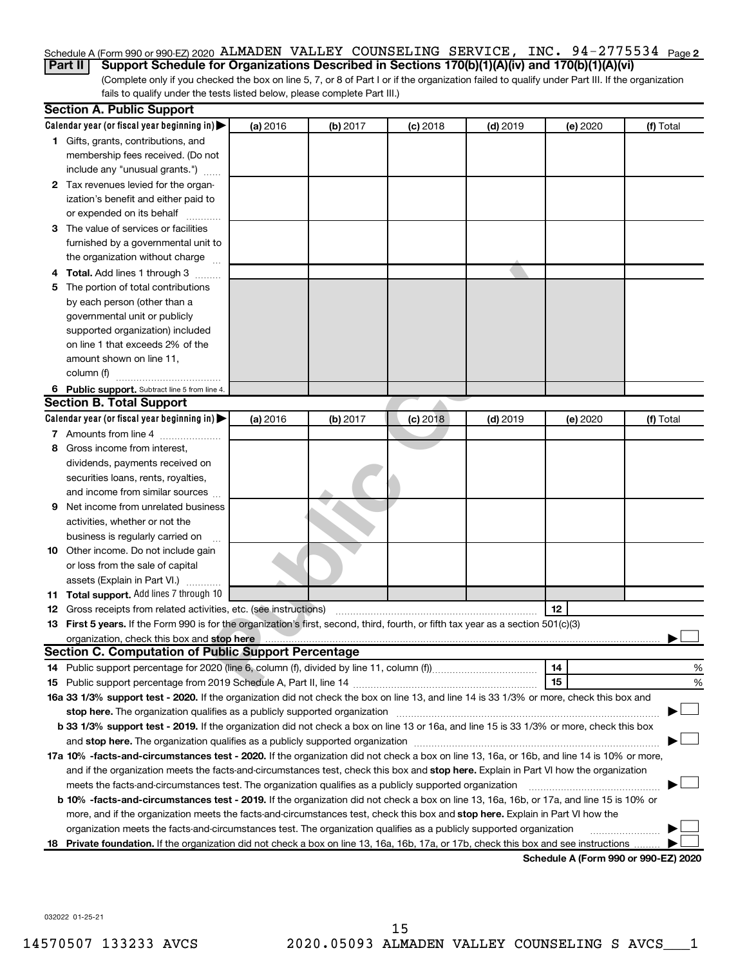#### Schedule A (Form 990 or 990-EZ) 2020 ALMADEN VALLEY COUNSELING SERVICE, INC. 94-2775534 <sub>Page 2</sub>

**Part II Support Schedule for Organizations Described in Sections 170(b)(1)(A)(iv) and 170(b)(1)(A)(vi)**

(Complete only if you checked the box on line 5, 7, or 8 of Part I or if the organization failed to qualify under Part III. If the organization fails to qualify under the tests listed below, please complete Part III.)

| Calendar year (or fiscal year beginning in)<br>(a) 2016<br>(b) 2017<br>$(c)$ 2018<br>$(d)$ 2019<br>(e) 2020<br>(f) Total<br>1 Gifts, grants, contributions, and<br>membership fees received. (Do not<br>include any "unusual grants.")<br>2 Tax revenues levied for the organ-<br>ization's benefit and either paid to<br>or expended on its behalf<br>3 The value of services or facilities<br>furnished by a governmental unit to<br>the organization without charge<br>4 Total. Add lines 1 through 3<br>The portion of total contributions<br>5.<br>by each person (other than a<br>governmental unit or publicly<br>supported organization) included<br>on line 1 that exceeds 2% of the<br>amount shown on line 11,<br>column (f)<br>6 Public support. Subtract line 5 from line 4.<br><b>Section B. Total Support</b><br>Calendar year (or fiscal year beginning in)<br>$(d)$ 2019<br>(a) 2016<br>(b) 2017<br>(c) 2018<br>(e) 2020<br>(f) Total<br>7 Amounts from line 4<br>Gross income from interest,<br>8<br>dividends, payments received on<br>securities loans, rents, royalties,<br>and income from similar sources<br>Net income from unrelated business<br>9<br>activities, whether or not the<br>business is regularly carried on<br>10 Other income. Do not include gain<br>or loss from the sale of capital<br>assets (Explain in Part VI.)<br>11 Total support. Add lines 7 through 10<br>12<br><b>12</b> Gross receipts from related activities, etc. (see instructions)<br>13 First 5 years. If the Form 990 is for the organization's first, second, third, fourth, or fifth tax year as a section 501(c)(3)<br>organization, check this box and stop here<br><b>Section C. Computation of Public Support Percentage</b><br>14<br>%<br>15<br>%<br>16a 33 1/3% support test - 2020. If the organization did not check the box on line 13, and line 14 is 33 1/3% or more, check this box and<br>stop here. The organization qualifies as a publicly supported organization<br>b 33 1/3% support test - 2019. If the organization did not check a box on line 13 or 16a, and line 15 is 33 1/3% or more, check this box<br>17a 10% -facts-and-circumstances test - 2020. If the organization did not check a box on line 13, 16a, or 16b, and line 14 is 10% or more,<br>and if the organization meets the facts-and-circumstances test, check this box and stop here. Explain in Part VI how the organization<br>meets the facts-and-circumstances test. The organization qualifies as a publicly supported organization<br>b 10% -facts-and-circumstances test - 2019. If the organization did not check a box on line 13, 16a, 16b, or 17a, and line 15 is 10% or<br>more, and if the organization meets the facts-and-circumstances test, check this box and stop here. Explain in Part VI how the<br>organization meets the facts-and-circumstances test. The organization qualifies as a publicly supported organization<br>18 Private foundation. If the organization did not check a box on line 13, 16a, 16b, 17a, or 17b, check this box and see instructions | <b>Section A. Public Support</b> |  |  |  |  |  |  |  |  |
|---------------------------------------------------------------------------------------------------------------------------------------------------------------------------------------------------------------------------------------------------------------------------------------------------------------------------------------------------------------------------------------------------------------------------------------------------------------------------------------------------------------------------------------------------------------------------------------------------------------------------------------------------------------------------------------------------------------------------------------------------------------------------------------------------------------------------------------------------------------------------------------------------------------------------------------------------------------------------------------------------------------------------------------------------------------------------------------------------------------------------------------------------------------------------------------------------------------------------------------------------------------------------------------------------------------------------------------------------------------------------------------------------------------------------------------------------------------------------------------------------------------------------------------------------------------------------------------------------------------------------------------------------------------------------------------------------------------------------------------------------------------------------------------------------------------------------------------------------------------------------------------------------------------------------------------------------------------------------------------------------------------------------------------------------------------------------------------------------------------------------------------------------------------------------------------------------------------------------------------------------------------------------------------------------------------------------------------------------------------------------------------------------------------------------------------------------------------------------------------------------------------------------------------------------------------------------------------------------------------------------------------------------------------------------------------------------------------------------------------------------------------------------------------------------------------------------------------------------------------------------------------------------------------------------------------------------------------------------------------------------------------------------------------------------------------------------------------------|----------------------------------|--|--|--|--|--|--|--|--|
|                                                                                                                                                                                                                                                                                                                                                                                                                                                                                                                                                                                                                                                                                                                                                                                                                                                                                                                                                                                                                                                                                                                                                                                                                                                                                                                                                                                                                                                                                                                                                                                                                                                                                                                                                                                                                                                                                                                                                                                                                                                                                                                                                                                                                                                                                                                                                                                                                                                                                                                                                                                                                                                                                                                                                                                                                                                                                                                                                                                                                                                                                             |                                  |  |  |  |  |  |  |  |  |
|                                                                                                                                                                                                                                                                                                                                                                                                                                                                                                                                                                                                                                                                                                                                                                                                                                                                                                                                                                                                                                                                                                                                                                                                                                                                                                                                                                                                                                                                                                                                                                                                                                                                                                                                                                                                                                                                                                                                                                                                                                                                                                                                                                                                                                                                                                                                                                                                                                                                                                                                                                                                                                                                                                                                                                                                                                                                                                                                                                                                                                                                                             |                                  |  |  |  |  |  |  |  |  |
|                                                                                                                                                                                                                                                                                                                                                                                                                                                                                                                                                                                                                                                                                                                                                                                                                                                                                                                                                                                                                                                                                                                                                                                                                                                                                                                                                                                                                                                                                                                                                                                                                                                                                                                                                                                                                                                                                                                                                                                                                                                                                                                                                                                                                                                                                                                                                                                                                                                                                                                                                                                                                                                                                                                                                                                                                                                                                                                                                                                                                                                                                             |                                  |  |  |  |  |  |  |  |  |
|                                                                                                                                                                                                                                                                                                                                                                                                                                                                                                                                                                                                                                                                                                                                                                                                                                                                                                                                                                                                                                                                                                                                                                                                                                                                                                                                                                                                                                                                                                                                                                                                                                                                                                                                                                                                                                                                                                                                                                                                                                                                                                                                                                                                                                                                                                                                                                                                                                                                                                                                                                                                                                                                                                                                                                                                                                                                                                                                                                                                                                                                                             |                                  |  |  |  |  |  |  |  |  |
|                                                                                                                                                                                                                                                                                                                                                                                                                                                                                                                                                                                                                                                                                                                                                                                                                                                                                                                                                                                                                                                                                                                                                                                                                                                                                                                                                                                                                                                                                                                                                                                                                                                                                                                                                                                                                                                                                                                                                                                                                                                                                                                                                                                                                                                                                                                                                                                                                                                                                                                                                                                                                                                                                                                                                                                                                                                                                                                                                                                                                                                                                             |                                  |  |  |  |  |  |  |  |  |
|                                                                                                                                                                                                                                                                                                                                                                                                                                                                                                                                                                                                                                                                                                                                                                                                                                                                                                                                                                                                                                                                                                                                                                                                                                                                                                                                                                                                                                                                                                                                                                                                                                                                                                                                                                                                                                                                                                                                                                                                                                                                                                                                                                                                                                                                                                                                                                                                                                                                                                                                                                                                                                                                                                                                                                                                                                                                                                                                                                                                                                                                                             |                                  |  |  |  |  |  |  |  |  |
|                                                                                                                                                                                                                                                                                                                                                                                                                                                                                                                                                                                                                                                                                                                                                                                                                                                                                                                                                                                                                                                                                                                                                                                                                                                                                                                                                                                                                                                                                                                                                                                                                                                                                                                                                                                                                                                                                                                                                                                                                                                                                                                                                                                                                                                                                                                                                                                                                                                                                                                                                                                                                                                                                                                                                                                                                                                                                                                                                                                                                                                                                             |                                  |  |  |  |  |  |  |  |  |
|                                                                                                                                                                                                                                                                                                                                                                                                                                                                                                                                                                                                                                                                                                                                                                                                                                                                                                                                                                                                                                                                                                                                                                                                                                                                                                                                                                                                                                                                                                                                                                                                                                                                                                                                                                                                                                                                                                                                                                                                                                                                                                                                                                                                                                                                                                                                                                                                                                                                                                                                                                                                                                                                                                                                                                                                                                                                                                                                                                                                                                                                                             |                                  |  |  |  |  |  |  |  |  |
|                                                                                                                                                                                                                                                                                                                                                                                                                                                                                                                                                                                                                                                                                                                                                                                                                                                                                                                                                                                                                                                                                                                                                                                                                                                                                                                                                                                                                                                                                                                                                                                                                                                                                                                                                                                                                                                                                                                                                                                                                                                                                                                                                                                                                                                                                                                                                                                                                                                                                                                                                                                                                                                                                                                                                                                                                                                                                                                                                                                                                                                                                             |                                  |  |  |  |  |  |  |  |  |
|                                                                                                                                                                                                                                                                                                                                                                                                                                                                                                                                                                                                                                                                                                                                                                                                                                                                                                                                                                                                                                                                                                                                                                                                                                                                                                                                                                                                                                                                                                                                                                                                                                                                                                                                                                                                                                                                                                                                                                                                                                                                                                                                                                                                                                                                                                                                                                                                                                                                                                                                                                                                                                                                                                                                                                                                                                                                                                                                                                                                                                                                                             |                                  |  |  |  |  |  |  |  |  |
|                                                                                                                                                                                                                                                                                                                                                                                                                                                                                                                                                                                                                                                                                                                                                                                                                                                                                                                                                                                                                                                                                                                                                                                                                                                                                                                                                                                                                                                                                                                                                                                                                                                                                                                                                                                                                                                                                                                                                                                                                                                                                                                                                                                                                                                                                                                                                                                                                                                                                                                                                                                                                                                                                                                                                                                                                                                                                                                                                                                                                                                                                             |                                  |  |  |  |  |  |  |  |  |
|                                                                                                                                                                                                                                                                                                                                                                                                                                                                                                                                                                                                                                                                                                                                                                                                                                                                                                                                                                                                                                                                                                                                                                                                                                                                                                                                                                                                                                                                                                                                                                                                                                                                                                                                                                                                                                                                                                                                                                                                                                                                                                                                                                                                                                                                                                                                                                                                                                                                                                                                                                                                                                                                                                                                                                                                                                                                                                                                                                                                                                                                                             |                                  |  |  |  |  |  |  |  |  |
|                                                                                                                                                                                                                                                                                                                                                                                                                                                                                                                                                                                                                                                                                                                                                                                                                                                                                                                                                                                                                                                                                                                                                                                                                                                                                                                                                                                                                                                                                                                                                                                                                                                                                                                                                                                                                                                                                                                                                                                                                                                                                                                                                                                                                                                                                                                                                                                                                                                                                                                                                                                                                                                                                                                                                                                                                                                                                                                                                                                                                                                                                             |                                  |  |  |  |  |  |  |  |  |
|                                                                                                                                                                                                                                                                                                                                                                                                                                                                                                                                                                                                                                                                                                                                                                                                                                                                                                                                                                                                                                                                                                                                                                                                                                                                                                                                                                                                                                                                                                                                                                                                                                                                                                                                                                                                                                                                                                                                                                                                                                                                                                                                                                                                                                                                                                                                                                                                                                                                                                                                                                                                                                                                                                                                                                                                                                                                                                                                                                                                                                                                                             |                                  |  |  |  |  |  |  |  |  |
|                                                                                                                                                                                                                                                                                                                                                                                                                                                                                                                                                                                                                                                                                                                                                                                                                                                                                                                                                                                                                                                                                                                                                                                                                                                                                                                                                                                                                                                                                                                                                                                                                                                                                                                                                                                                                                                                                                                                                                                                                                                                                                                                                                                                                                                                                                                                                                                                                                                                                                                                                                                                                                                                                                                                                                                                                                                                                                                                                                                                                                                                                             |                                  |  |  |  |  |  |  |  |  |
|                                                                                                                                                                                                                                                                                                                                                                                                                                                                                                                                                                                                                                                                                                                                                                                                                                                                                                                                                                                                                                                                                                                                                                                                                                                                                                                                                                                                                                                                                                                                                                                                                                                                                                                                                                                                                                                                                                                                                                                                                                                                                                                                                                                                                                                                                                                                                                                                                                                                                                                                                                                                                                                                                                                                                                                                                                                                                                                                                                                                                                                                                             |                                  |  |  |  |  |  |  |  |  |
|                                                                                                                                                                                                                                                                                                                                                                                                                                                                                                                                                                                                                                                                                                                                                                                                                                                                                                                                                                                                                                                                                                                                                                                                                                                                                                                                                                                                                                                                                                                                                                                                                                                                                                                                                                                                                                                                                                                                                                                                                                                                                                                                                                                                                                                                                                                                                                                                                                                                                                                                                                                                                                                                                                                                                                                                                                                                                                                                                                                                                                                                                             |                                  |  |  |  |  |  |  |  |  |
|                                                                                                                                                                                                                                                                                                                                                                                                                                                                                                                                                                                                                                                                                                                                                                                                                                                                                                                                                                                                                                                                                                                                                                                                                                                                                                                                                                                                                                                                                                                                                                                                                                                                                                                                                                                                                                                                                                                                                                                                                                                                                                                                                                                                                                                                                                                                                                                                                                                                                                                                                                                                                                                                                                                                                                                                                                                                                                                                                                                                                                                                                             |                                  |  |  |  |  |  |  |  |  |
|                                                                                                                                                                                                                                                                                                                                                                                                                                                                                                                                                                                                                                                                                                                                                                                                                                                                                                                                                                                                                                                                                                                                                                                                                                                                                                                                                                                                                                                                                                                                                                                                                                                                                                                                                                                                                                                                                                                                                                                                                                                                                                                                                                                                                                                                                                                                                                                                                                                                                                                                                                                                                                                                                                                                                                                                                                                                                                                                                                                                                                                                                             |                                  |  |  |  |  |  |  |  |  |
|                                                                                                                                                                                                                                                                                                                                                                                                                                                                                                                                                                                                                                                                                                                                                                                                                                                                                                                                                                                                                                                                                                                                                                                                                                                                                                                                                                                                                                                                                                                                                                                                                                                                                                                                                                                                                                                                                                                                                                                                                                                                                                                                                                                                                                                                                                                                                                                                                                                                                                                                                                                                                                                                                                                                                                                                                                                                                                                                                                                                                                                                                             |                                  |  |  |  |  |  |  |  |  |
|                                                                                                                                                                                                                                                                                                                                                                                                                                                                                                                                                                                                                                                                                                                                                                                                                                                                                                                                                                                                                                                                                                                                                                                                                                                                                                                                                                                                                                                                                                                                                                                                                                                                                                                                                                                                                                                                                                                                                                                                                                                                                                                                                                                                                                                                                                                                                                                                                                                                                                                                                                                                                                                                                                                                                                                                                                                                                                                                                                                                                                                                                             |                                  |  |  |  |  |  |  |  |  |
|                                                                                                                                                                                                                                                                                                                                                                                                                                                                                                                                                                                                                                                                                                                                                                                                                                                                                                                                                                                                                                                                                                                                                                                                                                                                                                                                                                                                                                                                                                                                                                                                                                                                                                                                                                                                                                                                                                                                                                                                                                                                                                                                                                                                                                                                                                                                                                                                                                                                                                                                                                                                                                                                                                                                                                                                                                                                                                                                                                                                                                                                                             |                                  |  |  |  |  |  |  |  |  |
|                                                                                                                                                                                                                                                                                                                                                                                                                                                                                                                                                                                                                                                                                                                                                                                                                                                                                                                                                                                                                                                                                                                                                                                                                                                                                                                                                                                                                                                                                                                                                                                                                                                                                                                                                                                                                                                                                                                                                                                                                                                                                                                                                                                                                                                                                                                                                                                                                                                                                                                                                                                                                                                                                                                                                                                                                                                                                                                                                                                                                                                                                             |                                  |  |  |  |  |  |  |  |  |
|                                                                                                                                                                                                                                                                                                                                                                                                                                                                                                                                                                                                                                                                                                                                                                                                                                                                                                                                                                                                                                                                                                                                                                                                                                                                                                                                                                                                                                                                                                                                                                                                                                                                                                                                                                                                                                                                                                                                                                                                                                                                                                                                                                                                                                                                                                                                                                                                                                                                                                                                                                                                                                                                                                                                                                                                                                                                                                                                                                                                                                                                                             |                                  |  |  |  |  |  |  |  |  |
|                                                                                                                                                                                                                                                                                                                                                                                                                                                                                                                                                                                                                                                                                                                                                                                                                                                                                                                                                                                                                                                                                                                                                                                                                                                                                                                                                                                                                                                                                                                                                                                                                                                                                                                                                                                                                                                                                                                                                                                                                                                                                                                                                                                                                                                                                                                                                                                                                                                                                                                                                                                                                                                                                                                                                                                                                                                                                                                                                                                                                                                                                             |                                  |  |  |  |  |  |  |  |  |
|                                                                                                                                                                                                                                                                                                                                                                                                                                                                                                                                                                                                                                                                                                                                                                                                                                                                                                                                                                                                                                                                                                                                                                                                                                                                                                                                                                                                                                                                                                                                                                                                                                                                                                                                                                                                                                                                                                                                                                                                                                                                                                                                                                                                                                                                                                                                                                                                                                                                                                                                                                                                                                                                                                                                                                                                                                                                                                                                                                                                                                                                                             |                                  |  |  |  |  |  |  |  |  |
|                                                                                                                                                                                                                                                                                                                                                                                                                                                                                                                                                                                                                                                                                                                                                                                                                                                                                                                                                                                                                                                                                                                                                                                                                                                                                                                                                                                                                                                                                                                                                                                                                                                                                                                                                                                                                                                                                                                                                                                                                                                                                                                                                                                                                                                                                                                                                                                                                                                                                                                                                                                                                                                                                                                                                                                                                                                                                                                                                                                                                                                                                             |                                  |  |  |  |  |  |  |  |  |
|                                                                                                                                                                                                                                                                                                                                                                                                                                                                                                                                                                                                                                                                                                                                                                                                                                                                                                                                                                                                                                                                                                                                                                                                                                                                                                                                                                                                                                                                                                                                                                                                                                                                                                                                                                                                                                                                                                                                                                                                                                                                                                                                                                                                                                                                                                                                                                                                                                                                                                                                                                                                                                                                                                                                                                                                                                                                                                                                                                                                                                                                                             |                                  |  |  |  |  |  |  |  |  |
|                                                                                                                                                                                                                                                                                                                                                                                                                                                                                                                                                                                                                                                                                                                                                                                                                                                                                                                                                                                                                                                                                                                                                                                                                                                                                                                                                                                                                                                                                                                                                                                                                                                                                                                                                                                                                                                                                                                                                                                                                                                                                                                                                                                                                                                                                                                                                                                                                                                                                                                                                                                                                                                                                                                                                                                                                                                                                                                                                                                                                                                                                             |                                  |  |  |  |  |  |  |  |  |
|                                                                                                                                                                                                                                                                                                                                                                                                                                                                                                                                                                                                                                                                                                                                                                                                                                                                                                                                                                                                                                                                                                                                                                                                                                                                                                                                                                                                                                                                                                                                                                                                                                                                                                                                                                                                                                                                                                                                                                                                                                                                                                                                                                                                                                                                                                                                                                                                                                                                                                                                                                                                                                                                                                                                                                                                                                                                                                                                                                                                                                                                                             |                                  |  |  |  |  |  |  |  |  |
|                                                                                                                                                                                                                                                                                                                                                                                                                                                                                                                                                                                                                                                                                                                                                                                                                                                                                                                                                                                                                                                                                                                                                                                                                                                                                                                                                                                                                                                                                                                                                                                                                                                                                                                                                                                                                                                                                                                                                                                                                                                                                                                                                                                                                                                                                                                                                                                                                                                                                                                                                                                                                                                                                                                                                                                                                                                                                                                                                                                                                                                                                             |                                  |  |  |  |  |  |  |  |  |
|                                                                                                                                                                                                                                                                                                                                                                                                                                                                                                                                                                                                                                                                                                                                                                                                                                                                                                                                                                                                                                                                                                                                                                                                                                                                                                                                                                                                                                                                                                                                                                                                                                                                                                                                                                                                                                                                                                                                                                                                                                                                                                                                                                                                                                                                                                                                                                                                                                                                                                                                                                                                                                                                                                                                                                                                                                                                                                                                                                                                                                                                                             |                                  |  |  |  |  |  |  |  |  |
|                                                                                                                                                                                                                                                                                                                                                                                                                                                                                                                                                                                                                                                                                                                                                                                                                                                                                                                                                                                                                                                                                                                                                                                                                                                                                                                                                                                                                                                                                                                                                                                                                                                                                                                                                                                                                                                                                                                                                                                                                                                                                                                                                                                                                                                                                                                                                                                                                                                                                                                                                                                                                                                                                                                                                                                                                                                                                                                                                                                                                                                                                             |                                  |  |  |  |  |  |  |  |  |
|                                                                                                                                                                                                                                                                                                                                                                                                                                                                                                                                                                                                                                                                                                                                                                                                                                                                                                                                                                                                                                                                                                                                                                                                                                                                                                                                                                                                                                                                                                                                                                                                                                                                                                                                                                                                                                                                                                                                                                                                                                                                                                                                                                                                                                                                                                                                                                                                                                                                                                                                                                                                                                                                                                                                                                                                                                                                                                                                                                                                                                                                                             |                                  |  |  |  |  |  |  |  |  |
|                                                                                                                                                                                                                                                                                                                                                                                                                                                                                                                                                                                                                                                                                                                                                                                                                                                                                                                                                                                                                                                                                                                                                                                                                                                                                                                                                                                                                                                                                                                                                                                                                                                                                                                                                                                                                                                                                                                                                                                                                                                                                                                                                                                                                                                                                                                                                                                                                                                                                                                                                                                                                                                                                                                                                                                                                                                                                                                                                                                                                                                                                             |                                  |  |  |  |  |  |  |  |  |
|                                                                                                                                                                                                                                                                                                                                                                                                                                                                                                                                                                                                                                                                                                                                                                                                                                                                                                                                                                                                                                                                                                                                                                                                                                                                                                                                                                                                                                                                                                                                                                                                                                                                                                                                                                                                                                                                                                                                                                                                                                                                                                                                                                                                                                                                                                                                                                                                                                                                                                                                                                                                                                                                                                                                                                                                                                                                                                                                                                                                                                                                                             |                                  |  |  |  |  |  |  |  |  |
|                                                                                                                                                                                                                                                                                                                                                                                                                                                                                                                                                                                                                                                                                                                                                                                                                                                                                                                                                                                                                                                                                                                                                                                                                                                                                                                                                                                                                                                                                                                                                                                                                                                                                                                                                                                                                                                                                                                                                                                                                                                                                                                                                                                                                                                                                                                                                                                                                                                                                                                                                                                                                                                                                                                                                                                                                                                                                                                                                                                                                                                                                             |                                  |  |  |  |  |  |  |  |  |
|                                                                                                                                                                                                                                                                                                                                                                                                                                                                                                                                                                                                                                                                                                                                                                                                                                                                                                                                                                                                                                                                                                                                                                                                                                                                                                                                                                                                                                                                                                                                                                                                                                                                                                                                                                                                                                                                                                                                                                                                                                                                                                                                                                                                                                                                                                                                                                                                                                                                                                                                                                                                                                                                                                                                                                                                                                                                                                                                                                                                                                                                                             |                                  |  |  |  |  |  |  |  |  |
|                                                                                                                                                                                                                                                                                                                                                                                                                                                                                                                                                                                                                                                                                                                                                                                                                                                                                                                                                                                                                                                                                                                                                                                                                                                                                                                                                                                                                                                                                                                                                                                                                                                                                                                                                                                                                                                                                                                                                                                                                                                                                                                                                                                                                                                                                                                                                                                                                                                                                                                                                                                                                                                                                                                                                                                                                                                                                                                                                                                                                                                                                             |                                  |  |  |  |  |  |  |  |  |
|                                                                                                                                                                                                                                                                                                                                                                                                                                                                                                                                                                                                                                                                                                                                                                                                                                                                                                                                                                                                                                                                                                                                                                                                                                                                                                                                                                                                                                                                                                                                                                                                                                                                                                                                                                                                                                                                                                                                                                                                                                                                                                                                                                                                                                                                                                                                                                                                                                                                                                                                                                                                                                                                                                                                                                                                                                                                                                                                                                                                                                                                                             |                                  |  |  |  |  |  |  |  |  |
|                                                                                                                                                                                                                                                                                                                                                                                                                                                                                                                                                                                                                                                                                                                                                                                                                                                                                                                                                                                                                                                                                                                                                                                                                                                                                                                                                                                                                                                                                                                                                                                                                                                                                                                                                                                                                                                                                                                                                                                                                                                                                                                                                                                                                                                                                                                                                                                                                                                                                                                                                                                                                                                                                                                                                                                                                                                                                                                                                                                                                                                                                             |                                  |  |  |  |  |  |  |  |  |
|                                                                                                                                                                                                                                                                                                                                                                                                                                                                                                                                                                                                                                                                                                                                                                                                                                                                                                                                                                                                                                                                                                                                                                                                                                                                                                                                                                                                                                                                                                                                                                                                                                                                                                                                                                                                                                                                                                                                                                                                                                                                                                                                                                                                                                                                                                                                                                                                                                                                                                                                                                                                                                                                                                                                                                                                                                                                                                                                                                                                                                                                                             |                                  |  |  |  |  |  |  |  |  |
|                                                                                                                                                                                                                                                                                                                                                                                                                                                                                                                                                                                                                                                                                                                                                                                                                                                                                                                                                                                                                                                                                                                                                                                                                                                                                                                                                                                                                                                                                                                                                                                                                                                                                                                                                                                                                                                                                                                                                                                                                                                                                                                                                                                                                                                                                                                                                                                                                                                                                                                                                                                                                                                                                                                                                                                                                                                                                                                                                                                                                                                                                             |                                  |  |  |  |  |  |  |  |  |
|                                                                                                                                                                                                                                                                                                                                                                                                                                                                                                                                                                                                                                                                                                                                                                                                                                                                                                                                                                                                                                                                                                                                                                                                                                                                                                                                                                                                                                                                                                                                                                                                                                                                                                                                                                                                                                                                                                                                                                                                                                                                                                                                                                                                                                                                                                                                                                                                                                                                                                                                                                                                                                                                                                                                                                                                                                                                                                                                                                                                                                                                                             |                                  |  |  |  |  |  |  |  |  |
|                                                                                                                                                                                                                                                                                                                                                                                                                                                                                                                                                                                                                                                                                                                                                                                                                                                                                                                                                                                                                                                                                                                                                                                                                                                                                                                                                                                                                                                                                                                                                                                                                                                                                                                                                                                                                                                                                                                                                                                                                                                                                                                                                                                                                                                                                                                                                                                                                                                                                                                                                                                                                                                                                                                                                                                                                                                                                                                                                                                                                                                                                             |                                  |  |  |  |  |  |  |  |  |
|                                                                                                                                                                                                                                                                                                                                                                                                                                                                                                                                                                                                                                                                                                                                                                                                                                                                                                                                                                                                                                                                                                                                                                                                                                                                                                                                                                                                                                                                                                                                                                                                                                                                                                                                                                                                                                                                                                                                                                                                                                                                                                                                                                                                                                                                                                                                                                                                                                                                                                                                                                                                                                                                                                                                                                                                                                                                                                                                                                                                                                                                                             |                                  |  |  |  |  |  |  |  |  |
|                                                                                                                                                                                                                                                                                                                                                                                                                                                                                                                                                                                                                                                                                                                                                                                                                                                                                                                                                                                                                                                                                                                                                                                                                                                                                                                                                                                                                                                                                                                                                                                                                                                                                                                                                                                                                                                                                                                                                                                                                                                                                                                                                                                                                                                                                                                                                                                                                                                                                                                                                                                                                                                                                                                                                                                                                                                                                                                                                                                                                                                                                             |                                  |  |  |  |  |  |  |  |  |
|                                                                                                                                                                                                                                                                                                                                                                                                                                                                                                                                                                                                                                                                                                                                                                                                                                                                                                                                                                                                                                                                                                                                                                                                                                                                                                                                                                                                                                                                                                                                                                                                                                                                                                                                                                                                                                                                                                                                                                                                                                                                                                                                                                                                                                                                                                                                                                                                                                                                                                                                                                                                                                                                                                                                                                                                                                                                                                                                                                                                                                                                                             |                                  |  |  |  |  |  |  |  |  |
|                                                                                                                                                                                                                                                                                                                                                                                                                                                                                                                                                                                                                                                                                                                                                                                                                                                                                                                                                                                                                                                                                                                                                                                                                                                                                                                                                                                                                                                                                                                                                                                                                                                                                                                                                                                                                                                                                                                                                                                                                                                                                                                                                                                                                                                                                                                                                                                                                                                                                                                                                                                                                                                                                                                                                                                                                                                                                                                                                                                                                                                                                             |                                  |  |  |  |  |  |  |  |  |
| Schedule A (Form 990 or 990-F7) 2020                                                                                                                                                                                                                                                                                                                                                                                                                                                                                                                                                                                                                                                                                                                                                                                                                                                                                                                                                                                                                                                                                                                                                                                                                                                                                                                                                                                                                                                                                                                                                                                                                                                                                                                                                                                                                                                                                                                                                                                                                                                                                                                                                                                                                                                                                                                                                                                                                                                                                                                                                                                                                                                                                                                                                                                                                                                                                                                                                                                                                                                        |                                  |  |  |  |  |  |  |  |  |

Schedule A (Form 990 or 990-**E** 

032022 01-25-21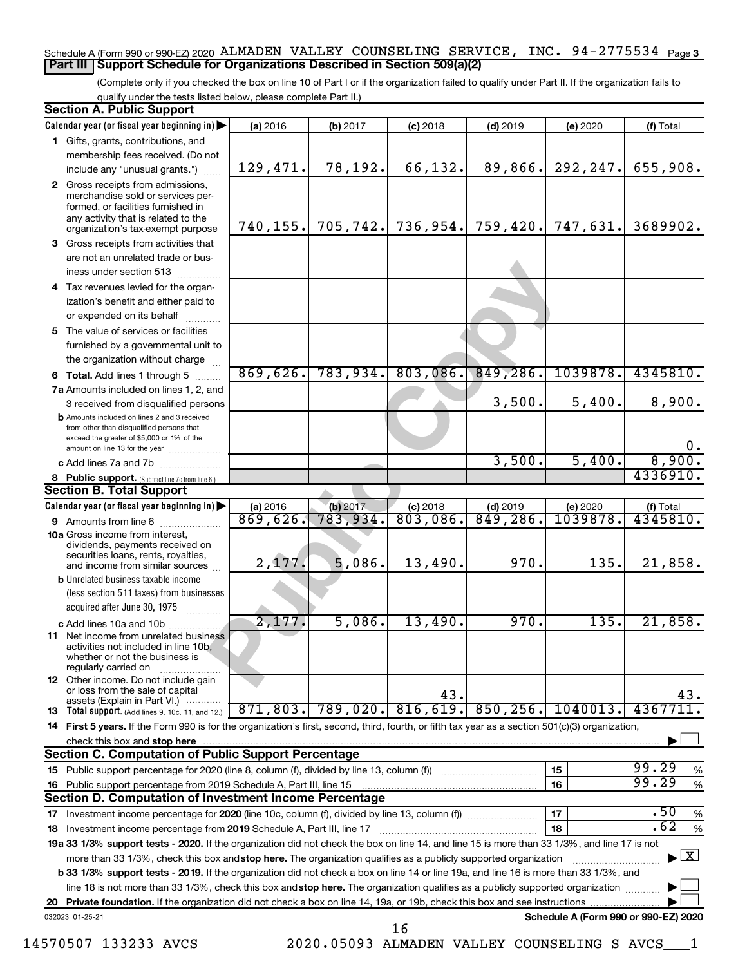#### Schedule A (Form 990 or 990-EZ) 2020 ALMADEN VALLEY COUNSELING SERVICE, INC. 94-2775534 <sub>Page 3</sub> **Part III Support Schedule for Organizations Described in Section 509(a)(2)**

(Complete only if you checked the box on line 10 of Part I or if the organization failed to qualify under Part II. If the organization fails to qualify under the tests listed below, please complete Part II.)

|    | <b>Section A. Public Support</b>                                                                                                                             |                      |                        |                        |                        |                                      |                       |  |  |
|----|--------------------------------------------------------------------------------------------------------------------------------------------------------------|----------------------|------------------------|------------------------|------------------------|--------------------------------------|-----------------------|--|--|
|    | Calendar year (or fiscal year beginning in)                                                                                                                  | (a) 2016             | (b) 2017               | $(c)$ 2018             | $(d)$ 2019             | (e) 2020                             | (f) Total             |  |  |
|    | 1 Gifts, grants, contributions, and                                                                                                                          |                      |                        |                        |                        |                                      |                       |  |  |
|    | membership fees received. (Do not                                                                                                                            |                      |                        |                        |                        |                                      |                       |  |  |
|    | include any "unusual grants.")                                                                                                                               | 129,471.             | 78,192.                | 66,132.                | 89,866.                | 292, 247.                            | 655,908.              |  |  |
|    | 2 Gross receipts from admissions,<br>merchandise sold or services per-<br>formed, or facilities furnished in                                                 |                      |                        |                        |                        |                                      |                       |  |  |
|    | any activity that is related to the<br>organization's tax-exempt purpose                                                                                     | 740, 155.            | 705,742.               | 736,954.               | 759,420.               | 747,631.                             | 3689902.              |  |  |
|    | 3 Gross receipts from activities that                                                                                                                        |                      |                        |                        |                        |                                      |                       |  |  |
|    | are not an unrelated trade or bus-                                                                                                                           |                      |                        |                        |                        |                                      |                       |  |  |
|    | iness under section 513                                                                                                                                      |                      |                        |                        |                        |                                      |                       |  |  |
|    | 4 Tax revenues levied for the organ-                                                                                                                         |                      |                        |                        |                        |                                      |                       |  |  |
|    | ization's benefit and either paid to                                                                                                                         |                      |                        |                        |                        |                                      |                       |  |  |
|    | or expended on its behalf                                                                                                                                    |                      |                        |                        |                        |                                      |                       |  |  |
|    | 5 The value of services or facilities                                                                                                                        |                      |                        |                        |                        |                                      |                       |  |  |
|    | furnished by a governmental unit to                                                                                                                          |                      |                        |                        |                        |                                      |                       |  |  |
|    | the organization without charge                                                                                                                              |                      |                        |                        |                        |                                      |                       |  |  |
|    | <b>6 Total.</b> Add lines 1 through 5                                                                                                                        | 869,626.             | 783,934.               | 803,086.               | 849,286.               | 1039878.                             | 4345810.              |  |  |
|    | 7a Amounts included on lines 1, 2, and                                                                                                                       |                      |                        |                        |                        |                                      |                       |  |  |
|    | 3 received from disqualified persons                                                                                                                         |                      |                        |                        | 3,500.                 | 5,400.                               | 8,900.                |  |  |
|    | <b>b</b> Amounts included on lines 2 and 3 received<br>from other than disqualified persons that<br>exceed the greater of \$5,000 or 1% of the               |                      |                        |                        |                        |                                      |                       |  |  |
|    | amount on line 13 for the year                                                                                                                               |                      |                        |                        | 3,500.                 | 5,400.                               | 0.<br>8,900.          |  |  |
|    | c Add lines 7a and 7b                                                                                                                                        |                      |                        |                        |                        |                                      | 4336910.              |  |  |
|    | 8 Public support. (Subtract line 7c from line 6.)<br><b>Section B. Total Support</b>                                                                         |                      |                        |                        |                        |                                      |                       |  |  |
|    |                                                                                                                                                              |                      |                        |                        |                        |                                      |                       |  |  |
|    | Calendar year (or fiscal year beginning in)                                                                                                                  | (a) 2016<br>869,626. | $(b)$ 2017<br>783,934. | $(c)$ 2018<br>803,086. | $(d)$ 2019<br>849,286. | (e) 2020<br>1039878                  | (f) Total<br>4345810. |  |  |
|    | <b>9</b> Amounts from line 6<br><b>10a</b> Gross income from interest,                                                                                       |                      |                        |                        |                        |                                      |                       |  |  |
|    | dividends, payments received on<br>securities loans, rents, royalties,                                                                                       |                      |                        |                        |                        |                                      |                       |  |  |
|    | and income from similar sources                                                                                                                              | 2,177.               | 5,086.                 | 13,490.                | 970.                   | 135.                                 | 21,858.               |  |  |
|    | <b>b</b> Unrelated business taxable income                                                                                                                   |                      |                        |                        |                        |                                      |                       |  |  |
|    | (less section 511 taxes) from businesses                                                                                                                     |                      |                        |                        |                        |                                      |                       |  |  |
|    | acquired after June 30, 1975                                                                                                                                 |                      |                        |                        |                        |                                      |                       |  |  |
|    | c Add lines 10a and 10b                                                                                                                                      | 2,177.               | 5,086.                 | 13,490.                | 970.                   | 135.                                 | 21,858.               |  |  |
|    | <b>11</b> Net income from unrelated business<br>activities not included in line 10b,<br>whether or not the business is<br>regularly carried on               |                      |                        |                        |                        |                                      |                       |  |  |
|    | <b>12</b> Other income. Do not include gain<br>or loss from the sale of capital                                                                              |                      |                        | 43.                    |                        |                                      | 43.                   |  |  |
|    | assets (Explain in Part VI.)<br><b>13</b> Total support. (Add lines 9, 10c, 11, and 12.)                                                                     | 871, 803.            | 789,020.               | 816,619.               | 850, 256.              | 1040013.                             | 43677                 |  |  |
|    | 14 First 5 years. If the Form 990 is for the organization's first, second, third, fourth, or fifth tax year as a section 501(c)(3) organization,             |                      |                        |                        |                        |                                      |                       |  |  |
|    | check this box and stop here                                                                                                                                 |                      |                        |                        |                        |                                      |                       |  |  |
|    | <b>Section C. Computation of Public Support Percentage</b>                                                                                                   |                      |                        |                        |                        |                                      |                       |  |  |
|    |                                                                                                                                                              |                      |                        |                        |                        | 15                                   | 99.29<br>%            |  |  |
|    | 16 Public support percentage from 2019 Schedule A, Part III, line 15                                                                                         |                      |                        |                        |                        | 16                                   | 99.29<br>$\%$         |  |  |
|    | Section D. Computation of Investment Income Percentage                                                                                                       |                      |                        |                        |                        |                                      |                       |  |  |
|    |                                                                                                                                                              |                      |                        |                        |                        | 17                                   | .50<br>$\%$           |  |  |
|    | .62<br>18<br>$\%$<br>18 Investment income percentage from 2019 Schedule A, Part III, line 17                                                                 |                      |                        |                        |                        |                                      |                       |  |  |
|    | 19a 33 1/3% support tests - 2020. If the organization did not check the box on line 14, and line 15 is more than 33 1/3%, and line 17 is not                 |                      |                        |                        |                        |                                      |                       |  |  |
|    | $\blacktriangleright$ $\boxed{\text{X}}$<br>more than 33 1/3%, check this box and stop here. The organization qualifies as a publicly supported organization |                      |                        |                        |                        |                                      |                       |  |  |
|    | b 33 1/3% support tests - 2019. If the organization did not check a box on line 14 or line 19a, and line 16 is more than 33 1/3%, and                        |                      |                        |                        |                        |                                      |                       |  |  |
|    | line 18 is not more than 33 1/3%, check this box and stop here. The organization qualifies as a publicly supported organization                              |                      |                        |                        |                        |                                      |                       |  |  |
| 20 |                                                                                                                                                              |                      |                        |                        |                        |                                      |                       |  |  |
|    | 032023 01-25-21                                                                                                                                              |                      |                        |                        |                        | Schedule A (Form 990 or 990-EZ) 2020 |                       |  |  |
|    |                                                                                                                                                              |                      |                        | 16                     |                        |                                      |                       |  |  |

14570507 133233 AVCS 2020.05093 ALMADEN VALLEY COUNSELING S AVCS\_\_\_1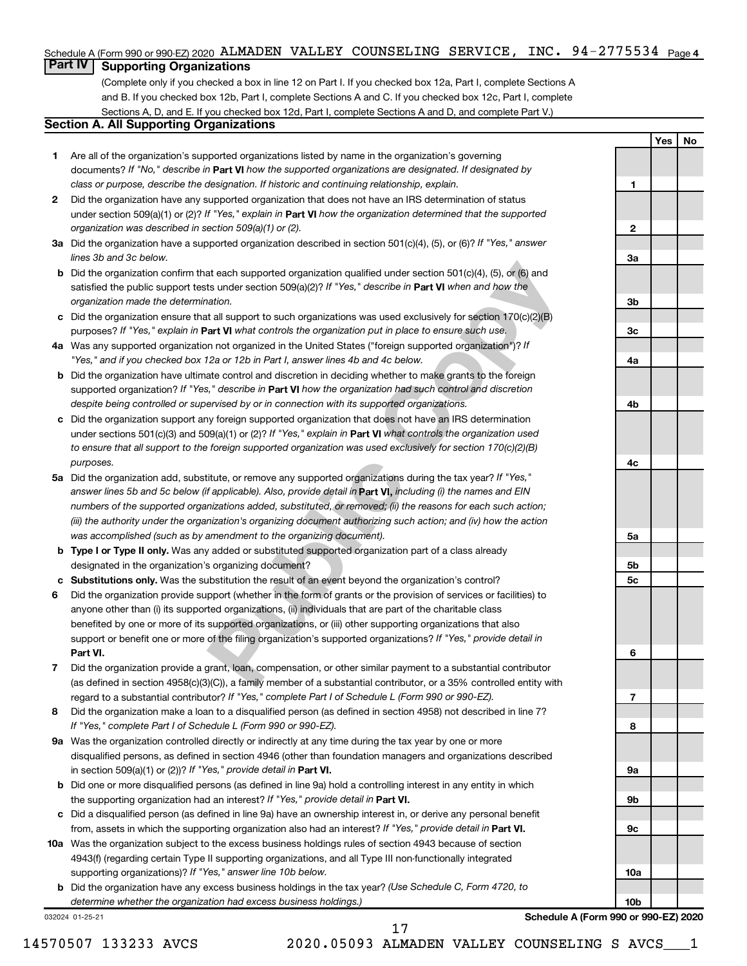#### Schedule A (Form 990 or 990-EZ) 2020 ALMADEN VALLEY COUNSELING SERVICE, INC. 94-2775534 <sub>Page 4</sub>

### **Part IV Supporting Organizations**

(Complete only if you checked a box in line 12 on Part I. If you checked box 12a, Part I, complete Sections A and B. If you checked box 12b, Part I, complete Sections A and C. If you checked box 12c, Part I, complete Sections A, D, and E. If you checked box 12d, Part I, complete Sections A and D, and complete Part V.)

#### **Section A. All Supporting Organizations**

- documents? If "No," describe in Part VI how the supported organizations are designated. If designated by *class or purpose, describe the designation. If historic and continuing relationship, explain.* 1 Are all of the organization's supported organizations listed by name in the organization's governing
- under section 509(a)(1) or (2)? If "Yes," explain in Part **VI** how the organization determined that the supported *organization was described in section 509(a)(1) or (2).* 2 Did the organization have any supported organization that does not have an IRS determination of status
- Did the organization have a supported organization described in section 501(c)(4), (5), or (6)? If "Yes," answer *lines 3b and 3c below.*
- satisfied the public support tests under section 509(a)(2)? If "Yes," describe in Part VI when and how the *organization made the determination.* **b** Did the organization confirm that each supported organization qualified under section  $501(c)(4)$ ,  $(5)$ , or  $(6)$  and
- purposes? If "Yes," explain in Part VI what controls the organization put in place to ensure such use.  $c$  Did the organization ensure that all support to such organizations was used exclusively for section 170(c)(2)(B)
- Was any supported organization not organized in the United States ("foreign supported organization")? If *"Yes," and if you checked box 12a or 12b in Part I, answer lines 4b and 4c below.*
- supported organization? If "Yes," describe in Part VI how the organization had such control and discretion *despite being controlled or supervised by or in connection with its supported organizations.* b Did the organization have ultimate control and discretion in deciding whether to make grants to the foreign
- under sections 501(c)(3) and 509(a)(1) or (2)? If "Yes," explain in Part VI what controls the organization used *to ensure that all support to the foreign supported organization was used exclusively for section 170(c)(2)(B) purposes.* Did the organization support any foreign supported organization that does not have an IRS determination
- at each supported organization qualified under section 501(c)(4), (5), or (6) and<br>ts under section 509(a)(2)? *H* "Yes," *describe in* **Part VI** when and how the<br>atton.<br>The standary of the standary of the organizations was **abcabcabcabcab** answer lines 5b and 5c below (if applicable). Also, provide detail in **Part VI,** including (i) the names and EIN Did the organization add, substitute, or remove any supported organizations during the tax year? If "Yes," *numbers of the supported organizations added, substituted, or removed; (ii) the reasons for each such action; (iii) the authority under the organization's organizing document authorizing such action; and (iv) how the action was accomplished (such as by amendment to the organizing document).*
- **Type I or Type II only.** Was any added or substituted supported organization part of a class already designated in the organization's organizing document?
- Substitutions only. Was the substitution the result of an event beyond the organization's control?
- 1 2 3 4 5 6 7 8 <del>9</del> **Part VI.** support or benefit one or more of the filing organization's supported organizations? If "Yes," provide detail in Did the organization provide support (whether in the form of grants or the provision of services or facilities) to anyone other than (i) its supported organizations, (ii) individuals that are part of the charitable class benefited by one or more of its supported organizations, or (iii) other supporting organizations that also
- regard to a substantial contributor? If "Yes," complete Part I of Schedule L (Form 990 or 990-EZ). Did the organization provide a grant, loan, compensation, or other similar payment to a substantial contributor (as defined in section 4958(c)(3)(C)), a family member of a substantial contributor, or a 35% controlled entity with
- *If "Yes," complete Part I of Schedule L (Form 990 or 990-EZ).* 8 Did the organization make a loan to a disqualified person (as defined in section 4958) not described in line 7?
- in section 509(a)(1) or (2))? If "Yes," provide detail in **Part VI.** 9a Was the organization controlled directly or indirectly at any time during the tax year by one or more disqualified persons, as defined in section 4946 (other than foundation managers and organizations described
- the supporting organization had an interest? If "Yes," provide detail in Part VI. **b** Did one or more disqualified persons (as defined in line 9a) hold a controlling interest in any entity in which
- from, assets in which the supporting organization also had an interest? If "Yes," provide detail in Part VI. Did a disqualified person (as defined in line 9a) have an ownership interest in, or derive any personal benefit
- **10** Was the organization subject to the excess business holdings rules of section 4943 because of section supporting organizations)? If "Yes," answer line 10b below. 4943(f) (regarding certain Type II supporting organizations, and all Type III non-functionally integrated
	- *(Use Schedule C, Form 4720, to* Did the organization have any excess business holdings in the tax year? *determine whether the organization had excess business holdings.)*

032024 01-25-21

**Schedule A (Form 990 or 990-EZ) 2020**

**Yes No**

**12**

 $\mathbf{2}$ 

 $\blacksquare$ 

**3a**

**3b**

**3c**

**4a**

**4b**

**4c**

**5a**

**5b**

5c

**5c**<br>**6**<br>**7**<br>**8** 

 $\overline{7}$ 

8

6

**9a**

**9b**

**9c**

**10a**

**10b**

14570507 133233 AVCS 2020.05093 ALMADEN VALLEY COUNSELING S AVCS\_\_\_1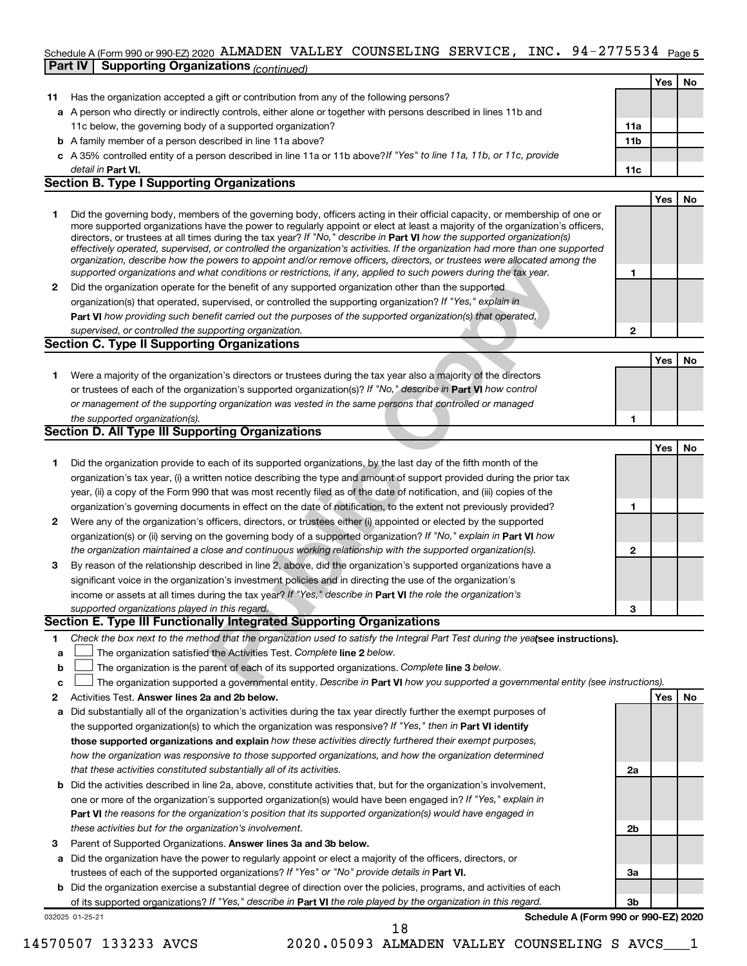#### Schedule A (Form 990 or 990-EZ) 2020 ALMADEN VALLEY COUNSELING SERVICE, INC. 94-2775534 <sub>Page 5</sub> **Part IV Supporting Organizations** *(continued)*

|    |                                                                                                                      |                 | Yes | No |
|----|----------------------------------------------------------------------------------------------------------------------|-----------------|-----|----|
| 11 | Has the organization accepted a gift or contribution from any of the following persons?                              |                 |     |    |
|    | a A person who directly or indirectly controls, either alone or together with persons described in lines 11b and     |                 |     |    |
|    | 11c below, the governing body of a supported organization?                                                           | 11a             |     |    |
|    | <b>b</b> A family member of a person described in line 11a above?                                                    | 11 <sub>b</sub> |     |    |
|    | c A 35% controlled entity of a person described in line 11a or 11b above? If "Yes" to line 11a, 11b, or 11c, provide |                 |     |    |
|    | detail in Part VI.                                                                                                   | 11c             |     |    |
|    | <b>Section B. Type I Supporting Organizations</b>                                                                    |                 |     |    |
|    |                                                                                                                      |                 | Yes |    |

|   | Did the governing body, members of the governing body, officers acting in their official capacity, or membership of one or<br>more supported organizations have the power to regularly appoint or elect at least a majority of the organization's officers,<br>directors, or trustees at all times during the tax year? If "No," describe in Part VI how the supported organization(s)<br>effectively operated, supervised, or controlled the organization's activities. If the organization had more than one supported<br>organization, describe how the powers to appoint and/or remove officers, directors, or trustees were allocated among the |  |  |
|---|------------------------------------------------------------------------------------------------------------------------------------------------------------------------------------------------------------------------------------------------------------------------------------------------------------------------------------------------------------------------------------------------------------------------------------------------------------------------------------------------------------------------------------------------------------------------------------------------------------------------------------------------------|--|--|
|   | supported organizations and what conditions or restrictions, if any, applied to such powers during the tax year.                                                                                                                                                                                                                                                                                                                                                                                                                                                                                                                                     |  |  |
| 2 | Did the organization operate for the benefit of any supported organization other than the supported                                                                                                                                                                                                                                                                                                                                                                                                                                                                                                                                                  |  |  |
|   | organization(s) that operated, supervised, or controlled the supporting organization? If "Yes," explain in                                                                                                                                                                                                                                                                                                                                                                                                                                                                                                                                           |  |  |
|   | Part VI how providing such benefit carried out the purposes of the supported organization(s) that operated,                                                                                                                                                                                                                                                                                                                                                                                                                                                                                                                                          |  |  |
|   | supervised, or controlled the supporting organization.                                                                                                                                                                                                                                                                                                                                                                                                                                                                                                                                                                                               |  |  |

**Part VI**  *how providing such benefit carried out the purposes of the supported organization(s) that operated, supervised, or controlled the supporting organization.* **Section C. Type II Supporting Organizations**

bowes via appoint arisot remove oncess, directions, or trastes were allocated anony that conditions or restrictions, if any, applied to such powers during the tax year.<br>The benefit of any supported organization other than **Yes No 1** Were a majority of the organization's directors or trustees during the tax year also a majority of the directors or trustees of each of the organization's supported organization(s)? If "No," describe in Part VI how control **1** *or management of the supporting organization was vested in the same persons that controlled or managed the supported organization(s).* **Section D. All Type III Supporting Organizations**

| Did the organization provide to each of its supported organizations, by the last day of the fifth month of the         |
|------------------------------------------------------------------------------------------------------------------------|
| organization's tax year, (i) a written notice describing the type and amount of support provided during the prior tax  |
| year, (ii) a copy of the Form 990 that was most recently filed as of the date of notification, and (iii) copies of the |
| organization's governing documents in effect on the date of notification, to the extent not previously provided?       |

|              | Did the organization provide to each of its supported organizations, by the last day of the fifth month of the         |
|--------------|------------------------------------------------------------------------------------------------------------------------|
|              | organization's tax year, (i) a written notice describing the type and amount of support provided during the prior tax  |
|              | year, (ii) a copy of the Form 990 that was most recently filed as of the date of notification, and (iii) copies of the |
|              | organization's governing documents in effect on the date of notification, to the extent not previously provided?       |
| $\mathbf{2}$ | Were any of the organization's officers, directors, or trustees either (i) appointed or elected by the supported       |
|              | organization(s) or (ii) serving on the governing body of a supported organization? If "No," explain in Part VI how     |
|              | the organization maintained a close and continuous working relationship with the supported organization(s).            |
| 3            | By reason of the relationship described in line 2, above, did the organization's supported organizations have a        |

| By reason of the relationship described in line 2, above, did the organization's supported organizations have a     |
|---------------------------------------------------------------------------------------------------------------------|
| significant voice in the organization's investment policies and in directing the use of the organization's          |
| income or assets at all times during the tax year? If "Yes," describe in <b>Part VI</b> the role the organization's |
| supported organizations played in this regard.                                                                      |

#### **Section E. Type III Functionally Integrated Supporting Organizations**

- 1 Check the box next to the method that the organization used to satisfy the Integral Part Test during the yealsee instructions).
- a The organization satisfied the Activities Test. Complete line 2 below.
- †††  $\mathbf b$ The organization is the parent of each of its supported organizations. Complete line 3 below.
- **abc**  $\mathbf{c}$ The organization supported a governmental entity. Describe in Part VI how you supported a governmental entity (see instructions).
- **Answer lines 2a and 2b below. Yes No** Activities Test.
- **123 abab** the supported organization(s) to which the organization was responsive? If "Yes," then in Part VI identify **those supported organizations and explain**  *how these activities directly furthered their exempt purposes, how the organization was responsive to those supported organizations, and how the organization determined that these activities constituted substantially all of its activities.* a Did substantially all of the organization's activities during the tax year directly further the exempt purposes of
- **Part VI**  *the reasons for the organization's position that its supported organization(s) would have engaged in* one or more of the organization's supported organization(s) would have been engaged in? If "Yes," explain in *these activities but for the organization's involvement.* b Did the activities described in line 2a, above, constitute activities that, but for the organization's involvement,
- Parent of Supported Organizations. Answer lines 3a and 3b below.
- trustees of each of the supported organizations? If "Yes" or "No" provide details in Part VI. a Did the organization have the power to regularly appoint or elect a majority of the officers, directors, or
- of its supported organizations? If "Yes," describe in Part VI the role played by the organization in this regard. **b** Did the organization exercise a substantial degree of direction over the policies, programs, and activities of each

032025 01-25-21

**Schedule A (Form 990 or 990-EZ) 2020**

**Yes No**

1<br>2<br>3

 $\overline{\mathbf{a}}$ 

 $\overline{2}$ 

 $\blacktriangleleft$ 

**2a**

**2b**

**3a**

**3b**

18

14570507 133233 AVCS 2020.05093 ALMADEN VALLEY COUNSELING S AVCS\_\_\_1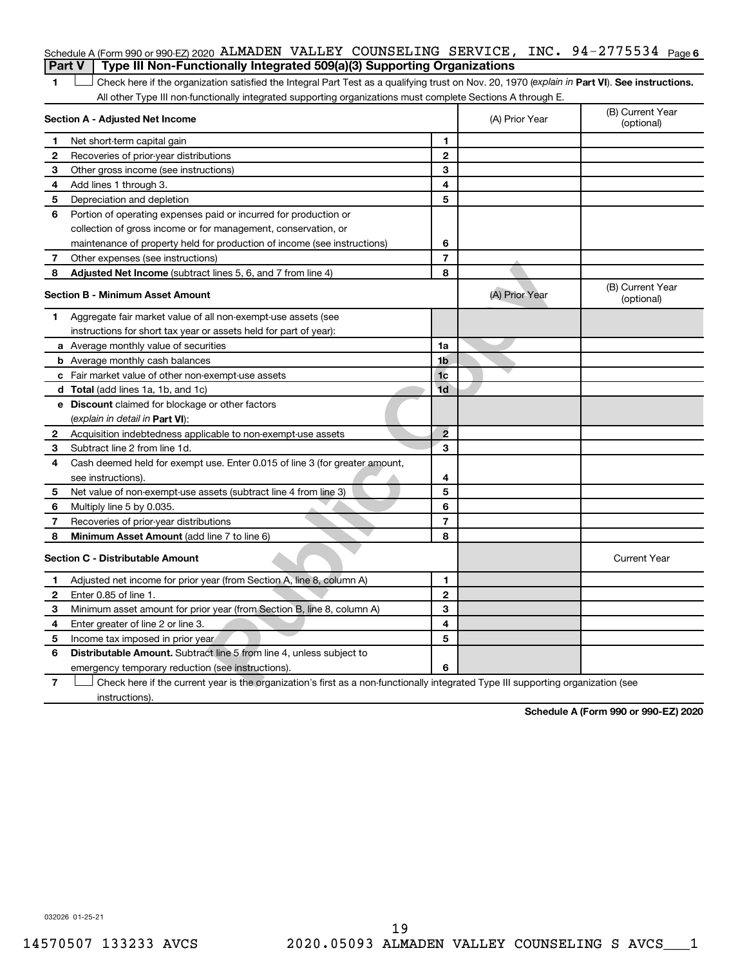#### Schedule A (Form 990 or 990-EZ) 2020 ALMADEN VALLEY COUNSELING SERVICE, INC. 94-2775534 <sub>Page 6</sub> **Part V Type III Non-Functionally Integrated 509(a)(3) Supporting Organizations**

| 1              | Check here if the organization satisfied the Integral Part Test as a qualifying trust on Nov. 20, 1970 (explain in Part VI). See instructions.<br>All other Type III non-functionally integrated supporting organizations must complete Sections A through E. |                          |                |                                |
|----------------|---------------------------------------------------------------------------------------------------------------------------------------------------------------------------------------------------------------------------------------------------------------|--------------------------|----------------|--------------------------------|
|                | Section A - Adjusted Net Income                                                                                                                                                                                                                               |                          | (A) Prior Year | (B) Current Year<br>(optional) |
| 1              | Net short-term capital gain                                                                                                                                                                                                                                   | 1                        |                |                                |
| 2              | Recoveries of prior-year distributions                                                                                                                                                                                                                        | $\mathbf{2}$             |                |                                |
| 3              | Other gross income (see instructions)                                                                                                                                                                                                                         | 3                        |                |                                |
| 4              | Add lines 1 through 3.                                                                                                                                                                                                                                        | 4                        |                |                                |
| 5              | Depreciation and depletion                                                                                                                                                                                                                                    | 5                        |                |                                |
| 6              | Portion of operating expenses paid or incurred for production or                                                                                                                                                                                              |                          |                |                                |
|                | collection of gross income or for management, conservation, or                                                                                                                                                                                                |                          |                |                                |
|                | maintenance of property held for production of income (see instructions)                                                                                                                                                                                      | 6                        |                |                                |
| 7              | Other expenses (see instructions)                                                                                                                                                                                                                             | $\overline{\phantom{a}}$ |                |                                |
| 8              | Adjusted Net Income (subtract lines 5, 6, and 7 from line 4)                                                                                                                                                                                                  | 8                        |                |                                |
|                | <b>Section B - Minimum Asset Amount</b>                                                                                                                                                                                                                       |                          | (A) Prior Year | (B) Current Year<br>(optional) |
| 1.             | Aggregate fair market value of all non-exempt-use assets (see                                                                                                                                                                                                 |                          |                |                                |
|                | instructions for short tax year or assets held for part of year):                                                                                                                                                                                             |                          |                |                                |
|                | a Average monthly value of securities                                                                                                                                                                                                                         | 1a                       |                |                                |
|                | <b>b</b> Average monthly cash balances                                                                                                                                                                                                                        | 1b                       |                |                                |
|                | c Fair market value of other non-exempt-use assets                                                                                                                                                                                                            | 1 <sub>c</sub>           |                |                                |
|                | <b>d</b> Total (add lines 1a, 1b, and 1c)                                                                                                                                                                                                                     | 1d                       |                |                                |
|                | <b>e</b> Discount claimed for blockage or other factors                                                                                                                                                                                                       |                          |                |                                |
|                | (explain in detail in Part VI):                                                                                                                                                                                                                               |                          |                |                                |
| 2              | Acquisition indebtedness applicable to non-exempt-use assets                                                                                                                                                                                                  | $\overline{2}$           |                |                                |
| 3              | Subtract line 2 from line 1d.                                                                                                                                                                                                                                 | 3                        |                |                                |
| 4              | Cash deemed held for exempt use. Enter 0.015 of line 3 (for greater amount,                                                                                                                                                                                   |                          |                |                                |
|                | see instructions).                                                                                                                                                                                                                                            | 4                        |                |                                |
| 5              | Net value of non-exempt-use assets (subtract line 4 from line 3)                                                                                                                                                                                              | 5                        |                |                                |
| 6              | Multiply line 5 by 0.035.                                                                                                                                                                                                                                     | 6                        |                |                                |
| 7              | Recoveries of prior-year distributions                                                                                                                                                                                                                        | $\overline{7}$           |                |                                |
| 8              | Minimum Asset Amount (add line 7 to line 6)                                                                                                                                                                                                                   | 8                        |                |                                |
|                | <b>Section C - Distributable Amount</b>                                                                                                                                                                                                                       |                          |                | <b>Current Year</b>            |
| 1.             | Adjusted net income for prior year (from Section A, line 8, column A)                                                                                                                                                                                         | 1                        |                |                                |
| 2              | Enter 0.85 of line 1.                                                                                                                                                                                                                                         | $\overline{2}$           |                |                                |
| З              | Minimum asset amount for prior year (from Section B, line 8, column A)                                                                                                                                                                                        | 3                        |                |                                |
| 4              | Enter greater of line 2 or line 3.                                                                                                                                                                                                                            | 4                        |                |                                |
| 5              | Income tax imposed in prior year                                                                                                                                                                                                                              | 5                        |                |                                |
| 6              | <b>Distributable Amount.</b> Subtract line 5 from line 4, unless subject to                                                                                                                                                                                   |                          |                |                                |
|                | emergency temporary reduction (see instructions).                                                                                                                                                                                                             | 6                        |                |                                |
| $\overline{7}$ | Check here if the current year is the organization's first as a non-functionally integrated Type III supporting organization (see                                                                                                                             |                          |                |                                |

instructions).

**Schedule A (Form 990 or 990-EZ) 2020**

032026 01-25-21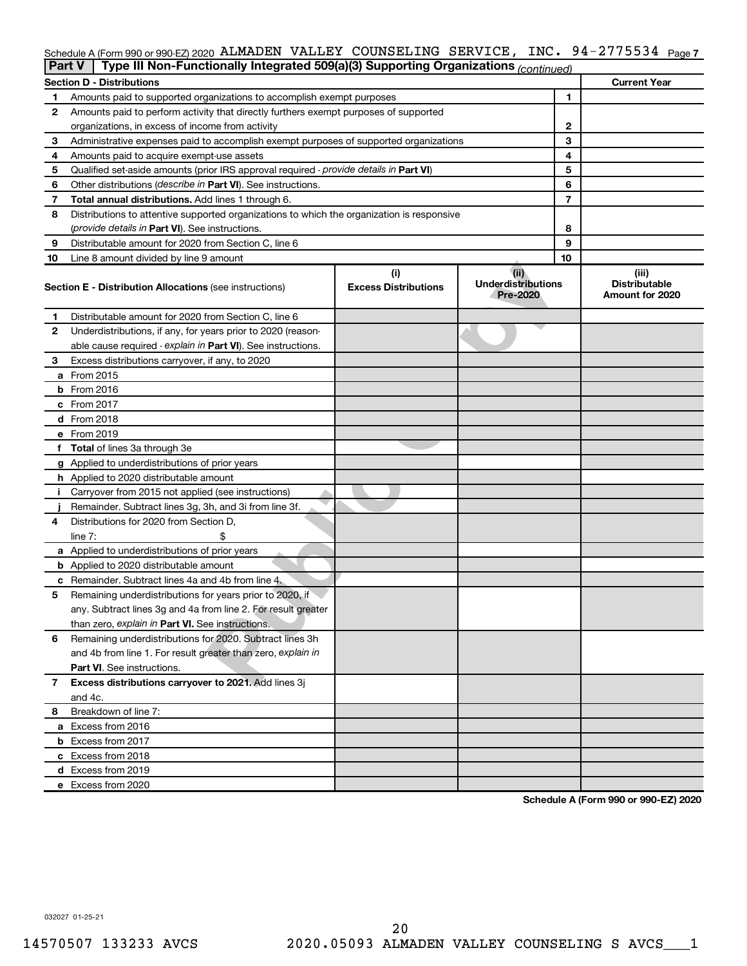#### Schedule A (Form 990 or 990-EZ) 2020 ALMADEN VALLEY COUNSELING SERVICE, INC. 94-2775534 <sub>Page 7</sub>

|                                                         | Type III Non-Functionally Integrated 509(a)(3) Supporting Organizations (continued)<br>Part V |                                    |                                               |                                                  |  |  |  |
|---------------------------------------------------------|-----------------------------------------------------------------------------------------------|------------------------------------|-----------------------------------------------|--------------------------------------------------|--|--|--|
| <b>Current Year</b><br><b>Section D - Distributions</b> |                                                                                               |                                    |                                               |                                                  |  |  |  |
| 1                                                       | Amounts paid to supported organizations to accomplish exempt purposes                         | 1                                  |                                               |                                                  |  |  |  |
| 2                                                       | Amounts paid to perform activity that directly furthers exempt purposes of supported          |                                    |                                               |                                                  |  |  |  |
|                                                         | organizations, in excess of income from activity                                              |                                    | 2                                             |                                                  |  |  |  |
| 3                                                       | Administrative expenses paid to accomplish exempt purposes of supported organizations         |                                    | 3                                             |                                                  |  |  |  |
| 4                                                       | Amounts paid to acquire exempt-use assets                                                     |                                    | 4                                             |                                                  |  |  |  |
| 5                                                       | Qualified set-aside amounts (prior IRS approval required - provide details in Part VI)        |                                    | 5                                             |                                                  |  |  |  |
| 6                                                       | Other distributions ( <i>describe in Part VI</i> ). See instructions.                         |                                    | 6                                             |                                                  |  |  |  |
| 7                                                       | Total annual distributions. Add lines 1 through 6.                                            |                                    | 7                                             |                                                  |  |  |  |
| 8                                                       | Distributions to attentive supported organizations to which the organization is responsive    |                                    |                                               |                                                  |  |  |  |
|                                                         | ( <i>provide details in Part VI</i> ). See instructions.                                      |                                    | 8                                             |                                                  |  |  |  |
| 9                                                       | Distributable amount for 2020 from Section C, line 6                                          |                                    | 9                                             |                                                  |  |  |  |
| 10                                                      | Line 8 amount divided by line 9 amount                                                        |                                    | 10                                            |                                                  |  |  |  |
|                                                         | <b>Section E - Distribution Allocations (see instructions)</b>                                | (i)<br><b>Excess Distributions</b> | (ii)<br><b>Underdistributions</b><br>Pre-2020 | (iii)<br><b>Distributable</b><br>Amount for 2020 |  |  |  |
| 1                                                       | Distributable amount for 2020 from Section C, line 6                                          |                                    |                                               |                                                  |  |  |  |
| 2                                                       | Underdistributions, if any, for years prior to 2020 (reason-                                  |                                    |                                               |                                                  |  |  |  |
|                                                         | able cause required - explain in Part VI). See instructions.                                  |                                    |                                               |                                                  |  |  |  |
| З                                                       | Excess distributions carryover, if any, to 2020                                               |                                    |                                               |                                                  |  |  |  |
|                                                         | a From 2015                                                                                   |                                    |                                               |                                                  |  |  |  |
|                                                         | $b$ From 2016                                                                                 |                                    |                                               |                                                  |  |  |  |
|                                                         | c From 2017                                                                                   |                                    |                                               |                                                  |  |  |  |
|                                                         | <b>d</b> From 2018                                                                            |                                    |                                               |                                                  |  |  |  |
|                                                         | e From 2019                                                                                   |                                    |                                               |                                                  |  |  |  |
|                                                         | f Total of lines 3a through 3e                                                                |                                    |                                               |                                                  |  |  |  |
|                                                         | g Applied to underdistributions of prior years                                                |                                    |                                               |                                                  |  |  |  |
|                                                         | h Applied to 2020 distributable amount                                                        |                                    |                                               |                                                  |  |  |  |
| Ť.                                                      | Carryover from 2015 not applied (see instructions)                                            |                                    |                                               |                                                  |  |  |  |
|                                                         | Remainder. Subtract lines 3g, 3h, and 3i from line 3f.                                        |                                    |                                               |                                                  |  |  |  |
| 4                                                       | Distributions for 2020 from Section D,                                                        |                                    |                                               |                                                  |  |  |  |
|                                                         | line $7:$                                                                                     |                                    |                                               |                                                  |  |  |  |
|                                                         | a Applied to underdistributions of prior years                                                |                                    |                                               |                                                  |  |  |  |
|                                                         | <b>b</b> Applied to 2020 distributable amount                                                 |                                    |                                               |                                                  |  |  |  |
|                                                         | c Remainder. Subtract lines 4a and 4b from line 4.                                            |                                    |                                               |                                                  |  |  |  |
| 5                                                       | Remaining underdistributions for years prior to 2020, if                                      |                                    |                                               |                                                  |  |  |  |
|                                                         | any. Subtract lines 3g and 4a from line 2. For result greater                                 |                                    |                                               |                                                  |  |  |  |
|                                                         | than zero, explain in Part VI. See instructions.                                              |                                    |                                               |                                                  |  |  |  |
| 6                                                       | Remaining underdistributions for 2020. Subtract lines 3h                                      |                                    |                                               |                                                  |  |  |  |
|                                                         | and 4b from line 1. For result greater than zero, explain in                                  |                                    |                                               |                                                  |  |  |  |
|                                                         | <b>Part VI.</b> See instructions.                                                             |                                    |                                               |                                                  |  |  |  |
| 7                                                       | Excess distributions carryover to 2021. Add lines 3j                                          |                                    |                                               |                                                  |  |  |  |
|                                                         | and 4c.                                                                                       |                                    |                                               |                                                  |  |  |  |
| 8                                                       | Breakdown of line 7:                                                                          |                                    |                                               |                                                  |  |  |  |
|                                                         | a Excess from 2016                                                                            |                                    |                                               |                                                  |  |  |  |
|                                                         | <b>b</b> Excess from 2017                                                                     |                                    |                                               |                                                  |  |  |  |
|                                                         | c Excess from 2018                                                                            |                                    |                                               |                                                  |  |  |  |
|                                                         | d Excess from 2019                                                                            |                                    |                                               |                                                  |  |  |  |
|                                                         | e Excess from 2020                                                                            |                                    |                                               |                                                  |  |  |  |

**Schedule A (Form 990 or 990-EZ) 2020**

032027 01-25-21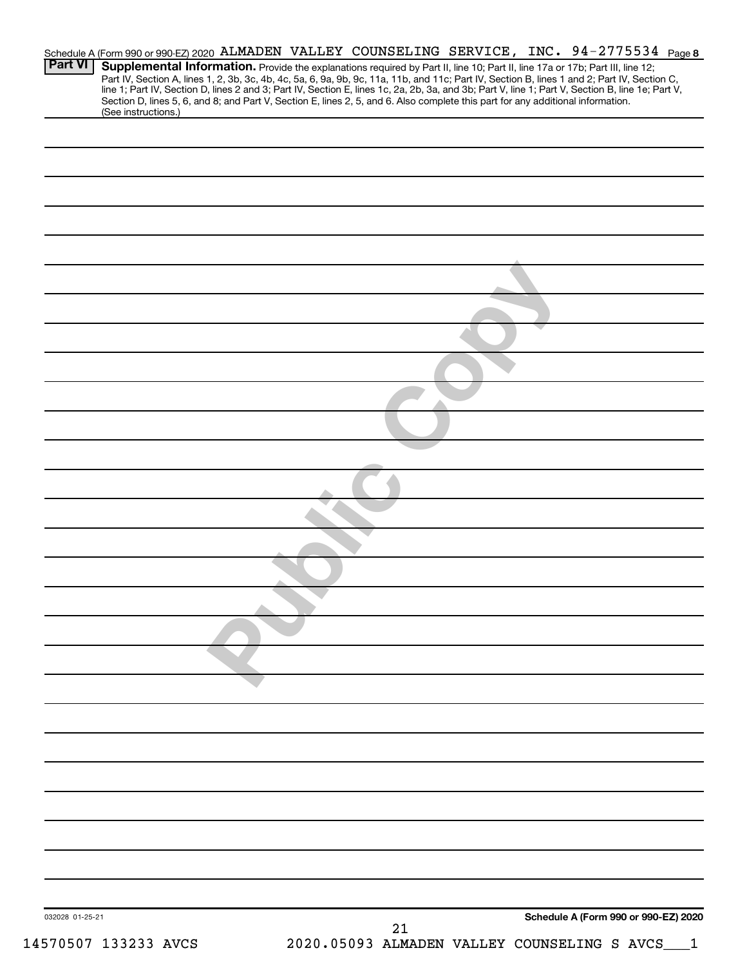|                 | Schedule A (Form 990 or 990-EZ) 2020 ALMADEN VALLEY COUNSELING SERVICE, INC. 94-2775534 Page 8                                                                                                                                                                                                                                                                                                                                                                                                       |
|-----------------|------------------------------------------------------------------------------------------------------------------------------------------------------------------------------------------------------------------------------------------------------------------------------------------------------------------------------------------------------------------------------------------------------------------------------------------------------------------------------------------------------|
| Part VI         | Supplemental Information. Provide the explanations required by Part II, line 10; Part II, line 17a or 17b; Part III, line 12;<br>Part IV, Section A, lines 1, 2, 3b, 3c, 4b, 4c, 5a, 6, 9a, 9b, 9c, 11a, 11b, and 11c; Part IV, Section B, lines 1 and 2; Part IV, Section C,<br>line 1; Part IV, Section D, lines 2 and 3; Part IV, Section E, lines 1c, 2a, 2b,<br>Section D, lines 5, 6, and 8; and Part V, Section E, lines 2, 5, and 6. Also complete this part for any additional information. |
|                 | (See instructions.)                                                                                                                                                                                                                                                                                                                                                                                                                                                                                  |
|                 |                                                                                                                                                                                                                                                                                                                                                                                                                                                                                                      |
|                 |                                                                                                                                                                                                                                                                                                                                                                                                                                                                                                      |
|                 |                                                                                                                                                                                                                                                                                                                                                                                                                                                                                                      |
|                 |                                                                                                                                                                                                                                                                                                                                                                                                                                                                                                      |
|                 |                                                                                                                                                                                                                                                                                                                                                                                                                                                                                                      |
|                 |                                                                                                                                                                                                                                                                                                                                                                                                                                                                                                      |
|                 |                                                                                                                                                                                                                                                                                                                                                                                                                                                                                                      |
|                 |                                                                                                                                                                                                                                                                                                                                                                                                                                                                                                      |
|                 |                                                                                                                                                                                                                                                                                                                                                                                                                                                                                                      |
|                 |                                                                                                                                                                                                                                                                                                                                                                                                                                                                                                      |
|                 |                                                                                                                                                                                                                                                                                                                                                                                                                                                                                                      |
|                 |                                                                                                                                                                                                                                                                                                                                                                                                                                                                                                      |
|                 |                                                                                                                                                                                                                                                                                                                                                                                                                                                                                                      |
|                 |                                                                                                                                                                                                                                                                                                                                                                                                                                                                                                      |
|                 |                                                                                                                                                                                                                                                                                                                                                                                                                                                                                                      |
|                 |                                                                                                                                                                                                                                                                                                                                                                                                                                                                                                      |
|                 |                                                                                                                                                                                                                                                                                                                                                                                                                                                                                                      |
|                 |                                                                                                                                                                                                                                                                                                                                                                                                                                                                                                      |
|                 |                                                                                                                                                                                                                                                                                                                                                                                                                                                                                                      |
|                 |                                                                                                                                                                                                                                                                                                                                                                                                                                                                                                      |
|                 |                                                                                                                                                                                                                                                                                                                                                                                                                                                                                                      |
|                 |                                                                                                                                                                                                                                                                                                                                                                                                                                                                                                      |
|                 |                                                                                                                                                                                                                                                                                                                                                                                                                                                                                                      |
|                 |                                                                                                                                                                                                                                                                                                                                                                                                                                                                                                      |
|                 |                                                                                                                                                                                                                                                                                                                                                                                                                                                                                                      |
|                 |                                                                                                                                                                                                                                                                                                                                                                                                                                                                                                      |
|                 |                                                                                                                                                                                                                                                                                                                                                                                                                                                                                                      |
|                 |                                                                                                                                                                                                                                                                                                                                                                                                                                                                                                      |
|                 |                                                                                                                                                                                                                                                                                                                                                                                                                                                                                                      |
|                 |                                                                                                                                                                                                                                                                                                                                                                                                                                                                                                      |
|                 |                                                                                                                                                                                                                                                                                                                                                                                                                                                                                                      |
|                 |                                                                                                                                                                                                                                                                                                                                                                                                                                                                                                      |
|                 |                                                                                                                                                                                                                                                                                                                                                                                                                                                                                                      |
|                 |                                                                                                                                                                                                                                                                                                                                                                                                                                                                                                      |
|                 |                                                                                                                                                                                                                                                                                                                                                                                                                                                                                                      |
|                 |                                                                                                                                                                                                                                                                                                                                                                                                                                                                                                      |
|                 |                                                                                                                                                                                                                                                                                                                                                                                                                                                                                                      |
|                 |                                                                                                                                                                                                                                                                                                                                                                                                                                                                                                      |
|                 |                                                                                                                                                                                                                                                                                                                                                                                                                                                                                                      |
| 032028 01-25-21 | Schedule A (Form 990 or 990-EZ) 2020                                                                                                                                                                                                                                                                                                                                                                                                                                                                 |
|                 | 21                                                                                                                                                                                                                                                                                                                                                                                                                                                                                                   |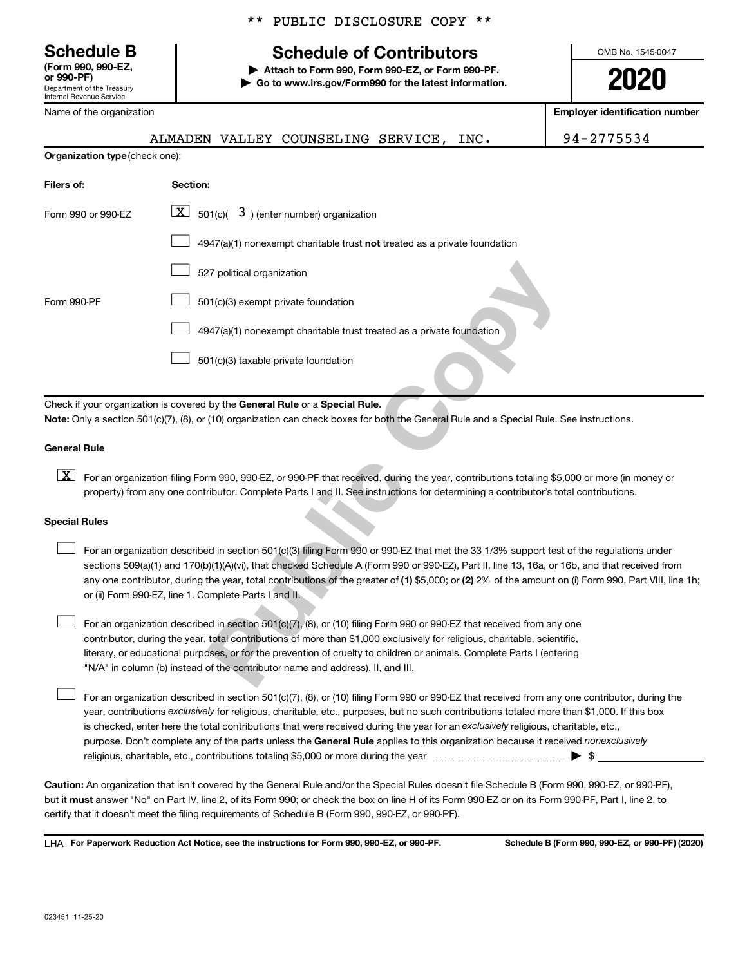**(Form 990, 990-EZ,**

Department of the Treasury Internal Revenue Service

Name of the organization

#### \*\* PUBLIC DISCLOSURE COPY \*\*

## **Schedule B Schedule of Contributors**

**or 990-PF) | Attach to Form 990, Form 990-EZ, or Form 990-PF. | Go to www.irs.gov/Form990 for the latest information.** OMB No. 1545-0047

**2020**

**Employer identification number**

|                                       |  | ALMADEN VALLEY COUNSELING SERVICE, | INC. | 94-2775534 |
|---------------------------------------|--|------------------------------------|------|------------|
| <b>Organization type (check one):</b> |  |                                    |      |            |

| Filers of:                                                                                                                                                                                                                                                                                                                                                                                                                                                                                               | Section:                                                                                                                                                                                                                                                                         |  |  |  |  |
|----------------------------------------------------------------------------------------------------------------------------------------------------------------------------------------------------------------------------------------------------------------------------------------------------------------------------------------------------------------------------------------------------------------------------------------------------------------------------------------------------------|----------------------------------------------------------------------------------------------------------------------------------------------------------------------------------------------------------------------------------------------------------------------------------|--|--|--|--|
| Form 990 or 990-EZ                                                                                                                                                                                                                                                                                                                                                                                                                                                                                       | $\boxed{\mathbf{X}}$ 501(c)( 3) (enter number) organization                                                                                                                                                                                                                      |  |  |  |  |
|                                                                                                                                                                                                                                                                                                                                                                                                                                                                                                          | $4947(a)(1)$ nonexempt charitable trust not treated as a private foundation                                                                                                                                                                                                      |  |  |  |  |
|                                                                                                                                                                                                                                                                                                                                                                                                                                                                                                          | 527 political organization                                                                                                                                                                                                                                                       |  |  |  |  |
| Form 990-PF                                                                                                                                                                                                                                                                                                                                                                                                                                                                                              | 501(c)(3) exempt private foundation                                                                                                                                                                                                                                              |  |  |  |  |
|                                                                                                                                                                                                                                                                                                                                                                                                                                                                                                          | 4947(a)(1) nonexempt charitable trust treated as a private foundation                                                                                                                                                                                                            |  |  |  |  |
|                                                                                                                                                                                                                                                                                                                                                                                                                                                                                                          | 501(c)(3) taxable private foundation                                                                                                                                                                                                                                             |  |  |  |  |
|                                                                                                                                                                                                                                                                                                                                                                                                                                                                                                          | Check if your organization is covered by the General Rule or a Special Rule.<br>Note: Only a section 501(c)(7), (8), or (10) organization can check boxes for both the General Rule and a Special Rule. See instructions.                                                        |  |  |  |  |
| <b>General Rule</b>                                                                                                                                                                                                                                                                                                                                                                                                                                                                                      |                                                                                                                                                                                                                                                                                  |  |  |  |  |
| $\lfloor x \rfloor$                                                                                                                                                                                                                                                                                                                                                                                                                                                                                      | For an organization filing Form 990, 990-EZ, or 990-PF that received, during the year, contributions totaling \$5,000 or more (in money or<br>property) from any one contributor. Complete Parts I and II. See instructions for determining a contributor's total contributions. |  |  |  |  |
| <b>Special Rules</b>                                                                                                                                                                                                                                                                                                                                                                                                                                                                                     |                                                                                                                                                                                                                                                                                  |  |  |  |  |
| For an organization described in section 501(c)(3) filing Form 990 or 990-EZ that met the 33 1/3% support test of the regulations under<br>sections 509(a)(1) and 170(b)(1)(A)(vi), that checked Schedule A (Form 990 or 990-EZ), Part II, line 13, 16a, or 16b, and that received from<br>any one contributor, during the year, total contributions of the greater of (1) \$5,000; or (2) 2% of the amount on (i) Form 990, Part VIII, line 1h<br>or (ii) Form 990-EZ, line 1. Complete Parts I and II. |                                                                                                                                                                                                                                                                                  |  |  |  |  |
| For an organization described in section 501(c)(7), (8), or (10) filing Form 990 or 990-EZ that received from any one<br>contributor, during the year, total contributions of more than \$1,000 exclusively for religious, charitable, scientific,<br>literary, or educational purposes, or for the prevention of cruelty to children or animals. Complete Parts I (entering<br>"N/A" in column (b) instead of the contributor name and address), II, and III.                                           |                                                                                                                                                                                                                                                                                  |  |  |  |  |

#### **General Rule**

# **Special Rules**  $\begin{array}{c} \n\boxed{\textbf{X}}\n\end{array}$

purpose. Don't complete any of the parts unless the General Rule applies to this organization because it received nonexclusively year, contributions exclusively for religious, charitable, etc., purposes, but no such contributions totaled more than \$1,000. If this box is checked, enter here the total contributions that were received during the year for an exclusively religious, charitable, etc., For an organization described in section 501(c)(7), (8), or (10) filing Form 990 or 990-EZ that received from any one contributor, during the religious, charitable, etc., contributions totaling \$5,000 or more during the year  $~$   $\rm{~~}~~$   $\rm{~~}~~$   $\rm{~~}~~$   $\rm{~~}~~$   $\rm{~~}~~$ 

**Caution:**  An organization that isn't covered by the General Rule and/or the Special Rules doesn't file Schedule B (Form 990, 990-EZ, or 990-PF),  **must** but it answer "No" on Part IV, line 2, of its Form 990; or check the box on line H of its Form 990-EZ or on its Form 990-PF, Part I, line 2, to certify that it doesn't meet the filing requirements of Schedule B (Form 990, 990-EZ, or 990-PF).

**For Paperwork Reduction Act Notice, see the instructions for Form 990, 990-EZ, or 990-PF. Schedule B (Form 990, 990-EZ, or 990-PF) (2020)** LHA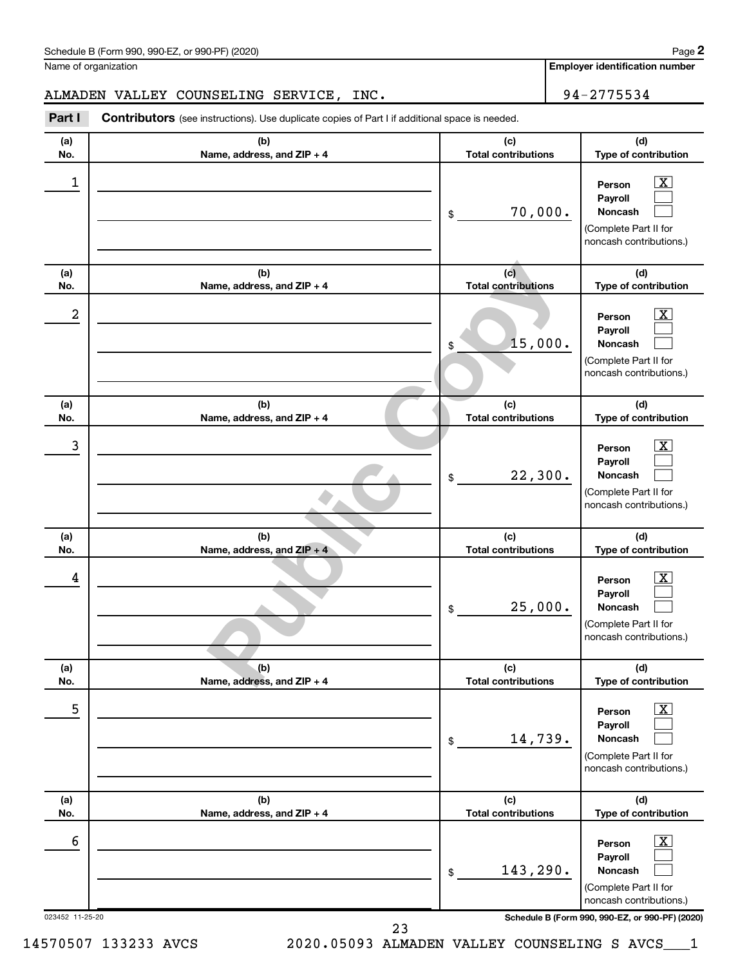| Schedule B (Form 990, 990-EZ, or 990-PF) (2020)<br>. The state of the state $\mathcal{L}$ is the state of the state of the state of the state of the state of the state of the state of the state of the state of the state of the state of the state of the state of the state of th | Page |
|---------------------------------------------------------------------------------------------------------------------------------------------------------------------------------------------------------------------------------------------------------------------------------------|------|
|---------------------------------------------------------------------------------------------------------------------------------------------------------------------------------------------------------------------------------------------------------------------------------------|------|

Name of organization

**Employer identification number**

#### ALMADEN VALLEY COUNSELING SERVICE, INC.  $\vert$  94-2775534

(b)<br>
Total contributions<br>
(c)<br> **Public Contributions**<br>
(b)<br> **Public Copy**<br> **Public Copy**<br> **Public Copy**<br> **Public Copy (c)**<br> **Public Copy (c)**<br> **Public Copy (c)**<br> **Public Copy (c)**<br> **Public Copy (c)**<br> **Public Copy (c)**<br> **Pu** 023452 11-25-20 **Schedule B (Form 990, 990-EZ, or 990-PF) (2020) (a) No. (b) Name, address, and ZIP + 4 (c) Total contributions (d) Type of contribution Person Payroll Noncash (a) No. (b) Name, address, and ZIP + 4 (c) Total contributions (d) Type of contribution Person Payroll Noncash (a) No. (b) Name, address, and ZIP + 4 (c) Total contributions (d) Type of contribution Person Payroll Noncash (a) No. (b) Name, address, and ZIP + 4 (c) Total contributions (d) Type of contribution Person Payroll Noncash (a) No. (b) Name, address, and ZIP + 4 (c) Total contributions (d) Type of contribution Person Payroll Noncash (a) No. (b) Name, address, and ZIP + 4 (c) Total contributions (d) Type of contribution Person Payroll Noncash Part I** Contributors (see instructions). Use duplicate copies of Part I if additional space is needed. \$ (Complete Part II for noncash contributions.) \$ (Complete Part II for noncash contributions.) \$ (Complete Part II for noncash contributions.) \$ (Complete Part II for noncash contributions.) \$ (Complete Part II for noncash contributions.) \$ (Complete Part II for noncash contributions.) †††††††††††††††††† 1  $\boxed{\textbf{X}}$ 70,000. 2 X 15,000. 3  $\boxed{\textbf{X}}$ 22,300. 4  $\boxed{\textbf{X}}$ 25,000. 5  $\boxed{\text{X}}$ 14,739. 6  $\boxed{\text{X}}$ 143,290.

23

14570507 133233 AVCS 2020.05093 ALMADEN VALLEY COUNSELING S AVCS\_\_\_1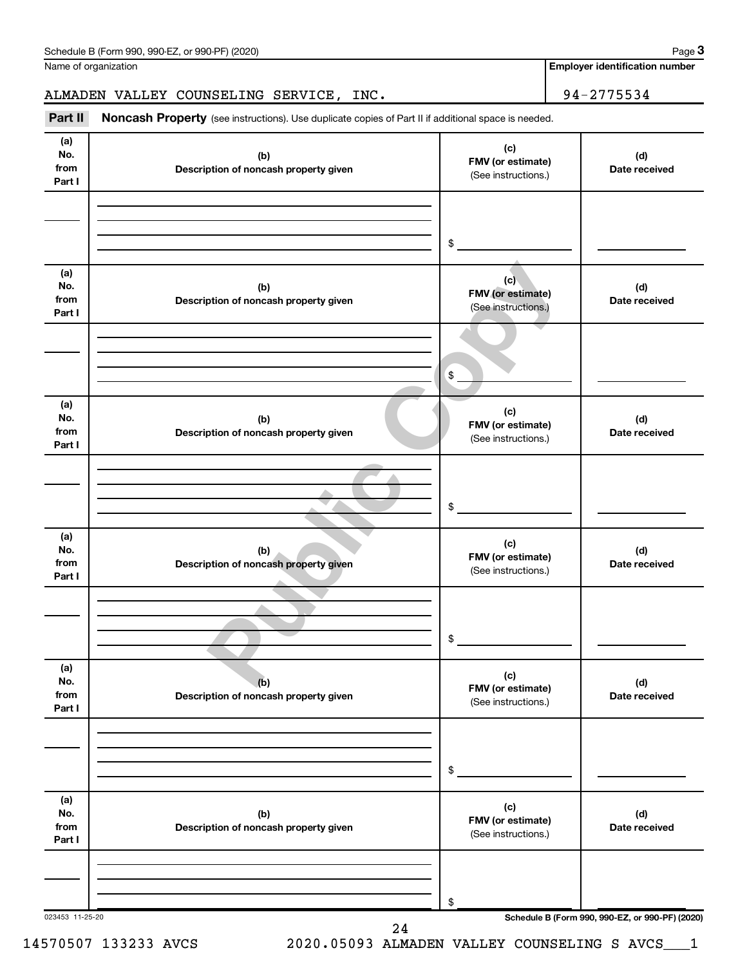| No.<br>from<br>Part I        | (b)<br>Description of noncash property given | (c)<br>FMV (or estimate)<br>(See instructions.) | (d)<br>Date received |
|------------------------------|----------------------------------------------|-------------------------------------------------|----------------------|
|                              |                                              | \$                                              |                      |
| (a)<br>No.<br>from<br>Part I | (b)<br>Description of noncash property given | (c)<br>FMV (or estimate)<br>(See instructions.) | (d)<br>Date received |
|                              |                                              | \$                                              |                      |
| (a)<br>No.<br>from<br>Part I | (b)<br>Description of noncash property given | (c)<br>FMV (or estimate)<br>(See instructions.) | (d)<br>Date received |
|                              |                                              | \$                                              |                      |
| (a)<br>No.<br>from<br>Part I | (b)<br>Description of noncash property given | (c)<br>FMV (or estimate)<br>(See instructions.) | (d)<br>Date received |
|                              |                                              | $\frac{1}{2}$                                   |                      |
| (a)<br>No.<br>from<br>Part I | (b)<br>Description of noncash property given | (c)<br>FMV (or estimate)<br>(See instructions.) | (d)<br>Date received |
|                              |                                              | \$                                              |                      |
| (a)<br>No.<br>from<br>Part I | (b)<br>Description of noncash property given | (c)<br>FMV (or estimate)<br>(See instructions.) | (d)<br>Date received |
|                              |                                              | \$                                              |                      |

Part II Noncash Property (see instructions). Use duplicate copies of Part II if additional space is needed.

Name of organization

**Employer identification number**

ALMADEN VALLEY COUNSELING SERVICE, INC. 94-2775534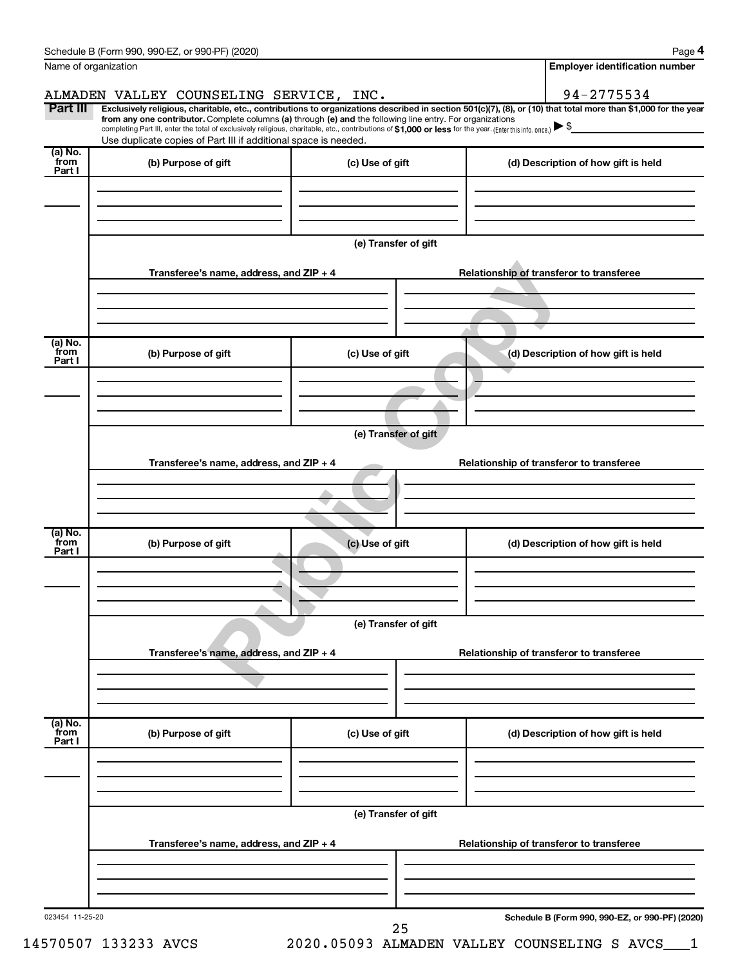|                 | Schedule B (Form 990, 990-EZ, or 990-PF) (2020)                                                                                                          |                      | Page 4                                                                                                                                                         |  |  |  |
|-----------------|----------------------------------------------------------------------------------------------------------------------------------------------------------|----------------------|----------------------------------------------------------------------------------------------------------------------------------------------------------------|--|--|--|
|                 | Name of organization                                                                                                                                     |                      | <b>Employer identification number</b>                                                                                                                          |  |  |  |
|                 | ALMADEN VALLEY COUNSELING SERVICE, INC.                                                                                                                  |                      | 94-2775534                                                                                                                                                     |  |  |  |
| Part III        | from any one contributor. Complete columns (a) through (e) and the following line entry. For organizations                                               |                      | Exclusively religious, charitable, etc., contributions to organizations described in section 501(c)(7), (8), or (10) that total more than \$1,000 for the year |  |  |  |
|                 | completing Part III, enter the total of exclusively religious, charitable, etc., contributions of \$1,000 or less for the year. (Enter this info. once.) |                      |                                                                                                                                                                |  |  |  |
| (a) No.         | Use duplicate copies of Part III if additional space is needed.                                                                                          |                      |                                                                                                                                                                |  |  |  |
| from<br>Part I  | (b) Purpose of gift                                                                                                                                      | (c) Use of gift      | (d) Description of how gift is held                                                                                                                            |  |  |  |
|                 |                                                                                                                                                          |                      |                                                                                                                                                                |  |  |  |
|                 |                                                                                                                                                          |                      |                                                                                                                                                                |  |  |  |
|                 |                                                                                                                                                          |                      |                                                                                                                                                                |  |  |  |
|                 |                                                                                                                                                          | (e) Transfer of gift |                                                                                                                                                                |  |  |  |
|                 |                                                                                                                                                          |                      |                                                                                                                                                                |  |  |  |
|                 | Transferee's name, address, and ZIP + 4                                                                                                                  |                      | Relationship of transferor to transferee                                                                                                                       |  |  |  |
|                 |                                                                                                                                                          |                      |                                                                                                                                                                |  |  |  |
|                 |                                                                                                                                                          |                      |                                                                                                                                                                |  |  |  |
| (a) No.         |                                                                                                                                                          |                      |                                                                                                                                                                |  |  |  |
| from<br>Part I  | (b) Purpose of gift                                                                                                                                      | (c) Use of gift      | (d) Description of how gift is held                                                                                                                            |  |  |  |
|                 |                                                                                                                                                          |                      |                                                                                                                                                                |  |  |  |
|                 |                                                                                                                                                          |                      |                                                                                                                                                                |  |  |  |
|                 |                                                                                                                                                          |                      |                                                                                                                                                                |  |  |  |
|                 |                                                                                                                                                          | (e) Transfer of gift |                                                                                                                                                                |  |  |  |
|                 | Transferee's name, address, and ZIP + 4                                                                                                                  |                      | Relationship of transferor to transferee                                                                                                                       |  |  |  |
|                 |                                                                                                                                                          |                      |                                                                                                                                                                |  |  |  |
|                 |                                                                                                                                                          |                      |                                                                                                                                                                |  |  |  |
|                 |                                                                                                                                                          |                      |                                                                                                                                                                |  |  |  |
| (a) No.<br>from | (b) Purpose of gift                                                                                                                                      | (c) Use of gift      | (d) Description of how gift is held                                                                                                                            |  |  |  |
| Part I          |                                                                                                                                                          |                      |                                                                                                                                                                |  |  |  |
|                 |                                                                                                                                                          |                      |                                                                                                                                                                |  |  |  |
|                 |                                                                                                                                                          |                      |                                                                                                                                                                |  |  |  |
|                 | (e) Transfer of gift                                                                                                                                     |                      |                                                                                                                                                                |  |  |  |
|                 |                                                                                                                                                          |                      |                                                                                                                                                                |  |  |  |
|                 | Transferee's name, address, and ZIP + 4                                                                                                                  |                      | Relationship of transferor to transferee                                                                                                                       |  |  |  |
|                 |                                                                                                                                                          |                      |                                                                                                                                                                |  |  |  |
|                 |                                                                                                                                                          |                      |                                                                                                                                                                |  |  |  |
| (a) No.         |                                                                                                                                                          |                      |                                                                                                                                                                |  |  |  |
| from<br>Part I  | (b) Purpose of gift                                                                                                                                      | (c) Use of gift      | (d) Description of how gift is held                                                                                                                            |  |  |  |
|                 |                                                                                                                                                          |                      |                                                                                                                                                                |  |  |  |
|                 |                                                                                                                                                          |                      |                                                                                                                                                                |  |  |  |
|                 |                                                                                                                                                          |                      |                                                                                                                                                                |  |  |  |
|                 | (e) Transfer of gift                                                                                                                                     |                      |                                                                                                                                                                |  |  |  |
|                 | Transferee's name, address, and ZIP + 4<br>Relationship of transferor to transferee                                                                      |                      |                                                                                                                                                                |  |  |  |
|                 |                                                                                                                                                          |                      |                                                                                                                                                                |  |  |  |
|                 |                                                                                                                                                          |                      |                                                                                                                                                                |  |  |  |
|                 |                                                                                                                                                          |                      |                                                                                                                                                                |  |  |  |
| 023454 11-25-20 |                                                                                                                                                          |                      | Schedule B (Form 990, 990-EZ, or 990-PF) (2020)                                                                                                                |  |  |  |
|                 |                                                                                                                                                          | 25                   |                                                                                                                                                                |  |  |  |

14570507 133233 AVCS 2020.05093 ALMADEN VALLEY COUNSELING S AVCS\_\_\_1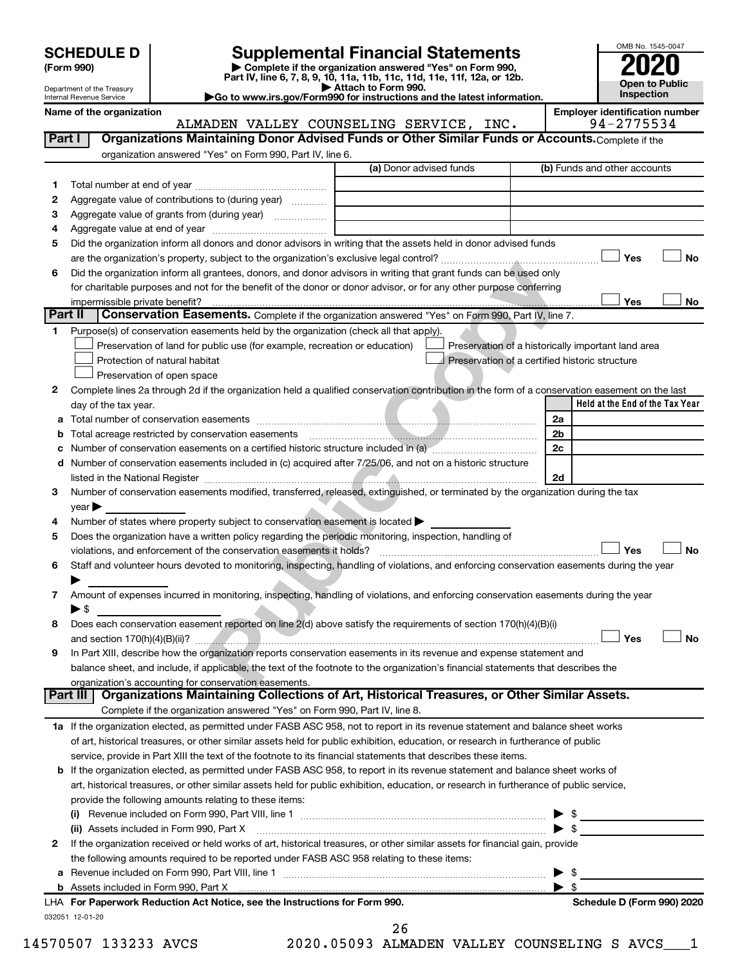| (Form 990) |  |
|------------|--|
|------------|--|

# **SCHEDULE D Supplemental Financial Statements**<br> **Form 990 2020**<br> **Part IV** line 6.7.8.9.10, 11a, 11b, 11d, 11d, 11d, 11d, 11d, 12a, 0r, 12b

**(Form 990) | Complete if the organization answered "Yes" on Form 990, Part IV, line 6, 7, 8, 9, 10, 11a, 11b, 11c, 11d, 11e, 11f, 12a, or 12b.**

**| Attach to Form 990. |Go to www.irs.gov/Form990 for instructions and the latest information.**

ALMADEN VALLEY COUNSELING SERVICE, INC.



Department of the Treasury Internal Revenue Service

Name of the organization<br>**ALMADEN VALLEY COUNSELING SERVICE, INC.** 94-2775534

| 1                      |                                                                                                                                                                           | (a) Donor advised funds | (b) Funds and other accounts                          |
|------------------------|---------------------------------------------------------------------------------------------------------------------------------------------------------------------------|-------------------------|-------------------------------------------------------|
|                        |                                                                                                                                                                           |                         |                                                       |
| 2                      | Aggregate value of contributions to (during year)                                                                                                                         |                         |                                                       |
| З                      | Aggregate value of grants from (during year)                                                                                                                              |                         |                                                       |
| 4                      |                                                                                                                                                                           |                         |                                                       |
| 5                      | Did the organization inform all donors and donor advisors in writing that the assets held in donor advised funds                                                          |                         |                                                       |
|                        |                                                                                                                                                                           |                         | Yes                                                   |
| 6                      | Did the organization inform all grantees, donors, and donor advisors in writing that grant funds can be used only                                                         |                         |                                                       |
|                        | for charitable purposes and not for the benefit of the donor or donor advisor, or for any other purpose conferring                                                        |                         |                                                       |
|                        | impermissible private benefit?                                                                                                                                            |                         | Yes                                                   |
|                        | Conservation Easements. Complete if the organization answered "Yes" on Form 990, Part IV, line 7.<br>Part II                                                              |                         |                                                       |
| 1.                     | Purpose(s) of conservation easements held by the organization (check all that apply).                                                                                     |                         |                                                       |
|                        | Preservation of land for public use (for example, recreation or education)                                                                                                |                         | Preservation of a historically important land area    |
|                        | Protection of natural habitat                                                                                                                                             |                         | Preservation of a certified historic structure        |
|                        | Preservation of open space                                                                                                                                                |                         |                                                       |
| 2                      | Complete lines 2a through 2d if the organization held a qualified conservation contribution in the form of a conservation easement on the last                            |                         |                                                       |
|                        | day of the tax year.                                                                                                                                                      |                         | Held at the End of the Tax Year                       |
|                        |                                                                                                                                                                           |                         | 2a                                                    |
|                        |                                                                                                                                                                           |                         | 2b                                                    |
|                        | Number of conservation easements on a certified historic structure included in (a) manufacture in the structure included in (a)                                           |                         | 2c                                                    |
| d                      | Number of conservation easements included in (c) acquired after 7/25/06, and not on a historic structure                                                                  |                         |                                                       |
|                        |                                                                                                                                                                           |                         | 2d                                                    |
| 3                      | Number of conservation easements modified, transferred, released, extinguished, or terminated by the organization during the tax                                          |                         |                                                       |
|                        | $year \blacktriangleright$                                                                                                                                                |                         |                                                       |
| 4                      | Number of states where property subject to conservation easement is located >                                                                                             |                         |                                                       |
| 5                      | Does the organization have a written policy regarding the periodic monitoring, inspection, handling of                                                                    |                         |                                                       |
|                        | violations, and enforcement of the conservation easements it holds?                                                                                                       |                         | Yes                                                   |
| 6                      | Staff and volunteer hours devoted to monitoring, inspecting, handling of violations, and enforcing conservation easements during the year                                 |                         |                                                       |
|                        |                                                                                                                                                                           |                         |                                                       |
| 7                      | Amount of expenses incurred in monitoring, inspecting, handling of violations, and enforcing conservation easements during the year                                       |                         |                                                       |
|                        | ▶ \$                                                                                                                                                                      |                         |                                                       |
|                        |                                                                                                                                                                           |                         |                                                       |
|                        |                                                                                                                                                                           |                         |                                                       |
|                        | Does each conservation easement reported on line 2(d) above satisfy the requirements of section 170(h)(4)(B)(i)                                                           |                         |                                                       |
|                        |                                                                                                                                                                           |                         | Yes                                                   |
|                        | In Part XIII, describe how the organization reports conservation easements in its revenue and expense statement and                                                       |                         |                                                       |
|                        | balance sheet, and include, if applicable, the text of the footnote to the organization's financial statements that describes the                                         |                         |                                                       |
|                        | organization's accounting for conservation easements.<br>Part III I                                                                                                       |                         |                                                       |
|                        | Organizations Maintaining Collections of Art, Historical Treasures, or Other Similar Assets.<br>Complete if the organization answered "Yes" on Form 990, Part IV, line 8. |                         |                                                       |
|                        |                                                                                                                                                                           |                         |                                                       |
|                        | 1a If the organization elected, as permitted under FASB ASC 958, not to report in its revenue statement and balance sheet works                                           |                         |                                                       |
|                        | of art, historical treasures, or other similar assets held for public exhibition, education, or research in furtherance of public                                         |                         |                                                       |
|                        | service, provide in Part XIII the text of the footnote to its financial statements that describes these items.                                                            |                         |                                                       |
|                        | <b>b</b> If the organization elected, as permitted under FASB ASC 958, to report in its revenue statement and balance sheet works of                                      |                         |                                                       |
|                        | art, historical treasures, or other similar assets held for public exhibition, education, or research in furtherance of public service,                                   |                         |                                                       |
|                        | provide the following amounts relating to these items:                                                                                                                    |                         |                                                       |
|                        |                                                                                                                                                                           |                         | $\blacktriangleright$ s                               |
|                        | (ii) Assets included in Form 990, Part X                                                                                                                                  |                         | $\blacktriangleright$ s                               |
| 8<br>9<br>$\mathbf{2}$ | If the organization received or held works of art, historical treasures, or other similar assets for financial gain, provide                                              |                         |                                                       |
|                        | the following amounts required to be reported under FASB ASC 958 relating to these items:                                                                                 |                         |                                                       |
| а                      |                                                                                                                                                                           |                         | $\blacktriangleright$ \$                              |
|                        | LHA For Paperwork Reduction Act Notice, see the Instructions for Form 990.                                                                                                |                         | $\blacktriangleright$ s<br>Schedule D (Form 990) 2020 |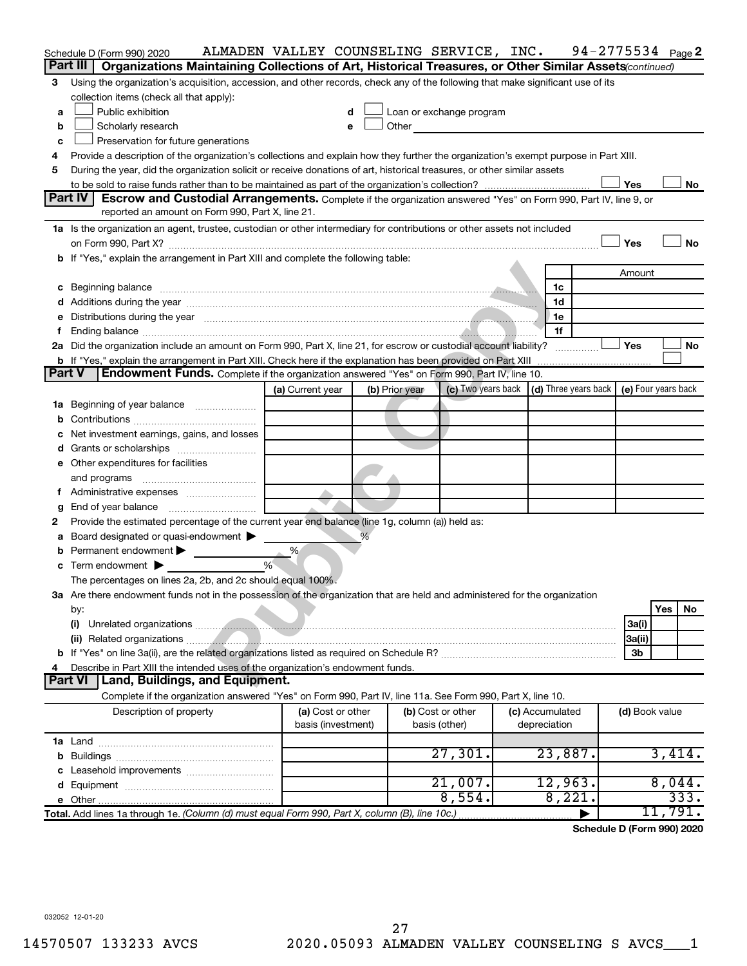|    | Schedule D (Form 990) 2020                                                                                                                                                                                                                | ALMADEN VALLEY COUNSELING SERVICE, INC. |   |                |                                                                                                                                                                                                                               |                                 | 94-2775534 $Page 2$                                      |         |
|----|-------------------------------------------------------------------------------------------------------------------------------------------------------------------------------------------------------------------------------------------|-----------------------------------------|---|----------------|-------------------------------------------------------------------------------------------------------------------------------------------------------------------------------------------------------------------------------|---------------------------------|----------------------------------------------------------|---------|
|    | Part III<br>Organizations Maintaining Collections of Art, Historical Treasures, or Other Similar Assets (continued)                                                                                                                       |                                         |   |                |                                                                                                                                                                                                                               |                                 |                                                          |         |
| 3  | Using the organization's acquisition, accession, and other records, check any of the following that make significant use of its                                                                                                           |                                         |   |                |                                                                                                                                                                                                                               |                                 |                                                          |         |
|    | collection items (check all that apply):                                                                                                                                                                                                  |                                         |   |                |                                                                                                                                                                                                                               |                                 |                                                          |         |
| а  | Public exhibition                                                                                                                                                                                                                         |                                         | d |                | Loan or exchange program                                                                                                                                                                                                      |                                 |                                                          |         |
| b  | Scholarly research                                                                                                                                                                                                                        |                                         | e |                | Other and the contract of the contract of the contract of the contract of the contract of the contract of the contract of the contract of the contract of the contract of the contract of the contract of the contract of the |                                 |                                                          |         |
| c  | Preservation for future generations                                                                                                                                                                                                       |                                         |   |                |                                                                                                                                                                                                                               |                                 |                                                          |         |
| 4  | Provide a description of the organization's collections and explain how they further the organization's exempt purpose in Part XIII.                                                                                                      |                                         |   |                |                                                                                                                                                                                                                               |                                 |                                                          |         |
| 5  | During the year, did the organization solicit or receive donations of art, historical treasures, or other similar assets                                                                                                                  |                                         |   |                |                                                                                                                                                                                                                               |                                 |                                                          |         |
|    |                                                                                                                                                                                                                                           |                                         |   |                |                                                                                                                                                                                                                               |                                 | Yes                                                      | No      |
|    | Part IV<br>Escrow and Custodial Arrangements. Complete if the organization answered "Yes" on Form 990, Part IV, line 9, or                                                                                                                |                                         |   |                |                                                                                                                                                                                                                               |                                 |                                                          |         |
|    | reported an amount on Form 990, Part X, line 21.                                                                                                                                                                                          |                                         |   |                |                                                                                                                                                                                                                               |                                 |                                                          |         |
|    | 1a Is the organization an agent, trustee, custodian or other intermediary for contributions or other assets not included                                                                                                                  |                                         |   |                |                                                                                                                                                                                                                               |                                 |                                                          |         |
|    |                                                                                                                                                                                                                                           |                                         |   |                |                                                                                                                                                                                                                               |                                 | Yes                                                      | No      |
| b  | If "Yes," explain the arrangement in Part XIII and complete the following table:                                                                                                                                                          |                                         |   |                |                                                                                                                                                                                                                               |                                 |                                                          |         |
|    |                                                                                                                                                                                                                                           |                                         |   |                |                                                                                                                                                                                                                               |                                 | Amount                                                   |         |
| с  | Beginning balance entrance contains and the contact of the contact of the contact of the contact of the contact of the contact of the contact of the contact of the contact of the contact of the contact of the contact of th            |                                         |   |                |                                                                                                                                                                                                                               | 1c                              |                                                          |         |
|    | Additions during the year manufactured and an account of the year and year and year and year and year and year                                                                                                                            |                                         |   |                |                                                                                                                                                                                                                               | 1d                              |                                                          |         |
| е  | Distributions during the year measurements and contained a state of the state of the state of the state of the                                                                                                                            |                                         |   |                |                                                                                                                                                                                                                               | 1e<br>1f                        |                                                          |         |
| f  | 2a Did the organization include an amount on Form 990, Part X, line 21, for escrow or custodial account liability?                                                                                                                        |                                         |   |                |                                                                                                                                                                                                                               |                                 | Yes                                                      | No      |
|    | <b>b</b> If "Yes," explain the arrangement in Part XIII. Check here if the explanation has been provided on Part XIII                                                                                                                     |                                         |   |                |                                                                                                                                                                                                                               |                                 |                                                          |         |
|    | Part V<br><b>Endowment Funds.</b> Complete if the organization answered "Yes" on Form 990, Part IV, line 10.                                                                                                                              |                                         |   |                |                                                                                                                                                                                                                               |                                 |                                                          |         |
|    |                                                                                                                                                                                                                                           | (a) Current year                        |   | (b) Prior year | (c) Two years back                                                                                                                                                                                                            |                                 | $\vert$ (d) Three years back $\vert$ (e) Four years back |         |
| 1a | Beginning of year balance <i>manumman</i>                                                                                                                                                                                                 |                                         |   |                |                                                                                                                                                                                                                               |                                 |                                                          |         |
| b  |                                                                                                                                                                                                                                           |                                         |   |                |                                                                                                                                                                                                                               |                                 |                                                          |         |
|    | Net investment earnings, gains, and losses                                                                                                                                                                                                |                                         |   |                |                                                                                                                                                                                                                               |                                 |                                                          |         |
| d  |                                                                                                                                                                                                                                           |                                         |   |                |                                                                                                                                                                                                                               |                                 |                                                          |         |
|    | e Other expenditures for facilities                                                                                                                                                                                                       |                                         |   |                |                                                                                                                                                                                                                               |                                 |                                                          |         |
|    | and programs                                                                                                                                                                                                                              |                                         |   |                |                                                                                                                                                                                                                               |                                 |                                                          |         |
| Ť. | Administrative expenses                                                                                                                                                                                                                   |                                         |   |                |                                                                                                                                                                                                                               |                                 |                                                          |         |
| g  | End of year balance                                                                                                                                                                                                                       |                                         |   |                |                                                                                                                                                                                                                               |                                 |                                                          |         |
| 2  | Provide the estimated percentage of the current year end balance (line 1g, column (a)) held as:                                                                                                                                           |                                         |   |                |                                                                                                                                                                                                                               |                                 |                                                          |         |
|    | Board designated or quasi-endowment                                                                                                                                                                                                       |                                         |   |                |                                                                                                                                                                                                                               |                                 |                                                          |         |
| b  | Permanent endowment                                                                                                                                                                                                                       | %                                       |   |                |                                                                                                                                                                                                                               |                                 |                                                          |         |
| с  | Term endowment $\blacktriangleright$                                                                                                                                                                                                      | %                                       |   |                |                                                                                                                                                                                                                               |                                 |                                                          |         |
|    | The percentages on lines 2a, 2b, and 2c should equal 100%.                                                                                                                                                                                |                                         |   |                |                                                                                                                                                                                                                               |                                 |                                                          |         |
|    | 3a Are there endowment funds not in the possession of the organization that are held and administered for the organization                                                                                                                |                                         |   |                |                                                                                                                                                                                                                               |                                 |                                                          |         |
|    | by:                                                                                                                                                                                                                                       |                                         |   |                |                                                                                                                                                                                                                               |                                 | <b>Yes</b>                                               | No      |
|    | (i)                                                                                                                                                                                                                                       |                                         |   |                |                                                                                                                                                                                                                               |                                 | 3a(i)                                                    |         |
|    |                                                                                                                                                                                                                                           |                                         |   |                |                                                                                                                                                                                                                               |                                 | 3a(ii)                                                   |         |
|    |                                                                                                                                                                                                                                           |                                         |   |                |                                                                                                                                                                                                                               |                                 | 3b                                                       |         |
| 4  | Describe in Part XIII the intended uses of the organization's endowment funds.                                                                                                                                                            |                                         |   |                |                                                                                                                                                                                                                               |                                 |                                                          |         |
|    | <b>Part VI</b><br>Land, Buildings, and Equipment.                                                                                                                                                                                         |                                         |   |                |                                                                                                                                                                                                                               |                                 |                                                          |         |
|    | Complete if the organization answered "Yes" on Form 990, Part IV, line 11a. See Form 990, Part X, line 10.                                                                                                                                |                                         |   |                |                                                                                                                                                                                                                               |                                 |                                                          |         |
|    | Description of property                                                                                                                                                                                                                   | (a) Cost or other<br>basis (investment) |   |                | (b) Cost or other                                                                                                                                                                                                             | (c) Accumulated<br>depreciation | (d) Book value                                           |         |
|    |                                                                                                                                                                                                                                           |                                         |   |                | basis (other)                                                                                                                                                                                                                 |                                 |                                                          |         |
|    | <b>1a</b> Land <b>Executive Contract and Service Contract and Service Contract and Service Contract and Service Contract and Service Contract and Service Contract and Service Contract and Service Contract and Service Contract and</b> |                                         |   |                | 27,301.                                                                                                                                                                                                                       | 23,887.                         |                                                          | 3,414.  |
| b  |                                                                                                                                                                                                                                           |                                         |   |                |                                                                                                                                                                                                                               |                                 |                                                          |         |
|    |                                                                                                                                                                                                                                           |                                         |   |                | 21,007.                                                                                                                                                                                                                       | 12,963.                         |                                                          | 8,044.  |
|    |                                                                                                                                                                                                                                           |                                         |   |                | 8,554.                                                                                                                                                                                                                        | 8,221.                          |                                                          | 333.    |
| е  | Total. Add lines 1a through 1e. (Column (d) must equal Form 990, Part X, column (B), line 10c.)                                                                                                                                           |                                         |   |                |                                                                                                                                                                                                                               |                                 |                                                          | 11,791. |
|    |                                                                                                                                                                                                                                           |                                         |   |                |                                                                                                                                                                                                                               |                                 |                                                          |         |
|    |                                                                                                                                                                                                                                           |                                         |   |                |                                                                                                                                                                                                                               |                                 | Schedule D (Form 990) 2020                               |         |
|    |                                                                                                                                                                                                                                           |                                         |   |                |                                                                                                                                                                                                                               |                                 |                                                          |         |
|    |                                                                                                                                                                                                                                           |                                         |   |                |                                                                                                                                                                                                                               |                                 |                                                          |         |
|    |                                                                                                                                                                                                                                           |                                         |   |                |                                                                                                                                                                                                                               |                                 |                                                          |         |
|    |                                                                                                                                                                                                                                           |                                         |   |                |                                                                                                                                                                                                                               |                                 |                                                          |         |
|    | 032052 12-01-20                                                                                                                                                                                                                           |                                         |   |                |                                                                                                                                                                                                                               |                                 |                                                          |         |

032052 12-01-20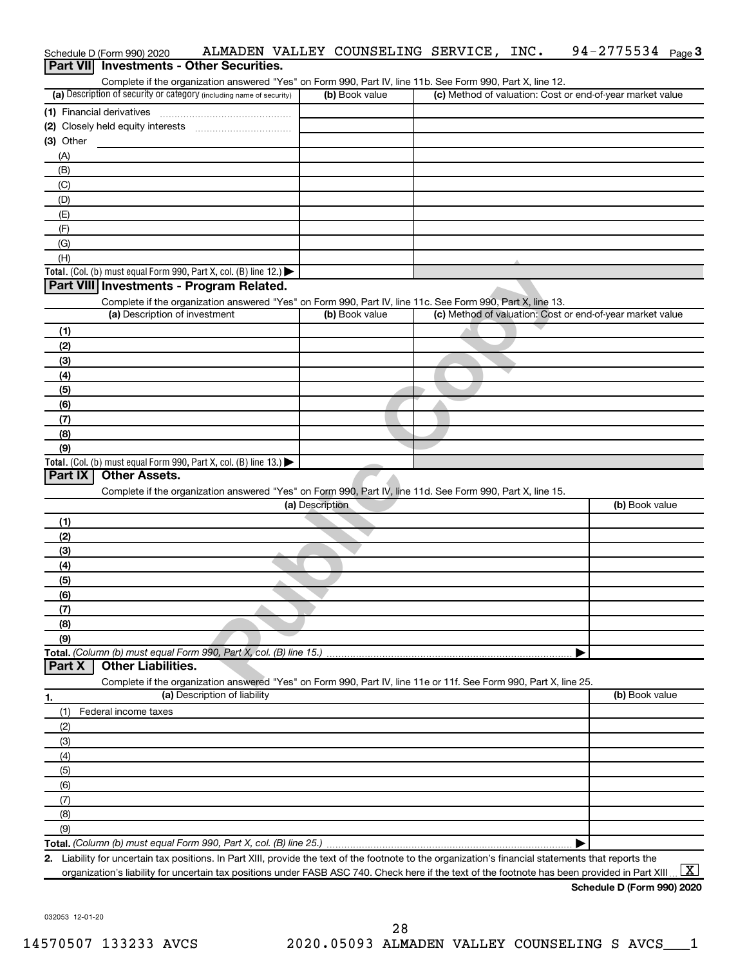|                  | Schedule D (Form 990) 2020    | ALMADEN VALLEY COUNSELING SERVICE, INC.                                                                                                              |                 |                |  | $94 - 2775534$ Page 3                                                                                                                                                 |
|------------------|-------------------------------|------------------------------------------------------------------------------------------------------------------------------------------------------|-----------------|----------------|--|-----------------------------------------------------------------------------------------------------------------------------------------------------------------------|
| <b>Part VIII</b> |                               | <b>Investments - Other Securities.</b>                                                                                                               |                 |                |  |                                                                                                                                                                       |
|                  |                               | Complete if the organization answered "Yes" on Form 990, Part IV, line 11b. See Form 990, Part X, line 12.                                           |                 |                |  |                                                                                                                                                                       |
|                  |                               | (a) Description of security or category (including name of security)                                                                                 |                 | (b) Book value |  | (c) Method of valuation: Cost or end-of-year market value                                                                                                             |
|                  | (1) Financial derivatives     |                                                                                                                                                      |                 |                |  |                                                                                                                                                                       |
|                  |                               |                                                                                                                                                      |                 |                |  |                                                                                                                                                                       |
| $(3)$ Other      |                               |                                                                                                                                                      |                 |                |  |                                                                                                                                                                       |
| (A)              |                               |                                                                                                                                                      |                 |                |  |                                                                                                                                                                       |
| (B)              |                               |                                                                                                                                                      |                 |                |  |                                                                                                                                                                       |
| (C)              |                               |                                                                                                                                                      |                 |                |  |                                                                                                                                                                       |
| (D)              |                               |                                                                                                                                                      |                 |                |  |                                                                                                                                                                       |
| (E)              |                               |                                                                                                                                                      |                 |                |  |                                                                                                                                                                       |
| (F)              |                               |                                                                                                                                                      |                 |                |  |                                                                                                                                                                       |
| (G)              |                               |                                                                                                                                                      |                 |                |  |                                                                                                                                                                       |
| (H)              |                               |                                                                                                                                                      |                 |                |  |                                                                                                                                                                       |
|                  |                               | Total. (Col. (b) must equal Form 990, Part X, col. (B) line 12.)                                                                                     |                 |                |  |                                                                                                                                                                       |
|                  |                               | Part VIII Investments - Program Related.                                                                                                             |                 |                |  |                                                                                                                                                                       |
|                  | (a) Description of investment | Complete if the organization answered "Yes" on Form 990, Part IV, line 11c. See Form 990, Part X, line 13.                                           |                 | (b) Book value |  | (c) Method of valuation: Cost or end-of-year market value                                                                                                             |
|                  |                               |                                                                                                                                                      |                 |                |  |                                                                                                                                                                       |
| (1)              |                               |                                                                                                                                                      |                 |                |  |                                                                                                                                                                       |
| (2)              |                               |                                                                                                                                                      |                 |                |  |                                                                                                                                                                       |
| (3)              |                               |                                                                                                                                                      |                 |                |  |                                                                                                                                                                       |
| (4)              |                               |                                                                                                                                                      |                 |                |  |                                                                                                                                                                       |
| (5)              |                               |                                                                                                                                                      |                 |                |  |                                                                                                                                                                       |
| (6)              |                               |                                                                                                                                                      |                 |                |  |                                                                                                                                                                       |
| (7)              |                               |                                                                                                                                                      |                 |                |  |                                                                                                                                                                       |
| (8)<br>(9)       |                               |                                                                                                                                                      |                 |                |  |                                                                                                                                                                       |
|                  |                               | Total. (Col. (b) must equal Form 990, Part X, col. (B) line 13.)                                                                                     |                 |                |  |                                                                                                                                                                       |
| Part IX          | <b>Other Assets.</b>          |                                                                                                                                                      |                 |                |  |                                                                                                                                                                       |
|                  |                               | Complete if the organization answered "Yes" on Form 990, Part IV, line 11d. See Form 990, Part X, line 15.                                           |                 |                |  |                                                                                                                                                                       |
|                  |                               |                                                                                                                                                      | (a) Description |                |  | (b) Book value                                                                                                                                                        |
| (1)              |                               |                                                                                                                                                      |                 |                |  |                                                                                                                                                                       |
| (2)              |                               |                                                                                                                                                      |                 |                |  |                                                                                                                                                                       |
| (3)              |                               |                                                                                                                                                      |                 |                |  |                                                                                                                                                                       |
| (4)              |                               |                                                                                                                                                      |                 |                |  |                                                                                                                                                                       |
| (5)              |                               |                                                                                                                                                      |                 |                |  |                                                                                                                                                                       |
| (6)              |                               |                                                                                                                                                      |                 |                |  |                                                                                                                                                                       |
| (7)              |                               |                                                                                                                                                      |                 |                |  |                                                                                                                                                                       |
| (8)              |                               |                                                                                                                                                      |                 |                |  |                                                                                                                                                                       |
| (9)              |                               |                                                                                                                                                      |                 |                |  |                                                                                                                                                                       |
|                  |                               | Total. (Column (b) must equal Form 990, Part X, col. (B) line 15.)                                                                                   |                 |                |  |                                                                                                                                                                       |
| Part X           | <b>Other Liabilities.</b>     |                                                                                                                                                      |                 |                |  |                                                                                                                                                                       |
|                  |                               | Complete if the organization answered "Yes" on Form 990, Part IV, line 11e or 11f. See Form 990, Part X, line 25.                                    |                 |                |  |                                                                                                                                                                       |
| 1.               |                               | (a) Description of liability                                                                                                                         |                 |                |  | (b) Book value                                                                                                                                                        |
| (1)              | Federal income taxes          |                                                                                                                                                      |                 |                |  |                                                                                                                                                                       |
| (2)              |                               |                                                                                                                                                      |                 |                |  |                                                                                                                                                                       |
| (3)              |                               |                                                                                                                                                      |                 |                |  |                                                                                                                                                                       |
| (4)              |                               |                                                                                                                                                      |                 |                |  |                                                                                                                                                                       |
| (5)              |                               |                                                                                                                                                      |                 |                |  |                                                                                                                                                                       |
| (6)              |                               |                                                                                                                                                      |                 |                |  |                                                                                                                                                                       |
| (7)              |                               |                                                                                                                                                      |                 |                |  |                                                                                                                                                                       |
| (8)              |                               |                                                                                                                                                      |                 |                |  |                                                                                                                                                                       |
| (9)              |                               |                                                                                                                                                      |                 |                |  |                                                                                                                                                                       |
|                  |                               |                                                                                                                                                      |                 |                |  |                                                                                                                                                                       |
|                  |                               | 2. Liability for uncertain tax positions. In Part XIII, provide the text of the footnote to the organization's financial statements that reports the |                 |                |  |                                                                                                                                                                       |
|                  |                               |                                                                                                                                                      |                 |                |  | $\lfloor x \rfloor$<br>organization's liability for uncertain tax positions under FASB ASC 740. Check here if the text of the footnote has been provided in Part XIII |

032053 12-01-20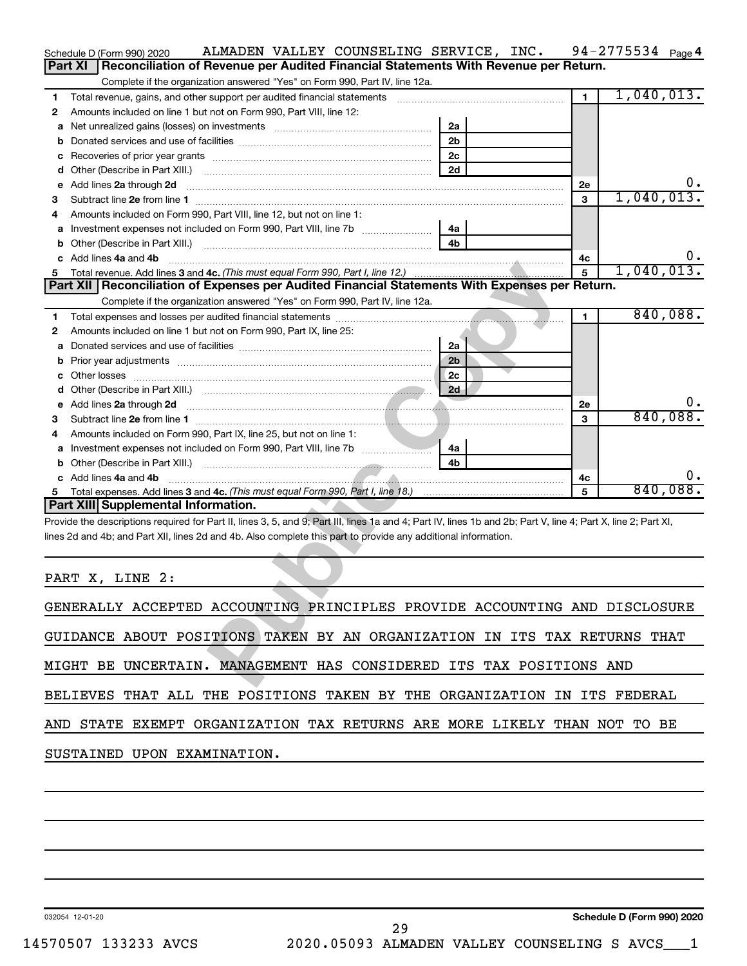|        | ALMADEN VALLEY COUNSELING SERVICE, INC.<br>Schedule D (Form 990) 2020                                                                                                                                                                |                                |              | $94 - 2775534$ Page 4      |                |
|--------|--------------------------------------------------------------------------------------------------------------------------------------------------------------------------------------------------------------------------------------|--------------------------------|--------------|----------------------------|----------------|
|        | Reconciliation of Revenue per Audited Financial Statements With Revenue per Return.<br><b>Part XI</b>                                                                                                                                |                                |              |                            |                |
|        | Complete if the organization answered "Yes" on Form 990, Part IV, line 12a.                                                                                                                                                          |                                |              |                            |                |
| 1      | Total revenue, gains, and other support per audited financial statements [11, 11] matter controller and the support per audited financial statements [11] matter controller and the support of the support of the support of t       |                                | $\mathbf{1}$ | 1,040,013.                 |                |
| 2      | Amounts included on line 1 but not on Form 990, Part VIII, line 12:                                                                                                                                                                  |                                |              |                            |                |
| a      |                                                                                                                                                                                                                                      | 2a<br>2 <sub>b</sub>           |              |                            |                |
| b      |                                                                                                                                                                                                                                      | 2c                             |              |                            |                |
| с<br>d |                                                                                                                                                                                                                                      | 2d                             |              |                            |                |
| е      | Add lines 2a through 2d                                                                                                                                                                                                              |                                | 2e           |                            | $\mathbf{0}$ . |
| З      |                                                                                                                                                                                                                                      |                                | 3            | 1,040,013.                 |                |
| 4      | Amounts included on Form 990, Part VIII, line 12, but not on line 1:                                                                                                                                                                 |                                |              |                            |                |
| а      |                                                                                                                                                                                                                                      | 4a                             |              |                            |                |
| b      |                                                                                                                                                                                                                                      | 4 <sub>b</sub>                 |              |                            |                |
|        | c Add lines 4a and 4b                                                                                                                                                                                                                |                                | 4с           |                            | $0 \cdot$      |
| 5      |                                                                                                                                                                                                                                      |                                | 5            | 1,040,013.                 |                |
|        | Part XII   Reconciliation of Expenses per Audited Financial Statements With Expenses per Return.                                                                                                                                     |                                |              |                            |                |
|        | Complete if the organization answered "Yes" on Form 990, Part IV, line 12a.                                                                                                                                                          | and the company of the company |              |                            |                |
| 1      |                                                                                                                                                                                                                                      |                                | 1            |                            | 840,088.       |
| 2      | Amounts included on line 1 but not on Form 990, Part IX, line 25:                                                                                                                                                                    |                                |              |                            |                |
| а      |                                                                                                                                                                                                                                      | 2a                             |              |                            |                |
| b      |                                                                                                                                                                                                                                      | 2 <sub>b</sub>                 |              |                            |                |
| с      |                                                                                                                                                                                                                                      | 2c                             |              |                            |                |
| d      |                                                                                                                                                                                                                                      | 2d                             |              |                            |                |
| е      | Add lines 2a through 2d <b>contained a contained a contained a contained a contained a contained a contained a contained a contact a contact a contact a contact a contact a contact a contact a contact a contact a contact a c</b> |                                | 2e           |                            | υ.<br>840,088. |
| З      |                                                                                                                                                                                                                                      |                                | 3            |                            |                |
| 4      | Amounts included on Form 990, Part IX, line 25, but not on line 1:                                                                                                                                                                   | 4a                             |              |                            |                |
| а<br>b |                                                                                                                                                                                                                                      | 4 <sub>h</sub>                 |              |                            |                |
|        | c Add lines 4a and 4b                                                                                                                                                                                                                |                                | 4с           |                            | υ.             |
| 5      | Total expenses. Add lines 3 and 4c. (This must equal Form 990, Part I, line 18.) manu-contract manu-controller                                                                                                                       |                                | 5            |                            | 840,088.       |
|        | Part XIII Supplemental Information.                                                                                                                                                                                                  |                                |              |                            |                |
|        | Provide the descriptions required for Part II, lines 3, 5, and 9; Part III, lines 1a and 4; Part IV, lines 1b and 2b; Part V, line 4; Part X, line 2; Part XI,                                                                       |                                |              |                            |                |
|        | lines 2d and 4b; and Part XII, lines 2d and 4b. Also complete this part to provide any additional information.                                                                                                                       |                                |              |                            |                |
|        |                                                                                                                                                                                                                                      |                                |              |                            |                |
|        |                                                                                                                                                                                                                                      |                                |              |                            |                |
|        | PART X, LINE 2:                                                                                                                                                                                                                      |                                |              |                            |                |
|        |                                                                                                                                                                                                                                      |                                |              |                            |                |
|        | GENERALLY ACCEPTED ACCOUNTING PRINCIPLES PROVIDE ACCOUNTING AND DISCLOSURE                                                                                                                                                           |                                |              |                            |                |
|        |                                                                                                                                                                                                                                      |                                |              |                            |                |
|        | GUIDANCE ABOUT POSITIONS TAKEN BY AN ORGANIZATION IN ITS TAX RETURNS THAT                                                                                                                                                            |                                |              |                            |                |
|        |                                                                                                                                                                                                                                      |                                |              |                            |                |
|        | MIGHT BE UNCERTAIN. MANAGEMENT HAS CONSIDERED ITS TAX POSITIONS AND                                                                                                                                                                  |                                |              |                            |                |
|        | BELIEVES THAT ALL THE POSITIONS TAKEN BY THE ORGANIZATION IN ITS FEDERAL                                                                                                                                                             |                                |              |                            |                |
|        |                                                                                                                                                                                                                                      |                                |              |                            |                |
|        | AND STATE EXEMPT ORGANIZATION TAX RETURNS ARE MORE LIKELY THAN NOT TO BE                                                                                                                                                             |                                |              |                            |                |
|        |                                                                                                                                                                                                                                      |                                |              |                            |                |
|        | SUSTAINED UPON EXAMINATION.                                                                                                                                                                                                          |                                |              |                            |                |
|        |                                                                                                                                                                                                                                      |                                |              |                            |                |
|        |                                                                                                                                                                                                                                      |                                |              |                            |                |
|        |                                                                                                                                                                                                                                      |                                |              |                            |                |
|        |                                                                                                                                                                                                                                      |                                |              |                            |                |
|        |                                                                                                                                                                                                                                      |                                |              |                            |                |
|        |                                                                                                                                                                                                                                      |                                |              |                            |                |
|        |                                                                                                                                                                                                                                      |                                |              |                            |                |
|        |                                                                                                                                                                                                                                      |                                |              |                            |                |
|        |                                                                                                                                                                                                                                      |                                |              |                            |                |
|        |                                                                                                                                                                                                                                      |                                |              |                            |                |
|        | 032054 12-01-20                                                                                                                                                                                                                      |                                |              | Schedule D (Form 990) 2020 |                |

| GENERALLY ACCEPTED ACCOUNTING PRINCIPLES PROVIDE ACCOUNTING AND DISCLOSURE |
|----------------------------------------------------------------------------|
| GUIDANCE ABOUT POSITIONS TAKEN BY AN ORGANIZATION IN ITS TAX RETURNS THAT  |
| MIGHT BE UNCERTAIN. MANAGEMENT HAS CONSIDERED ITS TAX POSITIONS AND        |
| BELIEVES THAT ALL THE POSITIONS TAKEN BY THE ORGANIZATION IN ITS FEDERAL   |
| AND STATE EXEMPT ORGANIZATION TAX RETURNS ARE MORE LIKELY THAN NOT TO BE   |
| SUSTAINED UPON EXAMINATION.                                                |

032054 12-01-20

**Schedule D (Form 990) 2020**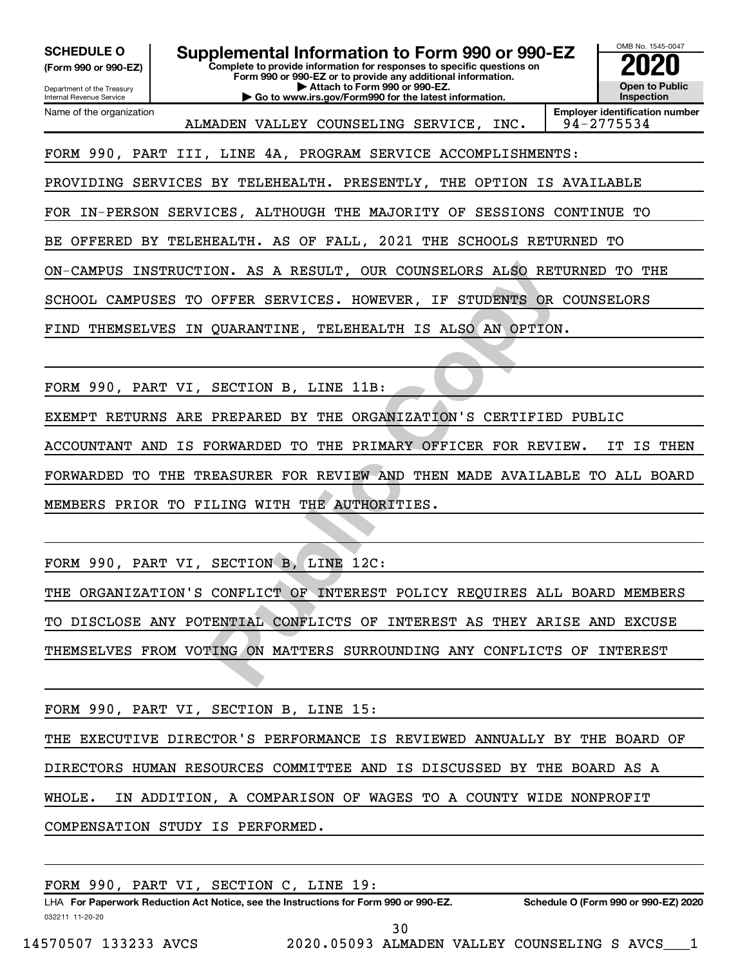**(Form 990 or 990-EZ)**

**Complete to provide information for responses to specific questions on Form 990 or 990-EZ or to provide any additional information. | Attach to Form 990 or 990-EZ. | Go to www.irs.gov/Form990 for the latest information. SCHEDULE O Supplemental Information to Form 990 or 990-EZ 2020**<br>(Form 990 or 990-EZ) Complete to provide information for responses to specific questions on



Department of the Treasury Internal Revenue Service Name of the organization

ALMADEN VALLEY COUNSELING SERVICE, INC.

**Employer identification number**

FORM 990, PART III, LINE 4A, PROGRAM SERVICE ACCOMPLISHMENTS:

PROVIDING SERVICES BY TELEHEALTH. PRESENTLY, THE OPTION IS AVAILABLE

FOR IN-PERSON SERVICES, ALTHOUGH THE MAJORITY OF SESSIONS CONTINUE TO

BE OFFERED BY TELEHEALTH. AS OF FALL, 2021 THE SCHOOLS RETURNED TO

ON-CAMPUS INSTRUCTION. AS A RESULT, OUR COUNSELORS ALSO RETURNED TO THE

SCHOOL CAMPUSES TO OFFER SERVICES. HOWEVER, IF STUDENTS OR COUNSELORS

FIND THEMSELVES IN QUARANTINE, TELEHEALTH IS ALSO AN OPTION.

FORM 990, PART VI, SECTION B, LINE 11B:

EXEMPT RETURNS ARE PREPARED BY THE ORGANIZATION'S CERTIFIED PUBLIC

ACCOUNTANT AND IS FORWARDED TO THE PRIMARY OFFICER FOR REVIEW. IT IS THEN FORWARDED TO THE TREASURER FOR REVIEW AND THEN MADE AVAILABLE TO ALL BOARD MEMBERS PRIOR TO FILING WITH THE AUTHORITIES.

FORM 990, PART VI, SECTION B, LINE 12C:

FIGURE A RESULT, OUR COUNSELORS ALSO RETURN OFFER SERVICES. HOWEVER, IF STUDENTS OR COUNSARANTINE, TELEMEALTH IS ALSO AN OPTION.<br> **PREPARED BY THE ORGANIZATION'S CERTIFIED PLANARDED TO THE PRIMARY OFFICER FOR REVIEW.**<br> **PR** THE ORGANIZATION'S CONFLICT OF INTEREST POLICY REQUIRES ALL BOARD MEMBERS TO DISCLOSE ANY POTENTIAL CONFLICTS OF INTEREST AS THEY ARISE AND EXCUSE THEMSELVES FROM VOTING ON MATTERS SURROUNDING ANY CONFLICTS OF INTEREST

FORM 990, PART VI, SECTION B, LINE 15:

THE EXECUTIVE DIRECTOR'S PERFORMANCE IS REVIEWED ANNUALLY BY THE BOARD OF DIRECTORS HUMAN RESOURCES COMMITTEE AND IS DISCUSSED BY THE BOARD AS A WHOLE. IN ADDITION, A COMPARISON OF WAGES TO A COUNTY WIDE NONPROFIT

COMPENSATION STUDY IS PERFORMED.

032211 11-20-20 **For Paperwork Reduction Act Notice, see the Instructions for Form 990 or 990-EZ. Schedule O (Form 990 or 990-EZ) 2020** LHA FORM 990, PART VI, SECTION C, LINE 19: 30